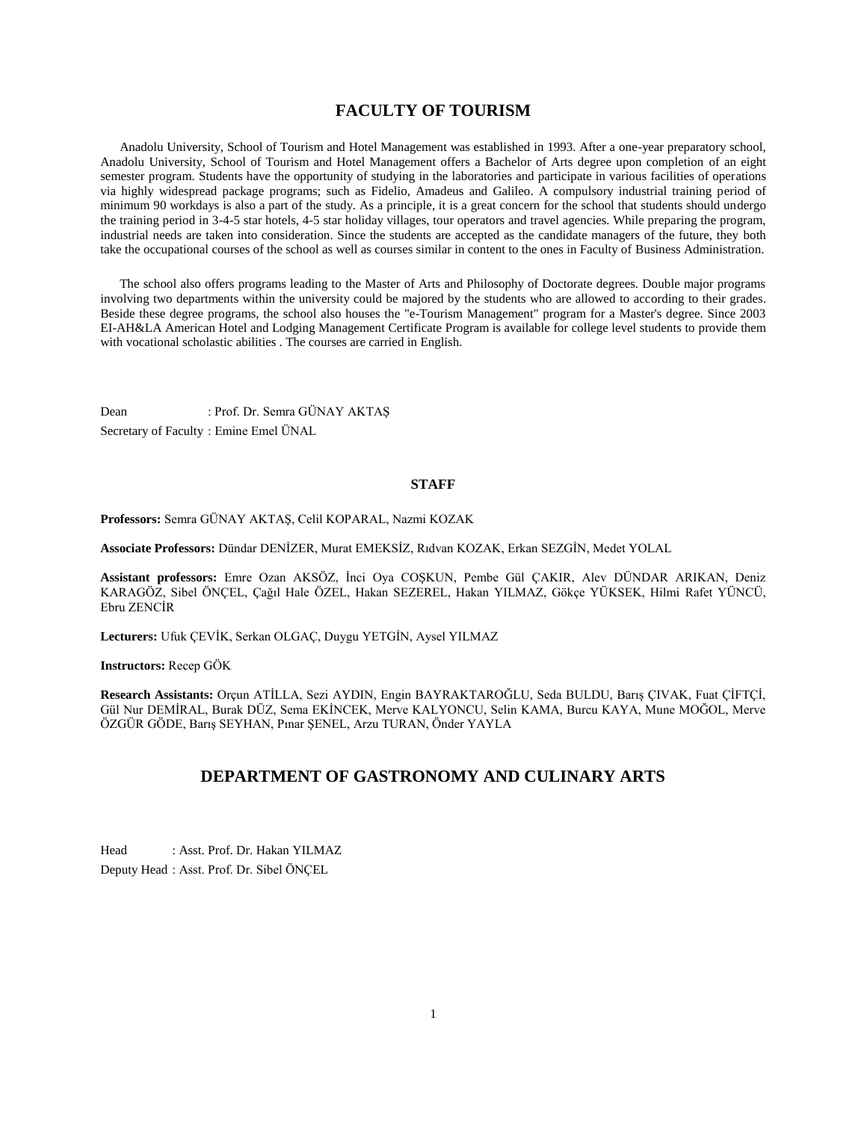# **FACULTY OF TOURISM**

 Anadolu University, School of Tourism and Hotel Management was established in 1993. After a one-year preparatory school, Anadolu University, School of Tourism and Hotel Management offers a Bachelor of Arts degree upon completion of an eight semester program. Students have the opportunity of studying in the laboratories and participate in various facilities of operations via highly widespread package programs; such as Fidelio, Amadeus and Galileo. A compulsory industrial training period of minimum 90 workdays is also a part of the study. As a principle, it is a great concern for the school that students should undergo the training period in 3-4-5 star hotels, 4-5 star holiday villages, tour operators and travel agencies. While preparing the program, industrial needs are taken into consideration. Since the students are accepted as the candidate managers of the future, they both take the occupational courses of the school as well as courses similar in content to the ones in Faculty of Business Administration.

 The school also offers programs leading to the Master of Arts and Philosophy of Doctorate degrees. Double major programs involving two departments within the university could be majored by the students who are allowed to according to their grades. Beside these degree programs, the school also houses the "e-Tourism Management" program for a Master's degree. Since 2003 EI-AH&LA American Hotel and Lodging Management Certificate Program is available for college level students to provide them with vocational scholastic abilities . The courses are carried in English.

Dean : Prof. Dr. Semra GÜNAY AKTAŞ Secretary of Faculty : Emine Emel ÜNAL

#### **STAFF**

**Professors:** Semra GÜNAY AKTAŞ, Celil KOPARAL, Nazmi KOZAK

**Associate Professors:** Dündar DENİZER, Murat EMEKSİZ, Rıdvan KOZAK, Erkan SEZGİN, Medet YOLAL

**Assistant professors:** Emre Ozan AKSÖZ, İnci Oya COŞKUN, Pembe Gül ÇAKIR, Alev DÜNDAR ARIKAN, Deniz KARAGÖZ, Sibel ÖNÇEL, Çağıl Hale ÖZEL, Hakan SEZEREL, Hakan YILMAZ, Gökçe YÜKSEK, Hilmi Rafet YÜNCÜ, Ebru ZENCİR

**Lecturers:** Ufuk ÇEVİK, Serkan OLGAÇ, Duygu YETGİN, Aysel YILMAZ

**Instructors:** Recep GÖK

**Research Assistants:** Orçun ATİLLA, Sezi AYDIN, Engin BAYRAKTAROĞLU, Seda BULDU, Barış ÇIVAK, Fuat ÇİFTÇİ, Gül Nur DEMİRAL, Burak DÜZ, Sema EKİNCEK, Merve KALYONCU, Selin KAMA, Burcu KAYA, Mune MOĞOL, Merve ÖZGÜR GÖDE, Barış SEYHAN, Pınar ŞENEL, Arzu TURAN, Önder YAYLA

# **DEPARTMENT OF GASTRONOMY AND CULINARY ARTS**

Head : Asst. Prof. Dr. Hakan YILMAZ Deputy Head : Asst. Prof. Dr. Sibel ÖNÇEL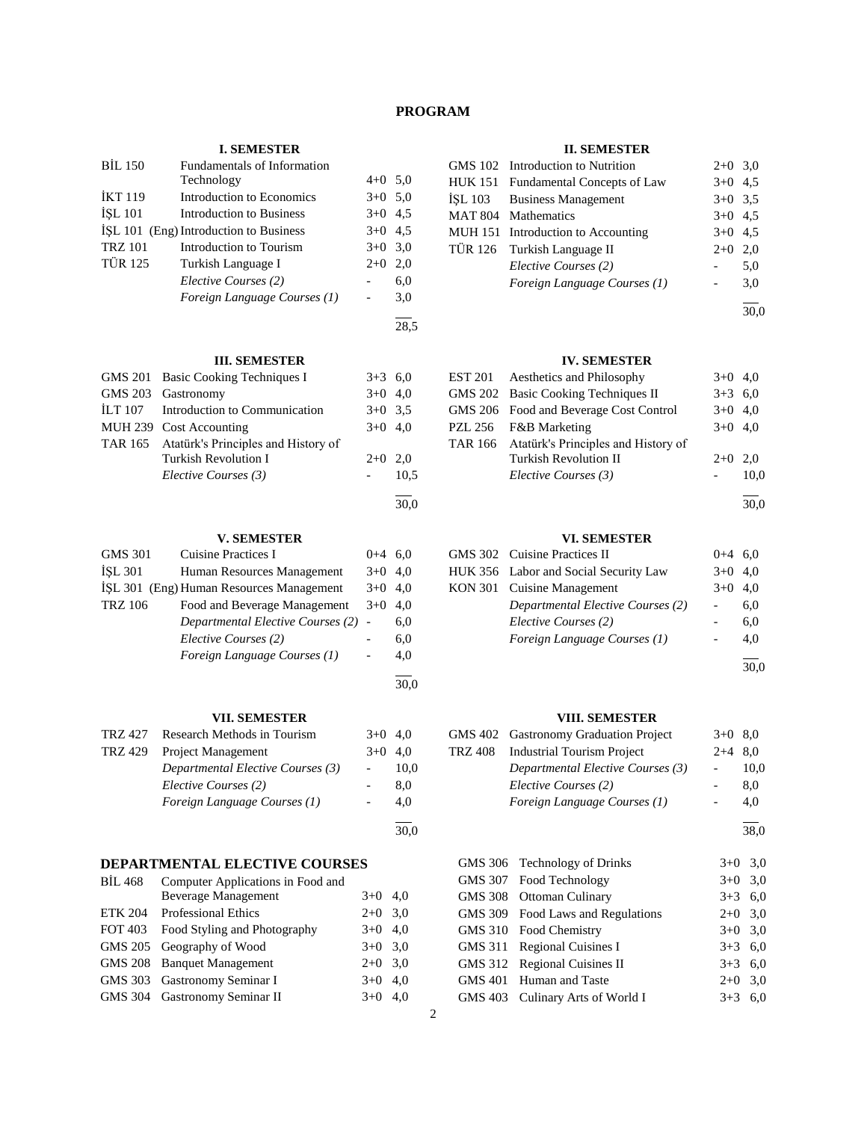# **PROGRAM**

28,5

# **I. SEMESTER**

| <b>BIL 150</b> | Fundamentals of Information            |           |     |
|----------------|----------------------------------------|-----------|-----|
|                | Technology                             | $4+0$ 5.0 |     |
| <b>İKT 119</b> | Introduction to Economics              | $3+0$ 5.0 |     |
| <b>ISL 101</b> | Introduction to Business               | $3+0$ 4.5 |     |
|                | ISL 101 (Eng) Introduction to Business | $3+0$ 4.5 |     |
| <b>TRZ 101</b> | Introduction to Tourism                | $3+0$ 3,0 |     |
| <b>TÜR 125</b> | Turkish Language I                     | $2+0$     | 2,0 |
|                | Elective Courses (2)                   |           | 6,0 |
|                | Foreign Language Courses (1)           |           | 3,0 |
|                |                                        |           |     |

| <b>III. SEMESTER</b> |                                             |           |      |
|----------------------|---------------------------------------------|-----------|------|
|                      | GMS 201 Basic Cooking Techniques I          | $3+3$ 6.0 |      |
|                      | GMS 203 Gastronomy                          | $3+0$ 4,0 |      |
| ILT 107              | Introduction to Communication               | $3+0$ 3.5 |      |
|                      | MUH 239 Cost Accounting                     | $3+0$ 4.0 |      |
|                      | TAR 165 Atatürk's Principles and History of |           |      |
|                      | Turkish Revolution I                        | $2+0$     | 2.0  |
|                      | Elective Courses (3)                        |           | 10,5 |
|                      |                                             |           |      |

#### **V. SEMESTER**

| <b>GMS 301</b> | Cuisine Practices I                      | $0 + 4$ | 6.0 |
|----------------|------------------------------------------|---------|-----|
| <b>ISL 301</b> | Human Resources Management               | $3+0$   | 4.0 |
|                | ISL 301 (Eng) Human Resources Management | $3+0$   | 4.0 |
| <b>TRZ 106</b> | Food and Beverage Management             | $3+0$   | 4.0 |
|                | Departmental Elective Courses (2) -      |         | 6,0 |
|                | Elective Courses (2)                     |         | 6,0 |
|                | Foreign Language Courses (1)             |         | 4.0 |
|                |                                          |         |     |

#### **VII. SEMESTER**

|         | TRZ 427 Research Methods in Tourism | $3+0$ 4.0                |      |
|---------|-------------------------------------|--------------------------|------|
| TRZ 429 | Project Management                  | $3+0$                    | 4.0  |
|         | Departmental Elective Courses (3)   | $\overline{\phantom{a}}$ | 10,0 |
|         | Elective Courses (2)                |                          | 8.0  |
|         | Foreign Language Courses (1)        |                          | 4.0  |
|         |                                     |                          |      |

# **DEPARTMENTAL ELECTIVE COURSES**

| <b>BIL 468</b> | Computer Applications in Food and |           |     |
|----------------|-----------------------------------|-----------|-----|
|                | <b>Beverage Management</b>        | $3+0$ 4.0 |     |
| ETK 204        | <b>Professional Ethics</b>        | $2+0$ 3.0 |     |
| FOT 403        | Food Styling and Photography      | $3+0$ 4.0 |     |
|                | GMS 205 Geography of Wood         | $3+0$ 3.0 |     |
|                | GMS 208 Banquet Management        | $2+0$ 3.0 |     |
|                | GMS 303 Gastronomy Seminar I      | $3+0$ 4.0 |     |
|                | GMS 304 Gastronomy Seminar II     | $3+0$     | 4.0 |

# **II. SEMESTER**

| GMS 102 Introduction to Nutrition   | $2+0$ 3.0 |     |
|-------------------------------------|-----------|-----|
| HUK 151 Fundamental Concepts of Law | $3+0$ 4.5 |     |
| ISL 103 Business Management         | $3+0$ 3.5 |     |
| MAT 804 Mathematics                 | $3+0$ 4.5 |     |
| MUH 151 Introduction to Accounting  | $3+0$ 4.5 |     |
| TÜR 126 Turkish Language II         | $2+0$     | 2.0 |
| Elective Courses (2)                |           | 5,0 |
| Foreign Language Courses (1)        |           | 3,0 |
|                                     |           |     |

30,0

# **IV. SEMESTER**

| EST 201 Aesthetics and Philosophy           | $3+0$ 4,0 |      |
|---------------------------------------------|-----------|------|
| GMS 202 Basic Cooking Techniques II         | $3+3$ 6,0 |      |
| GMS 206 Food and Beverage Cost Control      | $3+0$ 4,0 |      |
| PZL 256 F&B Marketing                       | $3+0$ 4,0 |      |
| TAR 166 Atatürk's Principles and History of |           |      |
| <b>Turkish Revolution II</b>                | $2+0$ 2.0 |      |
| Elective Courses (3)                        |           | 10.0 |
|                                             |           |      |

30,0

# **VI. SEMESTER**

| GMS 302 Cuisine Practices II          | $0+4$ 6.0 |     |
|---------------------------------------|-----------|-----|
| HUK 356 Labor and Social Security Law | $3+0$ 4,0 |     |
| KON 301 Cuisine Management            | $3+0$ 4.0 |     |
| Departmental Elective Courses (2)     |           | 6.0 |
| Elective Courses (2)                  |           | 6.0 |
| Foreign Language Courses (1)          |           | 4.0 |
|                                       |           |     |

30,0

#### **VIII. SEMESTER**

|         | GMS 402 Gastronomy Graduation Project | $3+0$ 8.0 |      |
|---------|---------------------------------------|-----------|------|
| TRZ 408 | <b>Industrial Tourism Project</b>     | $2+4$ 8,0 |      |
|         | Departmental Elective Courses (3)     |           | 10,0 |
|         | Elective Courses (2)                  |           | 8.0  |
|         | Foreign Language Courses (1)          |           | 4.0  |
|         |                                       |           |      |

38,0

| GMS 306 Technology of Drinks      | $3+0$ 3.0 |  |
|-----------------------------------|-----------|--|
| GMS 307 Food Technology           | $3+0$ 3.0 |  |
| GMS 308 Ottoman Culinary          | $3+3$ 6,0 |  |
| GMS 309 Food Laws and Regulations | $2+0$ 3.0 |  |
| GMS 310 Food Chemistry            | $3+0$ 3.0 |  |
| GMS 311 Regional Cuisines I       | $3+3$ 6,0 |  |
| GMS 312 Regional Cuisines II      | $3+3$ 6,0 |  |
| GMS 401 Human and Taste           | $2+0$ 3.0 |  |
| GMS 403 Culinary Arts of World I  | $3+3$ 6.0 |  |

30,0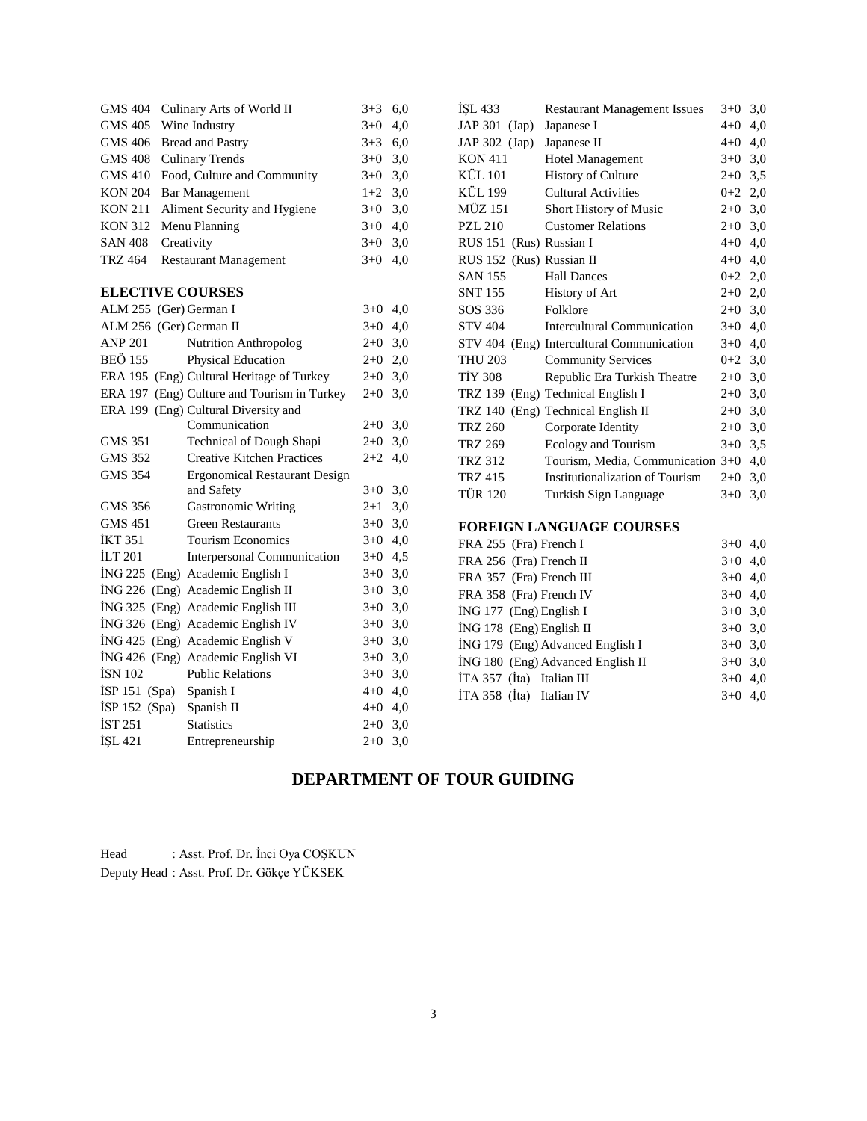| GMS 404 Culinary Arts of World II    | $3+3$ 6.0 |     |
|--------------------------------------|-----------|-----|
| GMS 405 Wine Industry                | $3+0$ 4,0 |     |
| GMS 406 Bread and Pastry             | $3+3$ 6.0 |     |
| GMS 408 Culinary Trends              | $3+0$ 3.0 |     |
| GMS 410 Food, Culture and Community  | $3+0$ 3.0 |     |
| KON 204 Bar Management               | $1+2$ 3.0 |     |
| KON 211 Aliment Security and Hygiene | $3+0$ 3.0 |     |
| KON 312 Menu Planning                | $3+0$ 4,0 |     |
| SAN 408 Creativity                   | $3+0$ 3.0 |     |
| TRZ 464 Restaurant Management        | $3+0$     | 4.0 |
|                                      |           |     |

# **ELECTIVE COURSES**

| ALM 255 (Ger) German I   |                                             | $3+0$     | 4,0 |
|--------------------------|---------------------------------------------|-----------|-----|
| ALM 256 (Ger) German II  |                                             | $3+0$     | 4,0 |
| <b>ANP 201</b>           | <b>Nutrition Anthropolog</b>                | $2+0$     | 3,0 |
| BEÖ 155                  | <b>Physical Education</b>                   | $2+0$     | 2,0 |
|                          | ERA 195 (Eng) Cultural Heritage of Turkey   | $2+0$     | 3,0 |
|                          | ERA 197 (Eng) Culture and Tourism in Turkey | $2+0$     | 3,0 |
|                          | ERA 199 (Eng) Cultural Diversity and        |           |     |
|                          | Communication                               | $2+0$     | 3,0 |
| GMS 351                  | Technical of Dough Shapi                    | $2+0$     | 3,0 |
| GMS 352                  | <b>Creative Kitchen Practices</b>           | $2+2$     | 4,0 |
| <b>GMS 354</b>           | <b>Ergonomical Restaurant Design</b>        |           |     |
|                          | and Safety                                  | $3+0$     | 3,0 |
| GMS 356                  | <b>Gastronomic Writing</b>                  | $2 + 1$   | 3,0 |
| <b>GMS 451</b>           | <b>Green Restaurants</b>                    | $3+0$     | 3,0 |
| <b>IKT 351</b>           | <b>Tourism Economics</b>                    | $3+0$     | 4,0 |
| <b>ILT 201</b>           | Interpersonal Communication                 | $3+0$     | 4,5 |
|                          | İNG 225 (Eng) Academic English I            | $3+0$ 3.0 |     |
|                          | ING 226 (Eng) Academic English II           | $3+0$     | 3,0 |
|                          | İNG 325 (Eng) Academic English III          | $3+0$     | 3,0 |
|                          | ING 326 (Eng) Academic English IV           | $3+0$     | 3,0 |
|                          | İNG 425 (Eng) Academic English V            | $3+0$     | 3,0 |
|                          | ING 426 (Eng) Academic English VI           | $3+0$ 3,0 |     |
| <b>ISN 102</b>           | <b>Public Relations</b>                     | $3+0$     | 3,0 |
| ISP 151 (Spa) Spanish I  |                                             | $4 + 0$   | 4,0 |
| İSP 152 (Spa) Spanish II |                                             | $4 + 0$   | 4,0 |
| IST 251                  | <b>Statistics</b>                           | $2+0$     | 3,0 |
| <b>ISL 421</b>           | Entrepreneurship                            | $2+0$     | 3,0 |
|                          |                                             |           |     |

| ISL 433                  | <b>Restaurant Management Issues</b>       | $3+0$     | 3,0 |
|--------------------------|-------------------------------------------|-----------|-----|
| $JAP 301$ $(Jap)$        | Japanese I                                | $4 + 0$   | 4,0 |
| JAP 302 (Jap)            | Japanese II                               | $4+0$ 4,0 |     |
| <b>KON 411</b>           | <b>Hotel Management</b>                   | $3+0$ 3,0 |     |
| <b>KÜL 101</b>           | <b>History of Culture</b>                 | $2+0$ 3,5 |     |
| <b>KÜL 199</b>           | <b>Cultural Activities</b>                | $0+2$ 2,0 |     |
| <b>MÜZ 151</b>           | Short History of Music                    | $2+0$ 3,0 |     |
| <b>PZL 210</b>           | <b>Customer Relations</b>                 | $2+0$ 3,0 |     |
| RUS 151 (Rus) Russian I  |                                           | $4+0$ 4,0 |     |
| RUS 152 (Rus) Russian II |                                           | $4+0$ 4,0 |     |
| <b>SAN 155</b>           | <b>Hall Dances</b>                        | $0+2$ 2,0 |     |
| SNT 155                  | <b>History of Art</b>                     | $2+0$ 2,0 |     |
| SOS 336                  | Folklore                                  | $2+0$ 3,0 |     |
| <b>STV 404</b>           | Intercultural Communication               | $3+0$ 4,0 |     |
|                          | STV 404 (Eng) Intercultural Communication | $3+0$     | 4,0 |
| <b>THU 203</b>           | <b>Community Services</b>                 | $0+2$ 3,0 |     |
| <b>TIY 308</b>           | Republic Era Turkish Theatre              | $2+0$ 3,0 |     |
|                          | TRZ 139 (Eng) Technical English I         | $2+0$ 3,0 |     |
| <b>TRZ 140</b>           | (Eng) Technical English II                | $2+0$ 3,0 |     |
| <b>TRZ 260</b>           | Corporate Identity                        | $2+0$ 3,0 |     |
| <b>TRZ 269</b>           | Ecology and Tourism                       | $3+0$ 3,5 |     |
| <b>TRZ 312</b>           | Tourism, Media, Communication 3+0         |           | 4,0 |
| <b>TRZ 415</b>           | Institutionalization of Tourism           | $2+0$     | 3,0 |
| <b>TÜR 120</b>           | Turkish Sign Language                     | $3+0$     | 3,0 |
|                          |                                           |           |     |
|                          | <b>FOREIGN LANGUAGE COURSES</b>           |           |     |

| FRA 255 (Fra) French I            | $3+0$ 4.0 |  |
|-----------------------------------|-----------|--|
| FRA 256 (Fra) French II           | $3+0$ 4,0 |  |
| FRA 357 (Fra) French III          | $3+0$ 4.0 |  |
| FRA 358 (Fra) French IV           | $3+0$ 4,0 |  |
| İNG 177 (Eng) English I           | $3+0$ 3,0 |  |
| ING 178 (Eng) English II          | $3+0$ 3.0 |  |
| ING 179 (Eng) Advanced English I  | $3+0$ 3.0 |  |
| ING 180 (Eng) Advanced English II | $3+0$ 3,0 |  |
| İTA 357 (İta) Italian III         | $3+0$ 4,0 |  |
| $ITA 358$ (Ita) Italian IV        | $3+0$ 4,0 |  |

# **DEPARTMENT OF TOUR GUIDING**

Head : Asst. Prof. Dr. İnci Oya COŞKUN Deputy Head : Asst. Prof. Dr. Gökçe YÜKSEK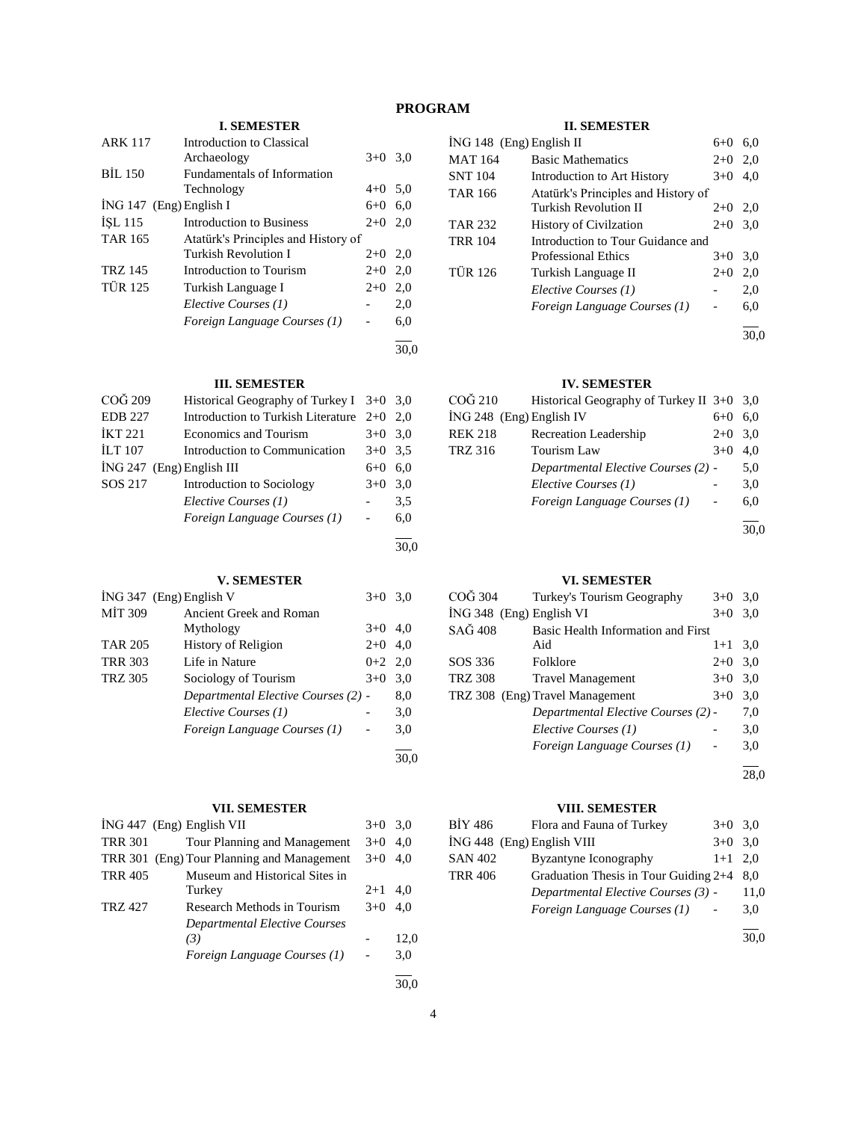# **PROGRAM**

# **I. SEMESTER**

| <b>ARK 117</b> | Introduction to Classical           |           |     |
|----------------|-------------------------------------|-----------|-----|
|                | Archaeology                         | $3+0$     | 3,0 |
| <b>BIL 150</b> | Fundamentals of Information         |           |     |
|                | Technology                          | $4+0$ 5,0 |     |
|                | $ING 147$ (Eng) English I           | 6+0       | 6,0 |
| <b>ISL 115</b> | Introduction to Business            | $2+0$     | 2.0 |
| <b>TAR 165</b> | Atatürk's Principles and History of |           |     |
|                | Turkish Revolution I                | $2+0$     | 2,0 |
| TRZ 145        | Introduction to Tourism             | $2+0$     | 2,0 |
| <b>TÜR 125</b> | Turkish Language I                  | $2+0$     | 2,0 |
|                | Elective Courses (1)                |           | 2,0 |
|                | Foreign Language Courses (1)        |           | 6,0 |
|                |                                     |           |     |

# **III. SEMESTER**

| COG 209                     | Historical Geography of Turkey I $3+0$ 3,0 |           |     |
|-----------------------------|--------------------------------------------|-----------|-----|
| <b>EDB</b> 227              | Introduction to Turkish Literature 2+0     |           | 2.0 |
| <b>IKT 221</b>              | <b>Economics and Tourism</b>               | $3+0$     | 3,0 |
| <b>ILT 107</b>              | Introduction to Communication              | $3+0$ 3.5 |     |
| $ING 247$ (Eng) English III |                                            | $6 + 0$   | 6.0 |
| SOS 217                     | Introduction to Sociology                  | $3+0$     | 3,0 |
|                             | Elective Courses (1)                       |           | 3.5 |
|                             | Foreign Language Courses (1)               |           | 6,0 |
|                             |                                            |           |     |
|                             |                                            |           |     |

# **V. SEMESTER**

|                | $ING 347$ (Eng) English V           | $3+0$ 3.0 |     |
|----------------|-------------------------------------|-----------|-----|
| <b>MIT 309</b> | Ancient Greek and Roman             |           |     |
|                | Mythology                           | $3+0$     | 4,0 |
| <b>TAR 205</b> | History of Religion                 | $2+0$     | 4,0 |
| <b>TRR 303</b> | Life in Nature                      | $0+2$ 2,0 |     |
| <b>TRZ 305</b> | Sociology of Tourism                | $3+0$     | 3,0 |
|                | Departmental Elective Courses (2) - |           | 8,0 |
|                | Elective Courses (1)                |           | 3,0 |
|                | Foreign Language Courses (1)        |           | 3,0 |
|                |                                     |           |     |

# **VII. SEMESTER**

|                | ING 447 (Eng) English VII                  | $3+0$ 3.0 |      |
|----------------|--------------------------------------------|-----------|------|
| <b>TRR 301</b> | Tour Planning and Management               | $3+0$     | 4.0  |
|                | TRR 301 (Eng) Tour Planning and Management | $3+0$ 4.0 |      |
| <b>TRR 405</b> | Museum and Historical Sites in             |           |      |
|                | Turkey                                     | $2+1$     | 4,0  |
| <b>TRZ 427</b> | Research Methods in Tourism                | $3+0$     | 4.0  |
|                | <b>Departmental Elective Courses</b>       |           |      |
|                | (3)                                        |           | 12.0 |
|                | Foreign Language Courses (1)               |           | 3,0  |
|                |                                            |           |      |

# **II. SEMESTER**

| $ING 148$ (Eng) English II |                                     | $6+0$ | 6.0  |
|----------------------------|-------------------------------------|-------|------|
| <b>MAT 164</b>             | <b>Basic Mathematics</b>            | $2+0$ | 2,0  |
| <b>SNT 104</b>             | Introduction to Art History         | $3+0$ | 4.0  |
| <b>TAR 166</b>             | Atatürk's Principles and History of |       |      |
|                            | Turkish Revolution II               | $2+0$ | 2,0  |
| <b>TAR 232</b>             | <b>History of Civilzation</b>       | $2+0$ | 3,0  |
| <b>TRR 104</b>             | Introduction to Tour Guidance and   |       |      |
|                            | Professional Ethics                 | $3+0$ | 3,0  |
| <b>TÜR 126</b>             | Turkish Language II                 | $2+0$ | 2,0  |
|                            | Elective Courses (1)                |       | 2,0  |
|                            | Foreign Language Courses (1)        |       | 6,0  |
|                            |                                     |       |      |
|                            |                                     |       | 30.0 |

# **IV. SEMESTER**

| COĞ 210                    | Historical Geography of Turkey II $3+0$ 3,0 |         |      |
|----------------------------|---------------------------------------------|---------|------|
| $ING 248$ (Eng) English IV |                                             | $6 + 0$ | 6.0  |
| <b>REK 218</b>             | <b>Recreation Leadership</b>                | $2+0$   | 3,0  |
| <b>TRZ 316</b>             | Tourism Law                                 | $3+0$   | 4.0  |
|                            | Departmental Elective Courses (2) -         |         | 5,0  |
|                            | Elective Courses (1)                        |         | 3,0  |
|                            | Foreign Language Courses (1)                |         | 6,0  |
|                            |                                             |         |      |
|                            |                                             |         | 30,0 |

# **VI. SEMESTER**

| COĞ 304                  | Turkey's Tourism Geography          | $3+0$     | 3,0  |
|--------------------------|-------------------------------------|-----------|------|
| ING 348 (Eng) English VI |                                     | $3+0$     | 3,0  |
| SAĞ 408                  | Basic Health Information and First  |           |      |
|                          | Aid                                 | $1+1$ 3.0 |      |
| SOS 336                  | Folklore                            | $2+0$     | 3,0  |
| TRZ 308                  | <b>Travel Management</b>            | $3+0$     | 3,0  |
|                          | TRZ 308 (Eng) Travel Management     | $3+0$     | 3,0  |
|                          | Departmental Elective Courses (2) - |           | 7,0  |
|                          | Elective Courses (1)                |           | 3,0  |
|                          | Foreign Language Courses (1)        |           | 3,0  |
|                          |                                     |           | 28,0 |

# **VIII. SEMESTER**

| BİY 486                    | Flora and Fauna of Turkey               | $3+0$ 3,0 |      |
|----------------------------|-----------------------------------------|-----------|------|
| İNG 448 (Eng) English VIII |                                         | $3+0$ 3.0 |      |
| <b>SAN 402</b>             | Byzantyne Iconography                   | $1+1$ 2.0 |      |
| <b>TRR 406</b>             | Graduation Thesis in Tour Guiding $2+4$ |           | 8.0  |
|                            | Departmental Elective Courses (3) -     |           | 11,0 |
|                            | Foreign Language Courses (1)            |           | 3,0  |
|                            |                                         |           | 30.0 |

30,0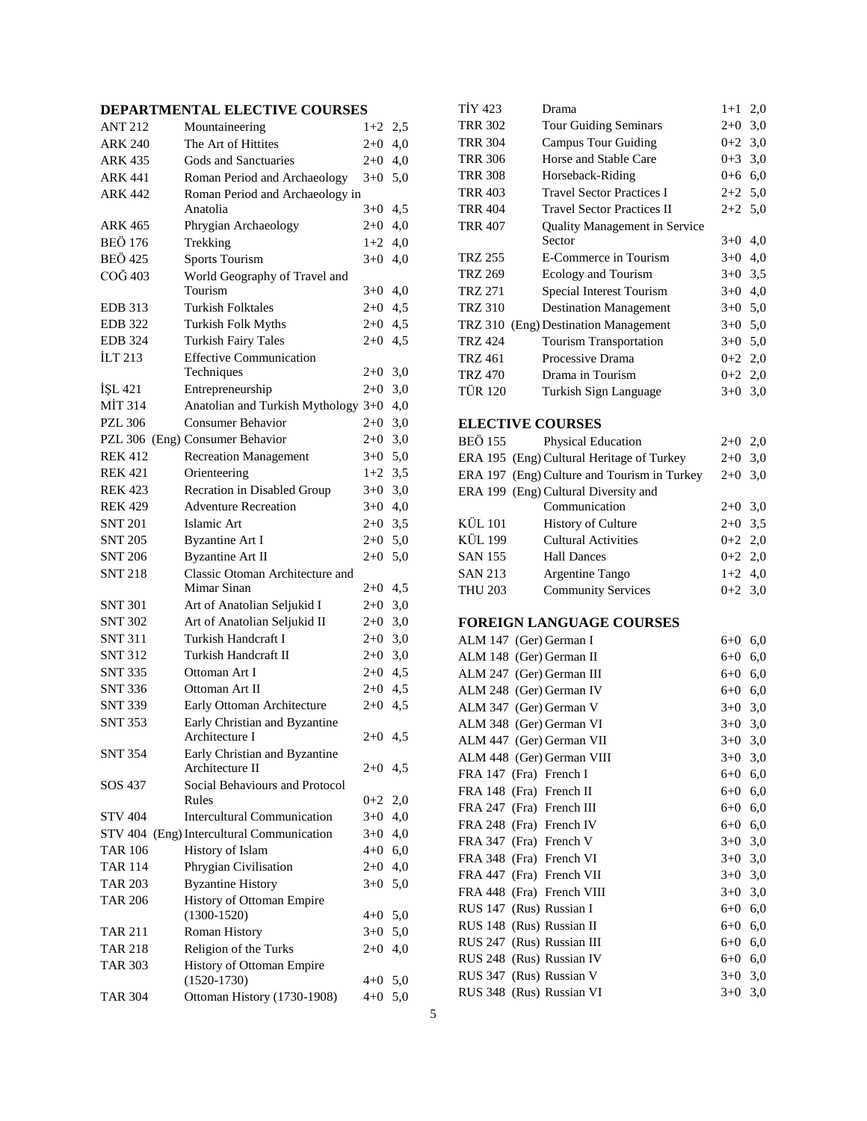# **DEPARTMENTAL ELECTIVE COURSES**

| <b>ANT 212</b> | Mountaineering                                  | $1+2$   | 2,5 |
|----------------|-------------------------------------------------|---------|-----|
| <b>ARK 240</b> | The Art of Hittites                             | $2 + 0$ | 4,0 |
| <b>ARK 435</b> | Gods and Sanctuaries                            | $2+0$   | 4,0 |
| <b>ARK 441</b> | Roman Period and Archaeology                    | $3+0$   | 5,0 |
| <b>ARK 442</b> | Roman Period and Archaeology in                 |         |     |
|                | Anatolia                                        | $3+0$   | 4,5 |
| ARK 465        | Phrygian Archaeology                            | $2+0$   | 4,0 |
| <b>BEÖ 176</b> | Trekking                                        | $1+2$   | 4,0 |
| <b>BEÖ 425</b> | <b>Sports Tourism</b>                           | $3+0$   | 4,0 |
| COĞ 403        | World Geography of Travel and                   |         |     |
|                | Tourism                                         | $3+0$   | 4,0 |
| <b>EDB</b> 313 | <b>Turkish Folktales</b>                        | $2+0$   | 4,5 |
| <b>EDB</b> 322 | <b>Turkish Folk Myths</b>                       | $2+0$   | 4,5 |
| <b>EDB</b> 324 | <b>Turkish Fairy Tales</b>                      | $2+0$   | 4,5 |
| <b>ILT 213</b> | <b>Effective Communication</b>                  |         |     |
|                | Techniques                                      | $2+0$   | 3,0 |
| İŞL 421        | Entrepreneurship                                | $2 + 0$ | 3,0 |
| MİT 314        | Anatolian and Turkish Mythology 3+0             |         | 4,0 |
| <b>PZL 306</b> | <b>Consumer Behavior</b>                        | $2 + 0$ | 3,0 |
|                | PZL 306 (Eng) Consumer Behavior                 | $2 + 0$ | 3,0 |
| <b>REK 412</b> | <b>Recreation Management</b>                    | $3+0$   | 5,0 |
| <b>REK 421</b> | Orienteering                                    | $1+2$   | 3,5 |
| <b>REK 423</b> | Recration in Disabled Group                     | $3+0$   | 3,0 |
| <b>REK 429</b> | <b>Adventure Recreation</b>                     | $3+0$   | 4,0 |
| <b>SNT 201</b> | Islamic Art                                     | $2+0$   | 3,5 |
| <b>SNT 205</b> | <b>Byzantine Art I</b>                          | $2+0$   | 5,0 |
| <b>SNT 206</b> | <b>Byzantine Art II</b>                         | $2 + 0$ | 5,0 |
| <b>SNT 218</b> | Classic Otoman Architecture and                 |         |     |
|                | Mimar Sinan                                     | $2+0$   | 4,5 |
| SNT 301        | Art of Anatolian Seljukid I                     | $2 + 0$ | 3,0 |
| <b>SNT 302</b> | Art of Anatolian Seljukid II                    | $2 + 0$ | 3,0 |
| <b>SNT 311</b> | Turkish Handcraft I                             | $2 + 0$ | 3,0 |
| <b>SNT 312</b> | Turkish Handcraft II                            | $2 + 0$ | 3,0 |
| <b>SNT 335</b> | Ottoman Art I                                   | $2+0$   | 4,5 |
| <b>SNT 336</b> | Ottoman Art II                                  | $2+0$   | 4,5 |
| <b>SNT 339</b> | Early Ottoman Architecture                      | $2+0$   | 4,5 |
| <b>SNT 353</b> | Early Christian and Byzantine<br>Architecture I | $2+0$   | 4,5 |
| <b>SNT 354</b> | Early Christian and Byzantine                   |         |     |
|                | Architecture II                                 | $2+0$   | 4,5 |
| SOS 437        | Social Behaviours and Protocol                  |         |     |
|                | Rules                                           | $0+2$   | 2,0 |
| <b>STV 404</b> | <b>Intercultural Communication</b>              | $3+0$   | 4,0 |
|                | STV 404 (Eng) Intercultural Communication       | $3+0$   | 4,0 |
| <b>TAR 106</b> | History of Islam                                | 4+0     | 6,0 |
| <b>TAR 114</b> | Phrygian Civilisation                           | $2+0$   | 4,0 |
| <b>TAR 203</b> | <b>Byzantine History</b>                        | $3+0$   | 5,0 |
| TAR 206        | History of Ottoman Empire                       |         |     |
|                | $(1300-1520)$                                   | $4 + 0$ | 5,0 |
| <b>TAR 211</b> | Roman History                                   | $3+0$   | 5,0 |
| TAR 218        | Religion of the Turks                           | $2+0$   | 4,0 |
| <b>TAR 303</b> | History of Ottoman Empire                       |         |     |
|                | $(1520 - 1730)$                                 | $4 + 0$ | 5,0 |
| <b>TAR 304</b> | Ottoman History (1730-1908)                     | $4 + 0$ | 5,0 |

| <b>TİY 423</b> | Drama                                | $1+1$ 2,0 |     |
|----------------|--------------------------------------|-----------|-----|
| <b>TRR 302</b> | <b>Tour Guiding Seminars</b>         | $2+0$     | 3,0 |
| TRR 304        | Campus Tour Guiding                  | $0+2$ 3.0 |     |
| <b>TRR 306</b> | Horse and Stable Care                | $0 + 3$   | 3,0 |
| <b>TRR 308</b> | Horseback-Riding                     | 0+6       | 6,0 |
| <b>TRR 403</b> | <b>Travel Sector Practices I</b>     | $2+2$ 5.0 |     |
| TRR 404        | <b>Travel Sector Practices II</b>    | $2+2$ 5.0 |     |
| TRR 407        | <b>Quality Management in Service</b> |           |     |
|                | Sector                               | $3+0$     | 4,0 |
| TRZ 255        | E-Commerce in Tourism                | $3+0$     | 4,0 |
| TRZ 269        | Ecology and Tourism                  | $3+0$     | 3.5 |
| TRZ 271        | Special Interest Tourism             | $3+0$     | 4,0 |
| <b>TRZ 310</b> | <b>Destination Management</b>        | $3+0$     | 5,0 |
|                | TRZ 310 (Eng) Destination Management | $3+0$     | 5,0 |
| <b>TRZ 424</b> | <b>Tourism Transportation</b>        | $3+0$     | 5,0 |
| TRZ 461        | Processive Drama                     | $0+2$ 2,0 |     |
| <b>TRZ 470</b> | Drama in Tourism                     | $0+2$ 2,0 |     |
| <b>TÜR 120</b> | Turkish Sign Language                | $3+0$     | 3,0 |
|                |                                      |           |     |

# **ELECTIVE COURSES**

| <b>BEÖ 155</b> | <b>Physical Education</b>                   | $2+0$ 2,0 |  |
|----------------|---------------------------------------------|-----------|--|
|                | ERA 195 (Eng) Cultural Heritage of Turkey   | $2+0$ 3,0 |  |
|                | ERA 197 (Eng) Culture and Tourism in Turkey | $2+0$ 3,0 |  |
|                | ERA 199 (Eng) Cultural Diversity and        |           |  |
|                | Communication                               | $2+0$ 3.0 |  |
| <b>KÜL 101</b> | <b>History of Culture</b>                   | $2+0$ 3,5 |  |
| <b>KÜL 199</b> | <b>Cultural Activities</b>                  | $0+2$ 2,0 |  |
| <b>SAN 155</b> | <b>Hall Dances</b>                          | $0+2$ 2,0 |  |
| <b>SAN 213</b> | Argentine Tango                             | $1+2$ 4.0 |  |
| <b>THU 203</b> | <b>Community Services</b>                   | $0+2$ 3.0 |  |

# **FOREIGN LANGUAGE COURSES**

| ALM 147 (Ger) German I   |                           | $6 + 0$   | 6,0 |
|--------------------------|---------------------------|-----------|-----|
| ALM 148 (Ger) German II  |                           | $6 + 0$   | 6,0 |
|                          | ALM 247 (Ger) German III  | $6 + 0$   | 6,0 |
|                          | ALM 248 (Ger) German IV   | 6+0       | 6,0 |
| ALM 347 (Ger) German V   |                           | $3+0$ 3,0 |     |
|                          | ALM 348 (Ger) German VI   | $3+0$ 3,0 |     |
|                          | ALM 447 (Ger) German VII  | $3+0$ 3,0 |     |
|                          | ALM 448 (Ger) German VIII | $3+0$ 3,0 |     |
| FRA 147 (Fra) French I   |                           | 6+0       | 6,0 |
| FRA 148 (Fra) French II  |                           | $6 + 0$   | 6,0 |
| FRA 247 (Fra) French III |                           | $6+0$ 6,0 |     |
| FRA 248 (Fra) French IV  |                           | 6+0       | 6,0 |
| FRA 347 (Fra) French V   |                           | $3+0$ 3,0 |     |
| FRA 348 (Fra) French VI  |                           | $3+0$ 3,0 |     |
|                          | FRA 447 (Fra) French VII  | $3+0$ 3,0 |     |
|                          | FRA 448 (Fra) French VIII | $3+0$ 3,0 |     |
| RUS 147 (Rus) Russian I  |                           | $6 + 0$   | 6,0 |
| RUS 148 (Rus) Russian II |                           | 6+0       | 6,0 |
|                          | RUS 247 (Rus) Russian III | 6+0       | 6,0 |
|                          | RUS 248 (Rus) Russian IV  | $6 + 0$   | 6,0 |
| RUS 347 (Rus) Russian V  |                           | $3+0$ 3,0 |     |
|                          | RUS 348 (Rus) Russian VI  | $3+0$     | 3,0 |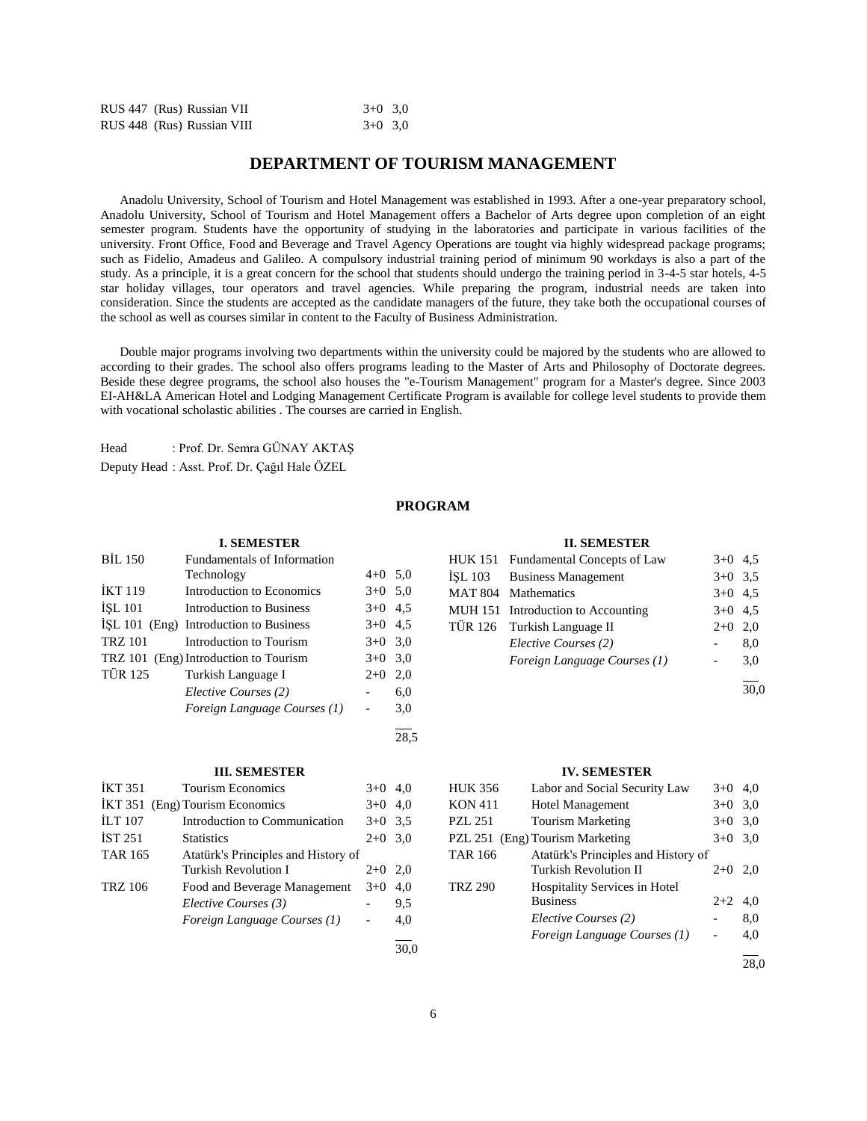|  | RUS 447 (Rus) Russian VII  | $3+0$ 3.0 |  |
|--|----------------------------|-----------|--|
|  | RUS 448 (Rus) Russian VIII | $3+0$ 3,0 |  |

# **DEPARTMENT OF TOURISM MANAGEMENT**

 Anadolu University, School of Tourism and Hotel Management was established in 1993. After a one-year preparatory school, Anadolu University, School of Tourism and Hotel Management offers a Bachelor of Arts degree upon completion of an eight semester program. Students have the opportunity of studying in the laboratories and participate in various facilities of the university. Front Office, Food and Beverage and Travel Agency Operations are tought via highly widespread package programs; such as Fidelio, Amadeus and Galileo. A compulsory industrial training period of minimum 90 workdays is also a part of the study. As a principle, it is a great concern for the school that students should undergo the training period in 3-4-5 star hotels, 4-5 star holiday villages, tour operators and travel agencies. While preparing the program, industrial needs are taken into consideration. Since the students are accepted as the candidate managers of the future, they take both the occupational courses of the school as well as courses similar in content to the Faculty of Business Administration.

 Double major programs involving two departments within the university could be majored by the students who are allowed to according to their grades. The school also offers programs leading to the Master of Arts and Philosophy of Doctorate degrees. Beside these degree programs, the school also houses the "e-Tourism Management" program for a Master's degree. Since 2003 EI-AH&LA American Hotel and Lodging Management Certificate Program is available for college level students to provide them with vocational scholastic abilities . The courses are carried in English.

Head : Prof. Dr. Semra GÜNAY AKTAŞ

Deputy Head : Asst. Prof. Dr. Çağıl Hale ÖZEL

# **PROGRAM**

#### **I. SEMESTER**

| <b>BIL 150</b> | Fundamentals of Information            |           |     |
|----------------|----------------------------------------|-----------|-----|
|                | Technology                             | $4+0$ 5.0 |     |
| <b>IKT 119</b> | Introduction to Economics              | $3+0$ 5.0 |     |
| <b>ISL 101</b> | <b>Introduction to Business</b>        | $3+0$ 4.5 |     |
|                | ISL 101 (Eng) Introduction to Business | $3+0$ 4.5 |     |
| <b>TRZ 101</b> | Introduction to Tourism                | $3+0$ 3,0 |     |
|                | TRZ 101 (Eng) Introduction to Tourism  | $3+0$ 3,0 |     |
| <b>TÜR 125</b> | Turkish Language I                     | $2+0$     | 2,0 |
|                | Elective Courses (2)                   |           | 6,0 |
|                | Foreign Language Courses (1)           |           | 3,0 |
|                |                                        |           |     |

#### **III. SEMESTER**

| İKT 351        | <b>Tourism Economics</b>            | $3+0$ | 4,0 |
|----------------|-------------------------------------|-------|-----|
|                | IKT 351 (Eng) Tourism Economics     | $3+0$ | 4,0 |
| <b>ILT 107</b> | Introduction to Communication       | $3+0$ | 3.5 |
| IST 251        | <b>Statistics</b>                   | $2+0$ | 3,0 |
| <b>TAR 165</b> | Atatürk's Principles and History of |       |     |
|                | Turkish Revolution I                | $2+0$ | 2,0 |
| <b>TRZ 106</b> | Food and Beverage Management        | $3+0$ | 4,0 |
|                | Elective Courses (3)                |       | 9,5 |
|                | Foreign Language Courses (1)        |       | 4,0 |
|                |                                     |       |     |

30,0

28,5

#### **II. SEMESTER**

| HUK 151 Fundamental Concepts of Law | $3+0$ 4.5 |     |
|-------------------------------------|-----------|-----|
| ISL 103 Business Management         | $3+0$ 3.5 |     |
| MAT 804 Mathematics                 | $3+0$ 4.5 |     |
| MUH 151 Introduction to Accounting  | $3+0$ 4.5 |     |
| TÜR 126 Turkish Language II         | $2+0$ 2,0 |     |
| Elective Courses (2)                |           | 8,0 |
| Foreign Language Courses (1)        |           | 3,0 |
|                                     |           |     |

30,0

#### **IV. SEMESTER**

| <b>HUK 356</b> | Labor and Social Security Law       | $3+0$ | 4,0  |
|----------------|-------------------------------------|-------|------|
| <b>KON 411</b> | <b>Hotel Management</b>             | $3+0$ | 3,0  |
| <b>PZL 251</b> | <b>Tourism Marketing</b>            | $3+0$ | 3,0  |
|                | PZL 251 (Eng) Tourism Marketing     | $3+0$ | 3,0  |
| <b>TAR 166</b> | Atatürk's Principles and History of |       |      |
|                | Turkish Revolution II               | $2+0$ | 2.0  |
| <b>TRZ 290</b> | Hospitality Services in Hotel       |       |      |
|                | <b>Business</b>                     | $2+2$ | 4.0  |
|                | Elective Courses (2)                |       | 8,0  |
|                | Foreign Language Courses (1)        |       | 4,0  |
|                |                                     |       | 28.0 |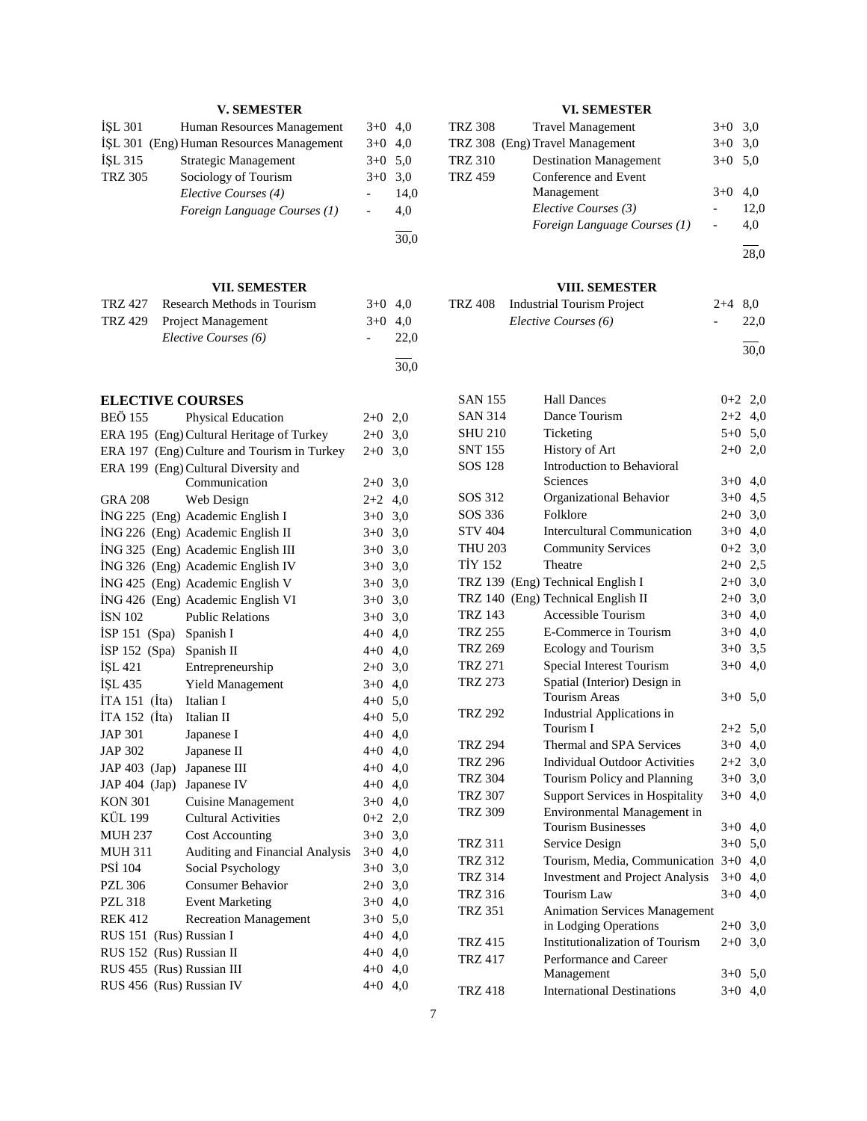# **V. SEMESTER**

| İŞL 301<br>İŞL 315<br>TRZ 305 | Human Resources Management<br>İŞL 301 (Eng) Human Resources Management<br>Strategic Management<br>Sociology of Tourism<br>Elective Courses (4)<br>Foreign Language Courses (1) | $3+0$<br>$3+0$<br>$3+0$<br>$3+0$ | 4,0<br>4,0<br>5,0<br>3,0<br>14,0<br>4,0<br>30,0 |
|-------------------------------|--------------------------------------------------------------------------------------------------------------------------------------------------------------------------------|----------------------------------|-------------------------------------------------|
|                               | VII. SEMESTER                                                                                                                                                                  |                                  |                                                 |
| <b>TRZ 427</b>                | Research Methods in Tourism                                                                                                                                                    | $3+0$                            | 4,0                                             |
| TRZ 429                       | Project Management                                                                                                                                                             | $3+0$                            | 4,0                                             |
|                               | Elective Courses (6)                                                                                                                                                           |                                  | 22,0                                            |
|                               |                                                                                                                                                                                |                                  | 30,0                                            |
| <b>ELECTIVE COURSES</b>       |                                                                                                                                                                                |                                  |                                                 |
| <b>BEÖ 155</b>                | Physical Education                                                                                                                                                             | $2+0$                            | 2,0                                             |
|                               | ERA 195 (Eng) Cultural Heritage of Turkey                                                                                                                                      | $2 + 0$                          | 3,0                                             |
|                               | ERA 197 (Eng) Culture and Tourism in Turkey                                                                                                                                    | $2+0$                            | 3,0                                             |
|                               | ERA 199 (Eng) Cultural Diversity and                                                                                                                                           |                                  |                                                 |
|                               | Communication                                                                                                                                                                  | $2+0$                            | 3,0                                             |
| <b>GRA 208</b>                | Web Design                                                                                                                                                                     | $2+2$                            | 4,0                                             |
|                               | İNG 225 (Eng) Academic English I                                                                                                                                               | $3+0$                            | 3,0                                             |
|                               | İNG 226 (Eng) Academic English II                                                                                                                                              | $3+0$                            | 3,0                                             |
|                               | İNG 325 (Eng) Academic English III                                                                                                                                             | $3 + 0$                          | 3,0                                             |
|                               | İNG 326 (Eng) Academic English IV                                                                                                                                              | $3 + 0$                          | 3,0                                             |
|                               | İNG 425 (Eng) Academic English V                                                                                                                                               | $3 + 0$                          | 3,0                                             |
|                               | İNG 426 (Eng) Academic English VI                                                                                                                                              | $3 + 0$                          | 3,0                                             |
| <b>İSN 102</b>                | <b>Public Relations</b>                                                                                                                                                        | $3 + 0$                          | 3,0                                             |
| $ISP 151$ (Spa)               | Spanish I                                                                                                                                                                      | $4 + 0$                          | 4,0                                             |
| $ISP 152$ (Spa)               | Spanish II                                                                                                                                                                     | $4 + 0$                          | 4,0                                             |
| İŞL 421                       | Entrepreneurship                                                                                                                                                               | $2 + 0$                          | 3,0                                             |
| İŞL 435                       | Yield Management                                                                                                                                                               | $3 + 0$                          | 4,0                                             |
| $ITA 151$ (Ita)               | Italian I                                                                                                                                                                      | $4 + 0$                          | 5,0                                             |
| $ITA 152$ (Ita)               | Italian II                                                                                                                                                                     | $4 + 0$                          | 5,0                                             |
| <b>JAP 301</b>                | Japanese I                                                                                                                                                                     | $4 + 0$                          | 4,0                                             |
| <b>JAP 302</b>                | Japanese II                                                                                                                                                                    | $4+0$ 4,0                        |                                                 |
| JAP 403 (Jap)                 | Japanese III                                                                                                                                                                   | $4 + 0$                          | 4,0                                             |
| JAP 404 (Jap)                 | Japanese IV                                                                                                                                                                    | $4 + 0$                          | 4,0                                             |
| <b>KON 301</b>                | <b>Cuisine Management</b>                                                                                                                                                      | $3+0$                            | 4,0                                             |
| KÜL 199                       | <b>Cultural Activities</b>                                                                                                                                                     | $0 + 2$                          | 2,0                                             |
| MUH 237                       | <b>Cost Accounting</b>                                                                                                                                                         | $3+0$                            | 3,0                                             |
| <b>MUH 311</b>                | Auditing and Financial Analysis                                                                                                                                                | $3+0$                            | 4,0                                             |
| PSİ 104                       | Social Psychology                                                                                                                                                              | $3+0$                            | 3,0                                             |
| <b>PZL 306</b>                | <b>Consumer Behavior</b>                                                                                                                                                       | $2 + 0$                          | 3,0                                             |
| <b>PZL 318</b>                | <b>Event Marketing</b>                                                                                                                                                         | $3+0$                            | 4,0                                             |
| <b>REK 412</b>                | <b>Recreation Management</b>                                                                                                                                                   | $3+0$                            | 5,0                                             |
| RUS 151 (Rus) Russian I       |                                                                                                                                                                                | $4 + 0$                          | 4,0                                             |
| RUS 152 (Rus) Russian II      |                                                                                                                                                                                | $4 + 0$                          | 4,0                                             |
| RUS 455 (Rus) Russian III     |                                                                                                                                                                                | $4 + 0$                          | 4,0                                             |
| RUS 456 (Rus) Russian IV      |                                                                                                                                                                                | $4 + 0$                          | 4,0                                             |

# **VI. SEMESTER**

| <b>TRZ 308</b> | <b>Travel Management</b>        | $3+0$ 3.0 |      |
|----------------|---------------------------------|-----------|------|
|                | TRZ 308 (Eng) Travel Management | $3+0$ 3.0 |      |
| <b>TRZ 310</b> | <b>Destination Management</b>   | $3+0$ 5.0 |      |
| <b>TRZ 459</b> | Conference and Event            |           |      |
|                | Management                      | $3+0$     | 4.0  |
|                | Elective Courses (3)            |           | 12.0 |
|                | Foreign Language Courses (1)    |           | 4,0  |
|                |                                 |           |      |

28,0

# **VIII. SEMESTER**

| TRZ 408 Industrial Tourism Project | $2+4$ 8.0 |      |
|------------------------------------|-----------|------|
| Elective Courses (6)               |           | 22.0 |
|                                    |           |      |

30,0

| <b>SAN 155</b> | <b>Hall Dances</b>                     | $0 + 2$ | 2,0 |
|----------------|----------------------------------------|---------|-----|
| <b>SAN 314</b> | Dance Tourism                          | $2 + 2$ | 4,0 |
| <b>SHU 210</b> | Ticketing                              | $5 + 0$ | 5,0 |
| <b>SNT 155</b> | History of Art                         | $2 + 0$ | 2,0 |
| <b>SOS 128</b> | Introduction to Behavioral             |         |     |
|                | Sciences                               | $3+0$   | 4,0 |
| SOS 312        | Organizational Behavior                | $3+0$   | 4,5 |
| SOS 336        | Folklore                               | $2+0$   | 3,0 |
| <b>STV 404</b> | <b>Intercultural Communication</b>     | $3+0$   | 4,0 |
| <b>THU 203</b> | <b>Community Services</b>              | $0 + 2$ | 3,0 |
| <b>TİY 152</b> | Theatre                                | $2+0$   | 2,5 |
| <b>TRZ 139</b> | (Eng) Technical English I              | $2+0$   | 3,0 |
| <b>TRZ 140</b> | (Eng) Technical English II             | $2+0$   | 3,0 |
| <b>TRZ 143</b> | Accessible Tourism                     | $3+0$   | 4,0 |
| <b>TRZ 255</b> | E-Commerce in Tourism                  | $3+0$   | 4,0 |
| <b>TRZ 269</b> | Ecology and Tourism                    | $3+0$   | 3,5 |
| <b>TRZ 271</b> | Special Interest Tourism               | $3+0$   | 4,0 |
| <b>TRZ 273</b> | Spatial (Interior) Design in           |         |     |
|                | Tourism Areas                          | $3+0$   | 5,0 |
| <b>TRZ 292</b> | Industrial Applications in             |         |     |
|                | Tourism I                              | $2 + 2$ | 5,0 |
| <b>TRZ 294</b> | Thermal and SPA Services               | $3+0$   | 4,0 |
| <b>TRZ 296</b> | <b>Individual Outdoor Activities</b>   | $2+2$   | 3,0 |
| <b>TRZ 304</b> | Tourism Policy and Planning            | $3+0$   | 3,0 |
| <b>TRZ 307</b> | <b>Support Services in Hospitality</b> | $3+0$   | 4,0 |
| <b>TRZ 309</b> | Environmental Management in            |         |     |
|                | <b>Tourism Businesses</b>              | $3+0$   | 4,0 |
| <b>TRZ 311</b> | Service Design                         | $3+0$   | 5,0 |
| <b>TRZ 312</b> | Tourism, Media, Communication          | $3 + 0$ | 4,0 |
| <b>TRZ 314</b> | <b>Investment and Project Analysis</b> | $3+0$   | 4,0 |
| <b>TRZ 316</b> | <b>Tourism Law</b>                     | $3+0$   | 4,0 |
| <b>TRZ 351</b> | <b>Animation Services Management</b>   |         |     |
|                | in Lodging Operations                  | $2+0$   | 3,0 |
| <b>TRZ 415</b> | <b>Institutionalization of Tourism</b> | $2+0$   | 3,0 |
| <b>TRZ 417</b> | Performance and Career                 |         |     |
|                | Management                             | $3+0$   | 5,0 |
| <b>TRZ 418</b> | <b>International Destinations</b>      | $3+0$   | 4,0 |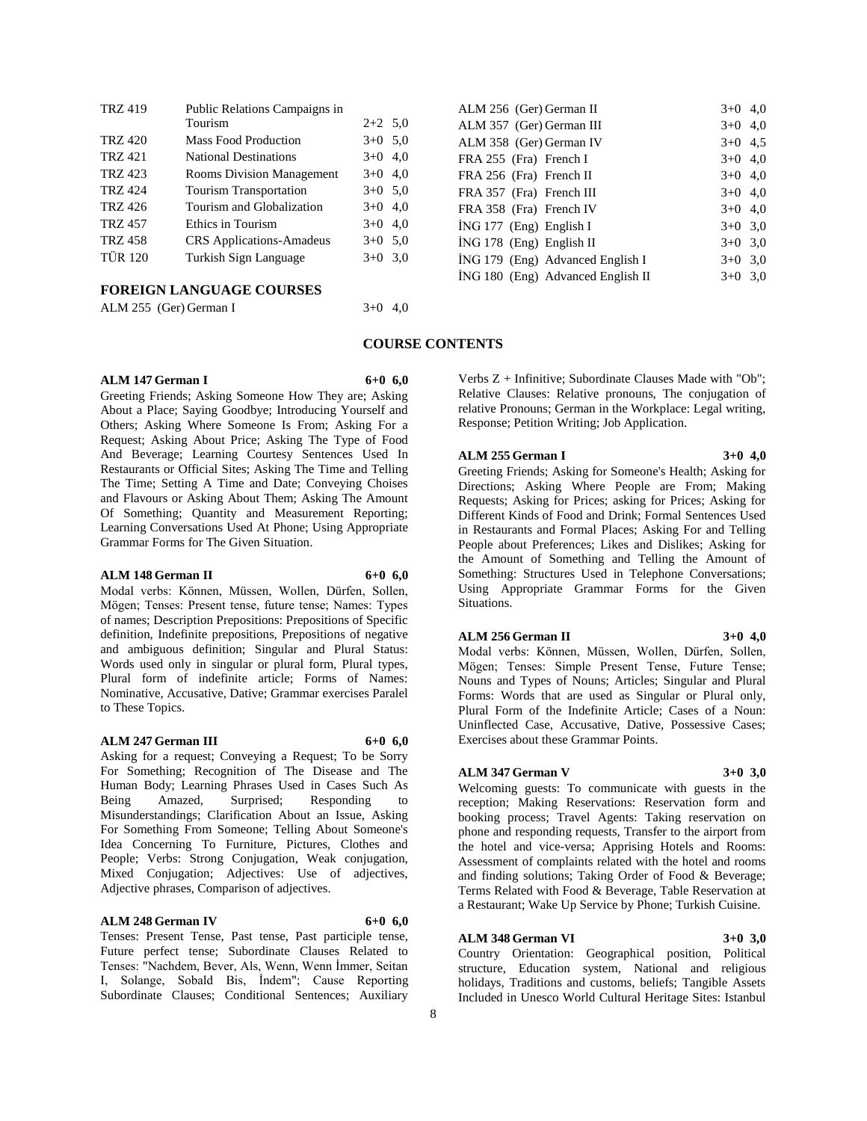| <b>TRZ 419</b> | Public Relations Campaigns in<br>Tourism | $2+2$ 5.0 |     |
|----------------|------------------------------------------|-----------|-----|
| <b>TRZ 420</b> | <b>Mass Food Production</b>              | $3+0$ 5.0 |     |
| <b>TRZ 421</b> | <b>National Destinations</b>             | $3+0$ 4,0 |     |
| <b>TRZ 423</b> | <b>Rooms Division Management</b>         | $3+0$ 4,0 |     |
| <b>TRZ 424</b> | <b>Tourism Transportation</b>            | $3+0$ 5.0 |     |
| <b>TRZ 426</b> | Tourism and Globalization                | $3+0$ 4,0 |     |
| <b>TRZ 457</b> | Ethics in Tourism                        | $3+0$     | 4.0 |
| <b>TRZ 458</b> | <b>CRS</b> Applications-Amadeus          | $3+0$ 5.0 |     |
| <b>TÜR 120</b> | Turkish Sign Language                    | $3+0$ 3.0 |     |
|                |                                          |           |     |

# **FOREIGN LANGUAGE COURSES**

| ALM 255 (Ger) German I | $3+0$ 4,0 |
|------------------------|-----------|
|------------------------|-----------|

# **ALM 147 German I 6+0 6,0**

Greeting Friends; Asking Someone How They are; Asking About a Place; Saying Goodbye; Introducing Yourself and Others; Asking Where Someone Is From; Asking For a Request; Asking About Price; Asking The Type of Food And Beverage; Learning Courtesy Sentences Used In Restaurants or Official Sites; Asking The Time and Telling The Time; Setting A Time and Date; Conveying Choises and Flavours or Asking About Them; Asking The Amount Of Something; Quantity and Measurement Reporting; Learning Conversations Used At Phone; Using Appropriate Grammar Forms for The Given Situation.

#### **ALM 148 German II 6+0 6,0**

Modal verbs: Können, Müssen, Wollen, Dürfen, Sollen, Mögen; Tenses: Present tense, future tense; Names: Types of names; Description Prepositions: Prepositions of Specific definition, Indefinite prepositions, Prepositions of negative and ambiguous definition; Singular and Plural Status: Words used only in singular or plural form, Plural types, Plural form of indefinite article; Forms of Names: Nominative, Accusative, Dative; Grammar exercises Paralel to These Topics.

#### **ALM 247 German III 6+0 6,0**

Asking for a request; Conveying a Request; To be Sorry For Something; Recognition of The Disease and The Human Body; Learning Phrases Used in Cases Such As Being Amazed, Surprised; Responding to Misunderstandings; Clarification About an Issue, Asking For Something From Someone; Telling About Someone's Idea Concerning To Furniture, Pictures, Clothes and People; Verbs: Strong Conjugation, Weak conjugation, Mixed Conjugation; Adjectives: Use of adjectives, Adjective phrases, Comparison of adjectives.

#### **ALM 248 German IV 6+0 6,0**

Tenses: Present Tense, Past tense, Past participle tense, Future perfect tense; Subordinate Clauses Related to Tenses: "Nachdem, Bever, Als, Wenn, Wenn İmmer, Seitan I, Solange, Sobald Bis, İndem"; Cause Reporting Subordinate Clauses; Conditional Sentences; Auxiliary

| ALM 256 (Ger) German II           | $3+0$ 4.0 |     |
|-----------------------------------|-----------|-----|
| ALM 357 (Ger) German III          | $3+0$ 4.0 |     |
| ALM 358 (Ger) German IV           | $3+0$ 4.5 |     |
| FRA 255 (Fra) French I            | $3+0$ 4.0 |     |
| FRA 256 (Fra) French II           | $3+0$ 4,0 |     |
| FRA 357 (Fra) French III          | $3+0$ 4.0 |     |
| FRA 358 (Fra) French IV           | $3+0$ 4.0 |     |
| ING 177 (Eng) English I           | $3+0$ 3.0 |     |
| $ING 178$ (Eng) English II        | $3+0$ 3.0 |     |
| ING 179 (Eng) Advanced English I  | $3+0$ 3.0 |     |
| ING 180 (Eng) Advanced English II | $3+0$     | 3,0 |
|                                   |           |     |

# **COURSE CONTENTS**

Verbs Z + Infinitive; Subordinate Clauses Made with "Ob"; Relative Clauses: Relative pronouns, The conjugation of relative Pronouns; German in the Workplace: Legal writing, Response; Petition Writing; Job Application.

# **ALM 255 German I 3+0 4,0**

Greeting Friends; Asking for Someone's Health; Asking for Directions; Asking Where People are From; Making Requests; Asking for Prices; asking for Prices; Asking for Different Kinds of Food and Drink; Formal Sentences Used in Restaurants and Formal Places; Asking For and Telling People about Preferences; Likes and Dislikes; Asking for the Amount of Something and Telling the Amount of Something: Structures Used in Telephone Conversations; Using Appropriate Grammar Forms for the Given Situations.

## **ALM 256 German II 3+0 4,0**

Modal verbs: Können, Müssen, Wollen, Dürfen, Sollen, Mögen; Tenses: Simple Present Tense, Future Tense; Nouns and Types of Nouns; Articles; Singular and Plural Forms: Words that are used as Singular or Plural only, Plural Form of the Indefinite Article; Cases of a Noun: Uninflected Case, Accusative, Dative, Possessive Cases; Exercises about these Grammar Points.

#### **ALM 347 German V 3+0 3,0**

Welcoming guests: To communicate with guests in the reception; Making Reservations: Reservation form and booking process; Travel Agents: Taking reservation on phone and responding requests, Transfer to the airport from the hotel and vice-versa; Apprising Hotels and Rooms: Assessment of complaints related with the hotel and rooms and finding solutions; Taking Order of Food & Beverage; Terms Related with Food & Beverage, Table Reservation at a Restaurant; Wake Up Service by Phone; Turkish Cuisine.

#### **ALM 348 German VI 3+0 3,0**

Country Orientation: Geographical position, Political structure, Education system, National and religious holidays, Traditions and customs, beliefs; Tangible Assets Included in Unesco World Cultural Heritage Sites: Istanbul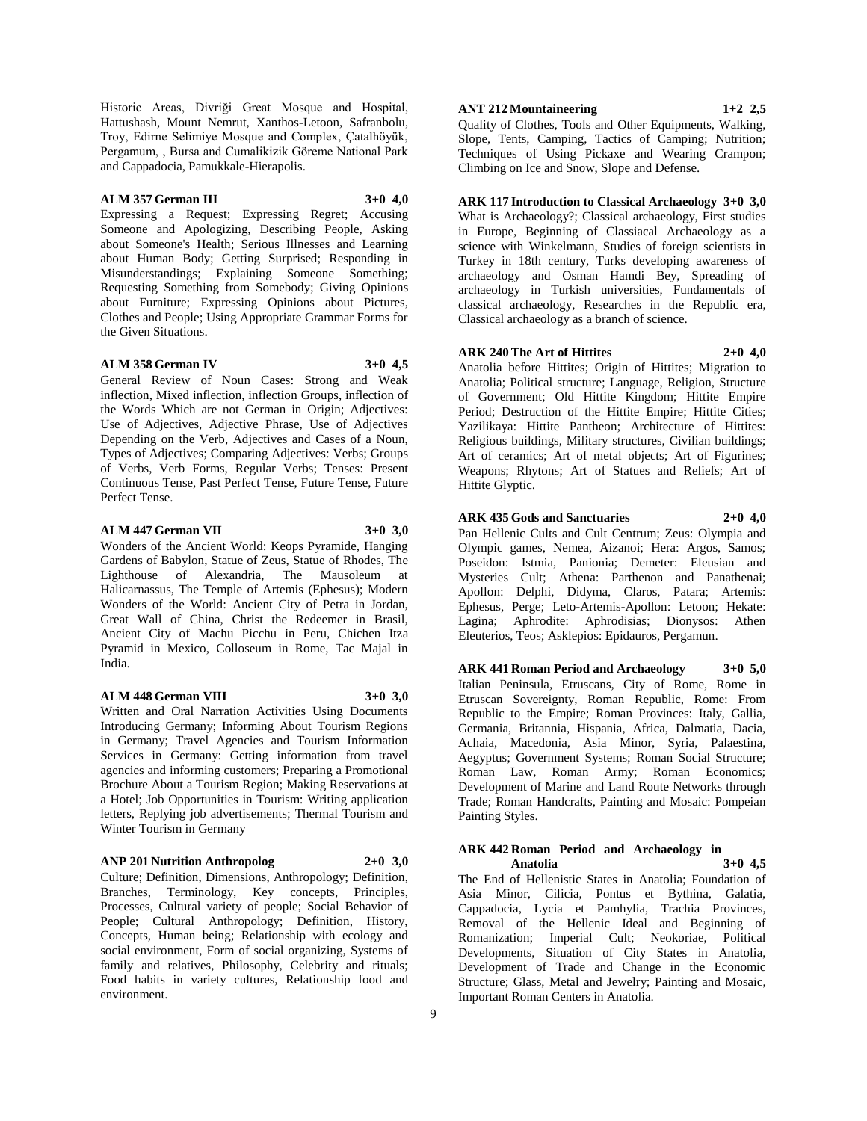Historic Areas, Divriği Great Mosque and Hospital, Hattushash, Mount Nemrut, Xanthos-Letoon, Safranbolu, Troy, Edirne Selimiye Mosque and Complex, Çatalhöyük, Pergamum, , Bursa and Cumalikizik Göreme National Park and Cappadocia, Pamukkale-Hierapolis.

## **ALM 357 German III 3+0 4,0**

Expressing a Request; Expressing Regret; Accusing Someone and Apologizing, Describing People, Asking about Someone's Health; Serious Illnesses and Learning about Human Body; Getting Surprised; Responding in Misunderstandings; Explaining Someone Something; Requesting Something from Somebody; Giving Opinions about Furniture; Expressing Opinions about Pictures, Clothes and People; Using Appropriate Grammar Forms for the Given Situations.

#### **ALM 358 German IV 3+0 4,5**

General Review of Noun Cases: Strong and Weak inflection, Mixed inflection, inflection Groups, inflection of the Words Which are not German in Origin; Adjectives: Use of Adjectives, Adjective Phrase, Use of Adjectives Depending on the Verb, Adjectives and Cases of a Noun, Types of Adjectives; Comparing Adjectives: Verbs; Groups of Verbs, Verb Forms, Regular Verbs; Tenses: Present Continuous Tense, Past Perfect Tense, Future Tense, Future Perfect Tense.

#### **ALM 447 German VII 3+0 3,0**

Wonders of the Ancient World: Keops Pyramide, Hanging Gardens of Babylon, Statue of Zeus, Statue of Rhodes, The Lighthouse of Alexandria, The Mausoleum at Halicarnassus, The Temple of Artemis (Ephesus); Modern Wonders of the World: Ancient City of Petra in Jordan, Great Wall of China, Christ the Redeemer in Brasil, Ancient City of Machu Picchu in Peru, Chichen Itza Pyramid in Mexico, Colloseum in Rome, Tac Majal in India.

### **ALM 448 German VIII 3+0 3,0**

Written and Oral Narration Activities Using Documents Introducing Germany; Informing About Tourism Regions in Germany; Travel Agencies and Tourism Information Services in Germany: Getting information from travel agencies and informing customers; Preparing a Promotional Brochure About a Tourism Region; Making Reservations at a Hotel; Job Opportunities in Tourism: Writing application letters, Replying job advertisements; Thermal Tourism and Winter Tourism in Germany

**ANP 201 Nutrition Anthropolog 2+0 3,0**

Culture; Definition, Dimensions, Anthropology; Definition, Branches, Terminology, Key concepts, Principles, Processes, Cultural variety of people; Social Behavior of People; Cultural Anthropology; Definition, History, Concepts, Human being; Relationship with ecology and social environment, Form of social organizing, Systems of family and relatives, Philosophy, Celebrity and rituals; Food habits in variety cultures, Relationship food and environment.

#### **ANT 212 Mountaineering 1+2 2,5**

Quality of Clothes, Tools and Other Equipments, Walking, Slope, Tents, Camping, Tactics of Camping; Nutrition; Techniques of Using Pickaxe and Wearing Crampon; Climbing on Ice and Snow, Slope and Defense.

**ARK 117 Introduction to Classical Archaeology 3+0 3,0** What is Archaeology?; Classical archaeology, First studies in Europe, Beginning of Classiacal Archaeology as a science with Winkelmann, Studies of foreign scientists in Turkey in 18th century, Turks developing awareness of archaeology and Osman Hamdi Bey, Spreading of archaeology in Turkish universities, Fundamentals of classical archaeology, Researches in the Republic era, Classical archaeology as a branch of science.

# **ARK 240 The Art of Hittites 2+0 4,0**

Anatolia before Hittites; Origin of Hittites; Migration to Anatolia; Political structure; Language, Religion, Structure of Government; Old Hittite Kingdom; Hittite Empire Period: Destruction of the Hittite Empire: Hittite Cities: Yazilikaya: Hittite Pantheon; Architecture of Hittites: Religious buildings, Military structures, Civilian buildings; Art of ceramics; Art of metal objects; Art of Figurines; Weapons; Rhytons; Art of Statues and Reliefs; Art of Hittite Glyptic.

**ARK 435 Gods and Sanctuaries 2+0 4,0** Pan Hellenic Cults and Cult Centrum; Zeus: Olympia and Olympic games, Nemea, Aizanoi; Hera: Argos, Samos; Poseidon: Istmia, Panionia; Demeter: Eleusian and Mysteries Cult; Athena: Parthenon and Panathenai; Apollon: Delphi, Didyma, Claros, Patara; Artemis: Ephesus, Perge; Leto-Artemis-Apollon: Letoon; Hekate: Lagina; Aphrodite: Aphrodisias; Dionysos: Athen Eleuterios, Teos; Asklepios: Epidauros, Pergamun.

**ARK 441 Roman Period and Archaeology 3+0 5,0** Italian Peninsula, Etruscans, City of Rome, Rome in Etruscan Sovereignty, Roman Republic, Rome: From Republic to the Empire; Roman Provinces: Italy, Gallia, Germania, Britannia, Hispania, Africa, Dalmatia, Dacia, Achaia, Macedonia, Asia Minor, Syria, Palaestina, Aegyptus; Government Systems; Roman Social Structure; Roman Law, Roman Army; Roman Economics; Development of Marine and Land Route Networks through Trade; Roman Handcrafts, Painting and Mosaic: Pompeian Painting Styles.

## **ARK 442 Roman Period and Archaeology in Anatolia 3+0 4,5**

The End of Hellenistic States in Anatolia; Foundation of Asia Minor, Cilicia, Pontus et Bythina, Galatia, Cappadocia, Lycia et Pamhylia, Trachia Provinces, Removal of the Hellenic Ideal and Beginning of Romanization; Imperial Cult; Neokoriae, Political Developments, Situation of City States in Anatolia, Development of Trade and Change in the Economic Structure; Glass, Metal and Jewelry; Painting and Mosaic, Important Roman Centers in Anatolia.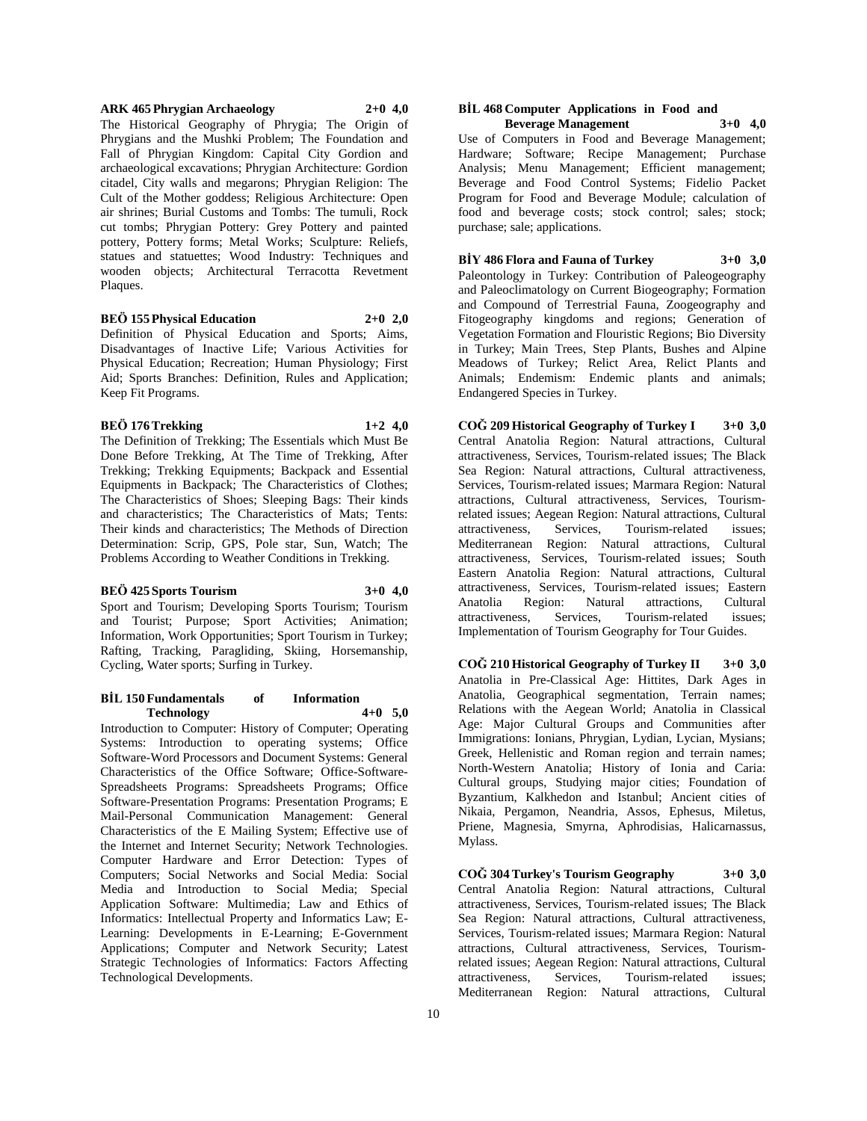#### **ARK 465 Phrygian Archaeology 2+0 4,0**

The Historical Geography of Phrygia; The Origin of Phrygians and the Mushki Problem; The Foundation and Fall of Phrygian Kingdom: Capital City Gordion and archaeological excavations; Phrygian Architecture: Gordion citadel, City walls and megarons; Phrygian Religion: The Cult of the Mother goddess; Religious Architecture: Open air shrines; Burial Customs and Tombs: The tumuli, Rock cut tombs; Phrygian Pottery: Grey Pottery and painted pottery, Pottery forms; Metal Works; Sculpture: Reliefs, statues and statuettes; Wood Industry: Techniques and wooden objects; Architectural Terracotta Revetment Plaques.

# **BEÖ 155 Physical Education 2+0 2,0**

Definition of Physical Education and Sports; Aims, Disadvantages of Inactive Life; Various Activities for Physical Education; Recreation; Human Physiology; First Aid; Sports Branches: Definition, Rules and Application; Keep Fit Programs.

#### **BEÖ 176 Trekking 1+2 4,0**

The Definition of Trekking; The Essentials which Must Be Done Before Trekking, At The Time of Trekking, After Trekking; Trekking Equipments; Backpack and Essential Equipments in Backpack; The Characteristics of Clothes; The Characteristics of Shoes; Sleeping Bags: Their kinds and characteristics; The Characteristics of Mats; Tents: Their kinds and characteristics; The Methods of Direction Determination: Scrip, GPS, Pole star, Sun, Watch; The Problems According to Weather Conditions in Trekking.

#### **BEÖ 425 Sports Tourism 3+0 4,0**

Sport and Tourism; Developing Sports Tourism; Tourism and Tourist; Purpose; Sport Activities; Animation; Information, Work Opportunities; Sport Tourism in Turkey; Rafting, Tracking, Paragliding, Skiing, Horsemanship, Cycling, Water sports; Surfing in Turkey.

#### **BİL 150 Fundamentals of Information Technology 4+0 5,0**

Introduction to Computer: History of Computer; Operating Systems: Introduction to operating systems; Office Software-Word Processors and Document Systems: General Characteristics of the Office Software; Office-Software-Spreadsheets Programs: Spreadsheets Programs; Office Software-Presentation Programs: Presentation Programs; E Mail-Personal Communication Management: General Characteristics of the E Mailing System; Effective use of the Internet and Internet Security; Network Technologies. Computer Hardware and Error Detection: Types of Computers; Social Networks and Social Media: Social Media and Introduction to Social Media; Special Application Software: Multimedia; Law and Ethics of Informatics: Intellectual Property and Informatics Law; E-Learning: Developments in E-Learning; E-Government Applications; Computer and Network Security; Latest Strategic Technologies of Informatics: Factors Affecting Technological Developments.

#### **BİL 468 Computer Applications in Food and Beverage Management 3+0 4,0**

Use of Computers in Food and Beverage Management; Hardware; Software; Recipe Management; Purchase Analysis; Menu Management; Efficient management; Beverage and Food Control Systems; Fidelio Packet Program for Food and Beverage Module; calculation of food and beverage costs; stock control; sales; stock; purchase; sale; applications.

**BİY 486 Flora and Fauna of Turkey 3+0 3,0** Paleontology in Turkey: Contribution of Paleogeography and Paleoclimatology on Current Biogeography; Formation and Compound of Terrestrial Fauna, Zoogeography and Fitogeography kingdoms and regions; Generation of Vegetation Formation and Flouristic Regions; Bio Diversity in Turkey; Main Trees, Step Plants, Bushes and Alpine Meadows of Turkey; Relict Area, Relict Plants and Animals; Endemism: Endemic plants and animals; Endangered Species in Turkey.

**COĞ 209 Historical Geography of Turkey I 3+0 3,0** Central Anatolia Region: Natural attractions, Cultural attractiveness, Services, Tourism-related issues; The Black Sea Region: Natural attractions, Cultural attractiveness, Services, Tourism-related issues; Marmara Region: Natural attractions, Cultural attractiveness, Services, Tourismrelated issues; Aegean Region: Natural attractions, Cultural attractiveness, Services, Tourism-related issues; Mediterranean Region: Natural attractions, Cultural attractiveness, Services, Tourism-related issues; South Eastern Anatolia Region: Natural attractions, Cultural attractiveness, Services, Tourism-related issues; Eastern Anatolia Region: Natural attractions, Cultural attractiveness, Services, Tourism-related issues; Implementation of Tourism Geography for Tour Guides.

**COĞ 210 Historical Geography of Turkey II 3+0 3,0** Anatolia in Pre-Classical Age: Hittites, Dark Ages in Anatolia, Geographical segmentation, Terrain names; Relations with the Aegean World; Anatolia in Classical Age: Major Cultural Groups and Communities after Immigrations: Ionians, Phrygian, Lydian, Lycian, Mysians; Greek, Hellenistic and Roman region and terrain names; North-Western Anatolia; History of Ionia and Caria: Cultural groups, Studying major cities; Foundation of Byzantium, Kalkhedon and Istanbul; Ancient cities of Nikaia, Pergamon, Neandria, Assos, Ephesus, Miletus, Priene, Magnesia, Smyrna, Aphrodisias, Halicarnassus, Mylass.

**COĞ 304 Turkey's Tourism Geography 3+0 3,0** Central Anatolia Region: Natural attractions, Cultural attractiveness, Services, Tourism-related issues; The Black Sea Region: Natural attractions, Cultural attractiveness, Services, Tourism-related issues; Marmara Region: Natural attractions, Cultural attractiveness, Services, Tourismrelated issues; Aegean Region: Natural attractions, Cultural attractiveness, Services, Tourism-related issues; Mediterranean Region: Natural attractions, Cultural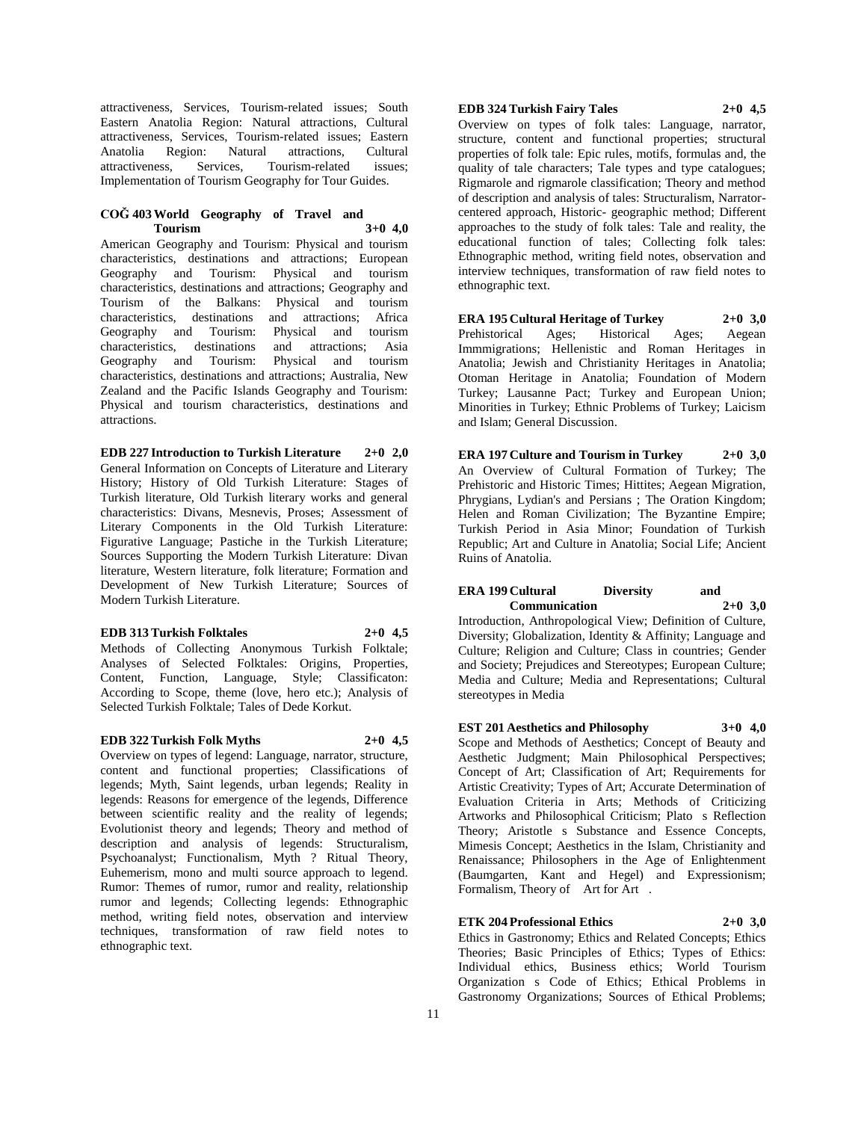attractiveness, Services, Tourism-related issues; South Eastern Anatolia Region: Natural attractions, Cultural attractiveness, Services, Tourism-related issues; Eastern Anatolia Region: Natural attractions, Cultural Services, Tourism-related issues; Implementation of Tourism Geography for Tour Guides.

#### **COĞ 403 World Geography of Travel and Tourism 3+0 4,0**

American Geography and Tourism: Physical and tourism characteristics, destinations and attractions; European Geography and Tourism: characteristics, destinations and attractions; Geography and Tourism of the Balkans: Physical and tourism characteristics, destinations and attractions; Africa Geography and Tourism: Physical and tourism characteristics, destinations and attractions; Asia Geography and Tourism: Physical and tourism characteristics, destinations and attractions; Australia, New Zealand and the Pacific Islands Geography and Tourism: Physical and tourism characteristics, destinations and attractions.

**EDB 227 Introduction to Turkish Literature 2+0 2,0** General Information on Concepts of Literature and Literary History; History of Old Turkish Literature: Stages of Turkish literature, Old Turkish literary works and general characteristics: Divans, Mesnevis, Proses; Assessment of Literary Components in the Old Turkish Literature: Figurative Language; Pastiche in the Turkish Literature; Sources Supporting the Modern Turkish Literature: Divan literature, Western literature, folk literature; Formation and Development of New Turkish Literature; Sources of Modern Turkish Literature.

#### **EDB 313 Turkish Folktales 2+0 4,5**

Methods of Collecting Anonymous Turkish Folktale; Analyses of Selected Folktales: Origins, Properties, Content, Function, Language, Style; Classificaton: According to Scope, theme (love, hero etc.); Analysis of Selected Turkish Folktale; Tales of Dede Korkut.

#### **EDB 322 Turkish Folk Myths 2+0 4,5**

Overview on types of legend: Language, narrator, structure, content and functional properties; Classifications of legends; Myth, Saint legends, urban legends; Reality in legends: Reasons for emergence of the legends, Difference between scientific reality and the reality of legends; Evolutionist theory and legends; Theory and method of description and analysis of legends: Structuralism, Psychoanalyst; Functionalism, Myth ? Ritual Theory, Euhemerism, mono and multi source approach to legend. Rumor: Themes of rumor, rumor and reality, relationship rumor and legends; Collecting legends: Ethnographic method, writing field notes, observation and interview techniques, transformation of raw field notes to ethnographic text.

#### **EDB 324 Turkish Fairy Tales 2+0 4,5**

ethnographic text.

Overview on types of folk tales: Language, narrator, structure, content and functional properties; structural properties of folk tale: Epic rules, motifs, formulas and, the quality of tale characters; Tale types and type catalogues; Rigmarole and rigmarole classification; Theory and method of description and analysis of tales: Structuralism, Narratorcentered approach, Historic- geographic method; Different approaches to the study of folk tales: Tale and reality, the educational function of tales; Collecting folk tales: Ethnographic method, writing field notes, observation and

**ERA 195 Cultural Heritage of Turkey 2+0 3,0** Prehistorical Ages; Historical Ages; Aegean Immmigrations; Hellenistic and Roman Heritages in Anatolia; Jewish and Christianity Heritages in Anatolia; Otoman Heritage in Anatolia; Foundation of Modern Turkey; Lausanne Pact; Turkey and European Union; Minorities in Turkey; Ethnic Problems of Turkey; Laicism and Islam; General Discussion.

interview techniques, transformation of raw field notes to

**ERA 197 Culture and Tourism in Turkey 2+0 3,0** An Overview of Cultural Formation of Turkey; The Prehistoric and Historic Times; Hittites; Aegean Migration, Phrygians, Lydian's and Persians ; The Oration Kingdom; Helen and Roman Civilization; The Byzantine Empire; Turkish Period in Asia Minor; Foundation of Turkish Republic; Art and Culture in Anatolia; Social Life; Ancient Ruins of Anatolia.

# **ERA 199 Cultural Diversity and Communication 2+0 3,0**

Introduction, Anthropological View; Definition of Culture, Diversity; Globalization, Identity & Affinity; Language and Culture; Religion and Culture; Class in countries; Gender and Society; Prejudices and Stereotypes; European Culture; Media and Culture; Media and Representations; Cultural stereotypes in Media

**EST 201 Aesthetics and Philosophy 3+0 4,0**

Scope and Methods of Aesthetics; Concept of Beauty and Aesthetic Judgment; Main Philosophical Perspectives; Concept of Art; Classification of Art; Requirements for Artistic Creativity; Types of Art; Accurate Determination of Evaluation Criteria in Arts; Methods of Criticizing Artworks and Philosophical Criticism; Plato s Reflection Theory; Aristotle s Substance and Essence Concepts, Mimesis Concept; Aesthetics in the Islam, Christianity and Renaissance; Philosophers in the Age of Enlightenment (Baumgarten, Kant and Hegel) and Expressionism; Formalism, Theory of Art for Art.

# **ETK 204 Professional Ethics 2+0 3,0**

Ethics in Gastronomy; Ethics and Related Concepts; Ethics Theories; Basic Principles of Ethics; Types of Ethics: Individual ethics, Business ethics; World Tourism Organization s Code of Ethics; Ethical Problems in Gastronomy Organizations; Sources of Ethical Problems;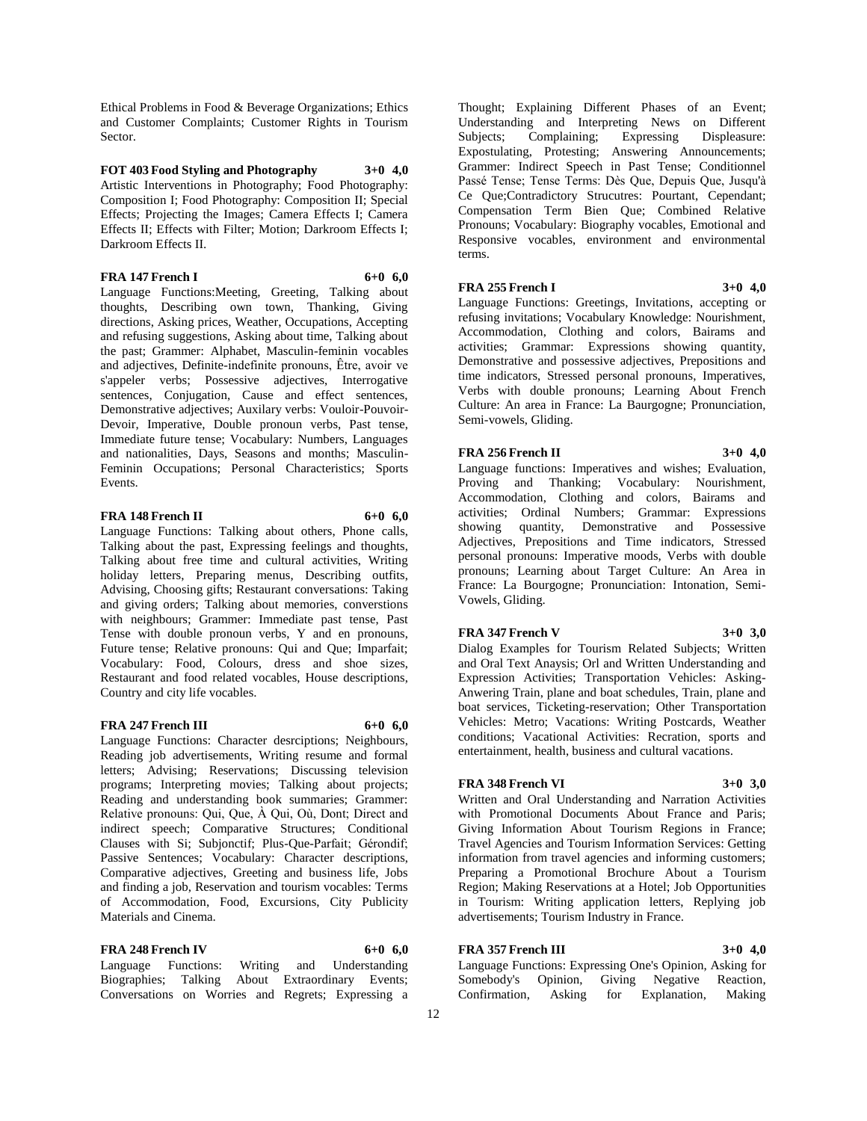Ethical Problems in Food & Beverage Organizations; Ethics and Customer Complaints; Customer Rights in Tourism Sector.

## **FOT 403 Food Styling and Photography 3+0 4,0** Artistic Interventions in Photography; Food Photography: Composition I; Food Photography: Composition II; Special Effects; Projecting the Images; Camera Effects I; Camera Effects II; Effects with Filter; Motion; Darkroom Effects I;

**FRA 147 French I 6+0 6,0**

Language Functions:Meeting, Greeting, Talking about thoughts, Describing own town, Thanking, Giving directions, Asking prices, Weather, Occupations, Accepting and refusing suggestions, Asking about time, Talking about the past; Grammer: Alphabet, Masculin-feminin vocables and adjectives, Definite-indefinite pronouns, Être, avoir ve s'appeler verbs; Possessive adjectives, Interrogative sentences, Conjugation, Cause and effect sentences, Demonstrative adjectives; Auxilary verbs: Vouloir-Pouvoir-Devoir, Imperative, Double pronoun verbs, Past tense, Immediate future tense; Vocabulary: Numbers, Languages and nationalities, Days, Seasons and months; Masculin-Feminin Occupations; Personal Characteristics; Sports Events.

#### **FRA 148 French II** 6+0 **6.0**

Darkroom Effects II.

Language Functions: Talking about others, Phone calls, Talking about the past, Expressing feelings and thoughts, Talking about free time and cultural activities, Writing holiday letters, Preparing menus, Describing outfits, Advising, Choosing gifts; Restaurant conversations: Taking and giving orders; Talking about memories, converstions with neighbours; Grammer: Immediate past tense, Past Tense with double pronoun verbs, Y and en pronouns, Future tense; Relative pronouns: Qui and Que; Imparfait; Vocabulary: Food, Colours, dress and shoe sizes, Restaurant and food related vocables, House descriptions, Country and city life vocables.

# **FRA 247 French III 6+0 6,0**

Language Functions: Character desrciptions; Neighbours, Reading job advertisements, Writing resume and formal letters; Advising; Reservations; Discussing television programs; Interpreting movies; Talking about projects; Reading and understanding book summaries; Grammer: Relative pronouns: Qui, Que, À Qui, Où, Dont; Direct and indirect speech; Comparative Structures; Conditional Clauses with Si; Subjonctif; Plus-Que-Parfait; Gérondif; Passive Sentences; Vocabulary: Character descriptions, Comparative adjectives, Greeting and business life, Jobs and finding a job, Reservation and tourism vocables: Terms of Accommodation, Food, Excursions, City Publicity Materials and Cinema.

**FRA** 248 French IV 6+0 6,0 Language Functions: Writing and Understanding Biographies; Talking About Extraordinary Events; Conversations on Worries and Regrets; Expressing a Thought; Explaining Different Phases of an Event; Understanding and Interpreting News on Different Subjects; Complaining; Expressing Displeasure: Subjects; Complaining; Expressing Expostulating, Protesting; Answering Announcements; Grammer: Indirect Speech in Past Tense; Conditionnel Passé Tense; Tense Terms: Dès Que, Depuis Que, Jusqu'à Ce Que;Contradictory Strucutres: Pourtant, Cependant; Compensation Term Bien Que; Combined Relative Pronouns; Vocabulary: Biography vocables, Emotional and Responsive vocables, environment and environmental terms.

# **FRA 255 French I 3+0 4,0**

Language Functions: Greetings, Invitations, accepting or refusing invitations; Vocabulary Knowledge: Nourishment, Accommodation, Clothing and colors, Bairams and activities; Grammar: Expressions showing quantity, Demonstrative and possessive adjectives, Prepositions and time indicators, Stressed personal pronouns, Imperatives, Verbs with double pronouns; Learning About French Culture: An area in France: La Baurgogne; Pronunciation, Semi-vowels, Gliding.

# **FRA 256 French II 3+0 4,0**

Language functions: Imperatives and wishes; Evaluation, Proving and Thanking; Vocabulary: Nourishment, Accommodation, Clothing and colors, Bairams and activities; Ordinal Numbers; Grammar: Expressions showing quantity, Demonstrative and Possessive Adjectives, Prepositions and Time indicators, Stressed personal pronouns: Imperative moods, Verbs with double pronouns; Learning about Target Culture: An Area in France: La Bourgogne; Pronunciation: Intonation, Semi-Vowels, Gliding.

#### **FRA** 347 French V 3+0 3,0

Dialog Examples for Tourism Related Subjects; Written and Oral Text Anaysis; Orl and Written Understanding and Expression Activities; Transportation Vehicles: Asking-Anwering Train, plane and boat schedules, Train, plane and boat services, Ticketing-reservation; Other Transportation Vehicles: Metro; Vacations: Writing Postcards, Weather conditions; Vacational Activities: Recration, sports and entertainment, health, business and cultural vacations.

# **FRA 348 French VI 3+0 3,0**

Written and Oral Understanding and Narration Activities with Promotional Documents About France and Paris; Giving Information About Tourism Regions in France; Travel Agencies and Tourism Information Services: Getting information from travel agencies and informing customers; Preparing a Promotional Brochure About a Tourism Region; Making Reservations at a Hotel; Job Opportunities in Tourism: Writing application letters, Replying job advertisements; Tourism Industry in France.

# **FRA 357 French III 3+0 4,0**

Language Functions: Expressing One's Opinion, Asking for Somebody's Opinion, Giving Negative Reaction, Confirmation, Asking for Explanation, Making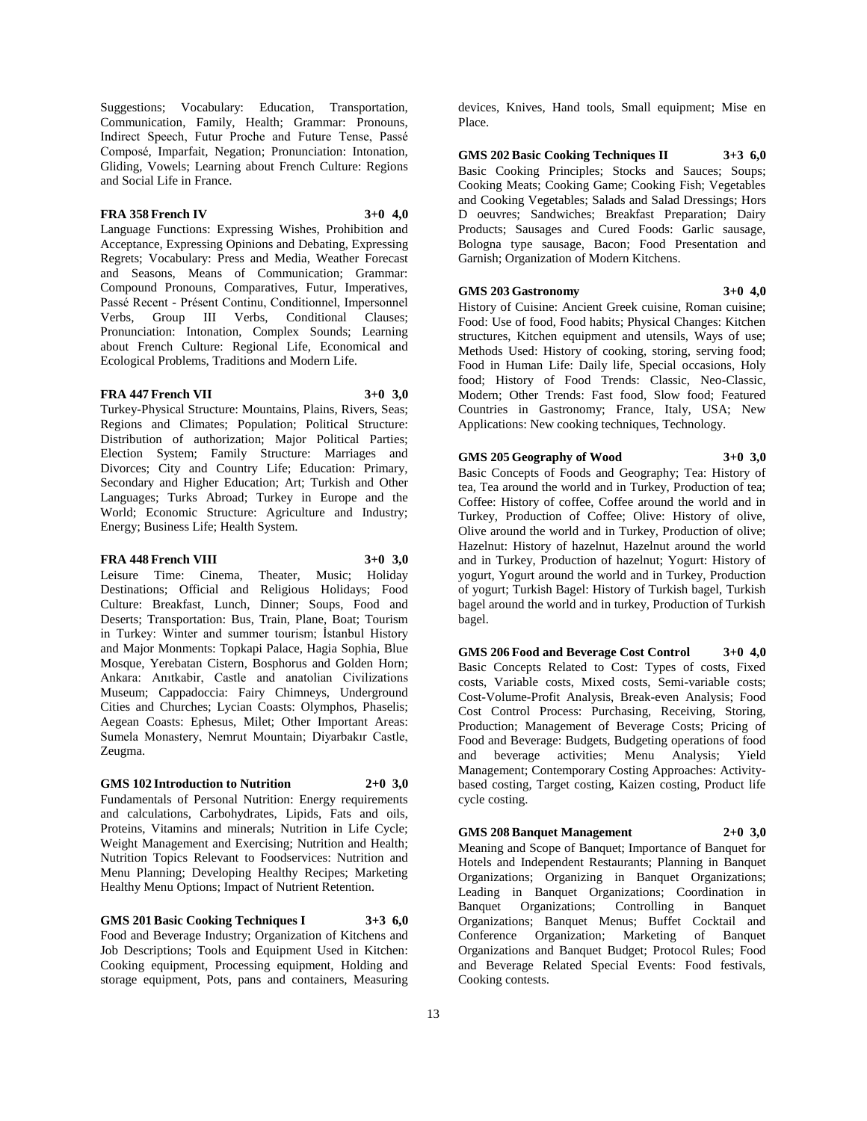Suggestions; Vocabulary: Education, Transportation, Communication, Family, Health; Grammar: Pronouns, Indirect Speech, Futur Proche and Future Tense, Passé Composé, Imparfait, Negation; Pronunciation: Intonation, Gliding, Vowels; Learning about French Culture: Regions and Social Life in France.

# **FRA 358 French IV 3+0 4,0**

Language Functions: Expressing Wishes, Prohibition and Acceptance, Expressing Opinions and Debating, Expressing Regrets; Vocabulary: Press and Media, Weather Forecast and Seasons, Means of Communication; Grammar: Compound Pronouns, Comparatives, Futur, Imperatives, Passé Recent - Présent Continu, Conditionnel, Impersonnel Verbs, Group III Verbs, Conditional Clauses; Pronunciation: Intonation, Complex Sounds; Learning about French Culture: Regional Life, Economical and Ecological Problems, Traditions and Modern Life.

# **FRA** 447 French VII 3+0 3.0

Turkey-Physical Structure: Mountains, Plains, Rivers, Seas; Regions and Climates; Population; Political Structure: Distribution of authorization; Major Political Parties; Election System; Family Structure: Marriages and Divorces; City and Country Life; Education: Primary, Secondary and Higher Education; Art; Turkish and Other Languages; Turks Abroad; Turkey in Europe and the World; Economic Structure: Agriculture and Industry; Energy; Business Life; Health System.

#### **FRA 448 French VIII 3+0 3,0**

Leisure Time: Cinema, Theater, Music; Holiday Destinations; Official and Religious Holidays; Food Culture: Breakfast, Lunch, Dinner; Soups, Food and Deserts; Transportation: Bus, Train, Plane, Boat; Tourism in Turkey: Winter and summer tourism; İstanbul History and Major Monments: Topkapi Palace, Hagia Sophia, Blue Mosque, Yerebatan Cistern, Bosphorus and Golden Horn; Ankara: Anıtkabir, Castle and anatolian Civilizations Museum; Cappadoccia: Fairy Chimneys, Underground Cities and Churches; Lycian Coasts: Olymphos, Phaselis; Aegean Coasts: Ephesus, Milet; Other Important Areas: Sumela Monastery, Nemrut Mountain; Diyarbakır Castle, Zeugma.

# **GMS 102 Introduction to Nutrition 2+0 3,0**

Fundamentals of Personal Nutrition: Energy requirements and calculations, Carbohydrates, Lipids, Fats and oils, Proteins, Vitamins and minerals; Nutrition in Life Cycle; Weight Management and Exercising; Nutrition and Health; Nutrition Topics Relevant to Foodservices: Nutrition and Menu Planning; Developing Healthy Recipes; Marketing Healthy Menu Options; Impact of Nutrient Retention.

**GMS 201 Basic Cooking Techniques I 3+3 6,0** Food and Beverage Industry; Organization of Kitchens and Job Descriptions; Tools and Equipment Used in Kitchen: Cooking equipment, Processing equipment, Holding and storage equipment, Pots, pans and containers, Measuring

devices, Knives, Hand tools, Small equipment; Mise en Place.

**GMS 202 Basic Cooking Techniques II 3+3 6,0** Basic Cooking Principles; Stocks and Sauces; Soups; Cooking Meats; Cooking Game; Cooking Fish; Vegetables and Cooking Vegetables; Salads and Salad Dressings; Hors Doeuvres; Sandwiches; Breakfast Preparation; Dairy Products; Sausages and Cured Foods: Garlic sausage, Bologna type sausage, Bacon; Food Presentation and Garnish; Organization of Modern Kitchens.

# **GMS 203 Gastronomy 3+0 4,0**

History of Cuisine: Ancient Greek cuisine, Roman cuisine; Food: Use of food, Food habits; Physical Changes: Kitchen structures, Kitchen equipment and utensils, Ways of use; Methods Used: History of cooking, storing, serving food; Food in Human Life: Daily life, Special occasions, Holy food; History of Food Trends: Classic, Neo-Classic, Modern; Other Trends: Fast food, Slow food; Featured Countries in Gastronomy; France, Italy, USA; New Applications: New cooking techniques, Technology.

# **GMS 205 Geography of Wood 3+0 3,0**

Basic Concepts of Foods and Geography; Tea: History of tea, Tea around the world and in Turkey, Production of tea; Coffee: History of coffee, Coffee around the world and in Turkey, Production of Coffee; Olive: History of olive, Olive around the world and in Turkey, Production of olive; Hazelnut: History of hazelnut, Hazelnut around the world and in Turkey, Production of hazelnut; Yogurt: History of yogurt, Yogurt around the world and in Turkey, Production of yogurt; Turkish Bagel: History of Turkish bagel, Turkish bagel around the world and in turkey, Production of Turkish bagel.

**GMS 206 Food and Beverage Cost Control 3+0 4,0** Basic Concepts Related to Cost: Types of costs, Fixed costs, Variable costs, Mixed costs, Semi-variable costs; Cost-Volume-Profit Analysis, Break-even Analysis; Food Cost Control Process: Purchasing, Receiving, Storing, Production; Management of Beverage Costs; Pricing of Food and Beverage: Budgets, Budgeting operations of food and beverage activities; Menu Analysis; Yield Management; Contemporary Costing Approaches: Activitybased costing, Target costing, Kaizen costing, Product life cycle costing.

# **GMS 208 Banquet Management 2+0 3,0**

Meaning and Scope of Banquet; Importance of Banquet for Hotels and Independent Restaurants; Planning in Banquet Organizations; Organizing in Banquet Organizations; Leading in Banquet Organizations; Coordination in Banquet Organizations; Controlling in Organizations; Banquet Menus; Buffet Cocktail and Conference Organization; Marketing of Banquet Organizations and Banquet Budget; Protocol Rules; Food and Beverage Related Special Events: Food festivals, Cooking contests.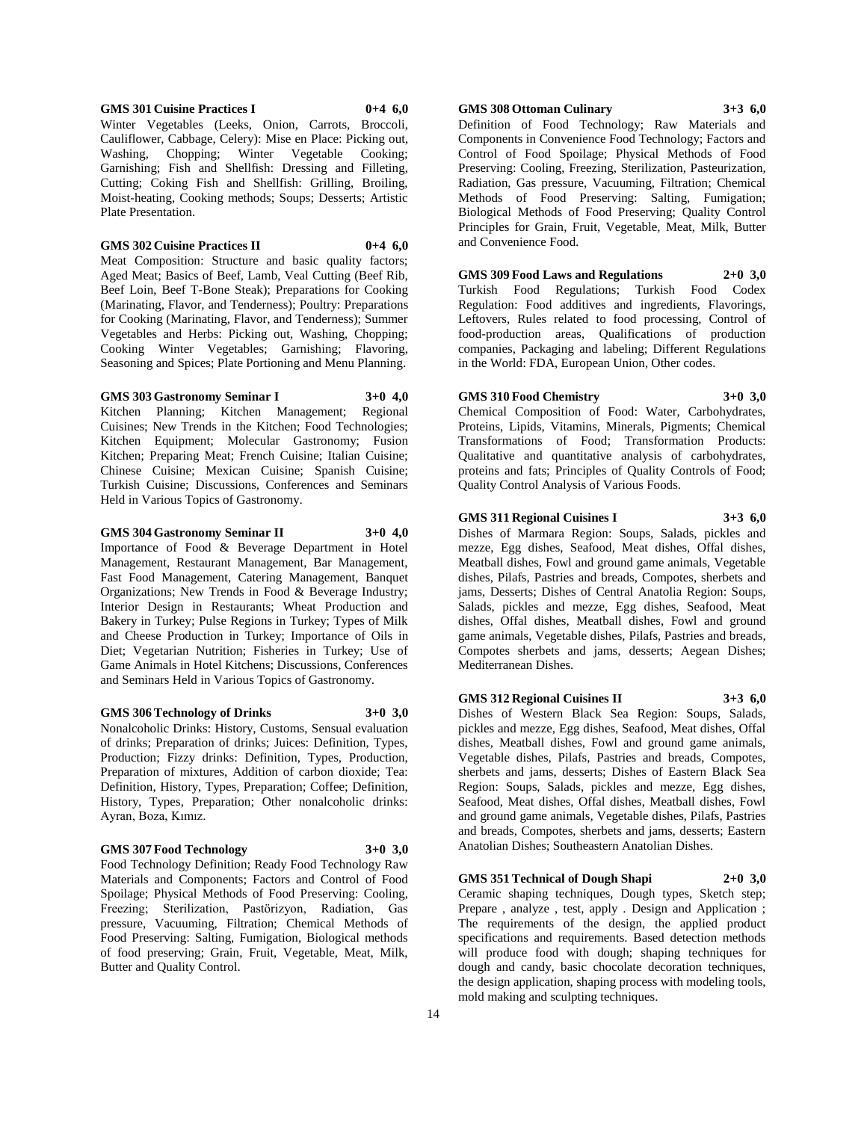# Kitchen; Preparing Meat; French Cuisine; Italian Cuisine;

Chinese Cuisine; Mexican Cuisine; Spanish Cuisine; Turkish Cuisine; Discussions, Conferences and Seminars Held in Various Topics of Gastronomy. **GMS 304 Gastronomy Seminar II 3+0 4,0** Importance of Food & Beverage Department in Hotel Management, Restaurant Management, Bar Management,

**GMS 303 Gastronomy Seminar I 3+0 4,0** Kitchen Planning; Kitchen Management; Regional Cuisines; New Trends in the Kitchen; Food Technologies; Kitchen Equipment; Molecular Gastronomy; Fusion

Fast Food Management, Catering Management, Banquet Organizations; New Trends in Food & Beverage Industry; Interior Design in Restaurants; Wheat Production and Bakery in Turkey; Pulse Regions in Turkey; Types of Milk and Cheese Production in Turkey; Importance of Oils in Diet; Vegetarian Nutrition; Fisheries in Turkey; Use of Game Animals in Hotel Kitchens; Discussions, Conferences and Seminars Held in Various Topics of Gastronomy.

#### **GMS 306 Technology of Drinks 3+0 3,0**

Nonalcoholic Drinks: History, Customs, Sensual evaluation of drinks; Preparation of drinks; Juices: Definition, Types, Production; Fizzy drinks: Definition, Types, Production, Preparation of mixtures, Addition of carbon dioxide; Tea: Definition, History, Types, Preparation; Coffee; Definition, History, Types, Preparation; Other nonalcoholic drinks: Ayran, Boza, Kımız.

# **GMS 307 Food Technology 3+0 3,0**

Food Technology Definition; Ready Food Technology Raw Materials and Components; Factors and Control of Food Spoilage; Physical Methods of Food Preserving: Cooling, Freezing; Sterilization, Pastörizyon, Radiation, Gas pressure, Vacuuming, Filtration; Chemical Methods of Food Preserving: Salting, Fumigation, Biological methods of food preserving; Grain, Fruit, Vegetable, Meat, Milk, Butter and Quality Control.

**GMS 308 Ottoman Culinary 3+3 6,0**

Definition of Food Technology; Raw Materials and Components in Convenience Food Technology; Factors and Control of Food Spoilage; Physical Methods of Food Preserving: Cooling, Freezing, Sterilization, Pasteurization, Radiation, Gas pressure, Vacuuming, Filtration; Chemical Methods of Food Preserving: Salting, Fumigation; Biological Methods of Food Preserving; Quality Control Principles for Grain, Fruit, Vegetable, Meat, Milk, Butter and Convenience Food.

**GMS 309 Food Laws and Regulations 2+0 3,0** Turkish Food Regulations; Turkish Food Codex Regulation: Food additives and ingredients, Flavorings, Leftovers, Rules related to food processing, Control of food-production areas, Qualifications of production companies, Packaging and labeling; Different Regulations in the World: FDA, European Union, Other codes.

# **GMS 310 Food Chemistry 3+0 3,0**

Chemical Composition of Food: Water, Carbohydrates, Proteins, Lipids, Vitamins, Minerals, Pigments; Chemical Transformations of Food; Transformation Products: Qualitative and quantitative analysis of carbohydrates, proteins and fats; Principles of Quality Controls of Food; Quality Control Analysis of Various Foods.

**GMS 311 Regional Cuisines I 3+3 6,0** Dishes of Marmara Region: Soups, Salads, pickles and mezze, Egg dishes, Seafood, Meat dishes, Offal dishes, Meatball dishes, Fowl and ground game animals, Vegetable dishes, Pilafs, Pastries and breads, Compotes, sherbets and jams, Desserts; Dishes of Central Anatolia Region: Soups, Salads, pickles and mezze, Egg dishes, Seafood, Meat dishes, Offal dishes, Meatball dishes, Fowl and ground game animals, Vegetable dishes, Pilafs, Pastries and breads, Compotes sherbets and jams, desserts; Aegean Dishes; Mediterranean Dishes.

**GMS 312 Regional Cuisines II 3+3 6,0** Dishes of Western Black Sea Region: Soups, Salads, pickles and mezze, Egg dishes, Seafood, Meat dishes, Offal dishes, Meatball dishes, Fowl and ground game animals, Vegetable dishes, Pilafs, Pastries and breads, Compotes, sherbets and jams, desserts; Dishes of Eastern Black Sea Region: Soups, Salads, pickles and mezze, Egg dishes, Seafood, Meat dishes, Offal dishes, Meatball dishes, Fowl and ground game animals, Vegetable dishes, Pilafs, Pastries and breads, Compotes, sherbets and jams, desserts; Eastern Anatolian Dishes; Southeastern Anatolian Dishes.

**GMS 351 Technical of Dough Shapi 2+0 3,0** Ceramic shaping techniques, Dough types, Sketch step; Prepare , analyze , test, apply . Design and Application ; The requirements of the design, the applied product specifications and requirements. Based detection methods will produce food with dough; shaping techniques for dough and candy, basic chocolate decoration techniques, the design application, shaping process with modeling tools, mold making and sculpting techniques.

#### **GMS 301 Cuisine Practices I 0+4 6,0** Winter Vegetables (Leeks, Onion, Carrots, Broccoli,

Plate Presentation.

Cauliflower, Cabbage, Celery): Mise en Place: Picking out, Washing, Chopping; Winter Vegetable Cooking; Garnishing; Fish and Shellfish: Dressing and Filleting, Cutting; Coking Fish and Shellfish: Grilling, Broiling, Moist-heating, Cooking methods; Soups; Desserts; Artistic

**GMS 302 Cuisine Practices II 0+4 6,0** Meat Composition: Structure and basic quality factors; Aged Meat; Basics of Beef, Lamb, Veal Cutting (Beef Rib, Beef Loin, Beef T-Bone Steak); Preparations for Cooking (Marinating, Flavor, and Tenderness); Poultry: Preparations for Cooking (Marinating, Flavor, and Tenderness); Summer Vegetables and Herbs: Picking out, Washing, Chopping; Cooking Winter Vegetables; Garnishing; Flavoring, Seasoning and Spices; Plate Portioning and Menu Planning.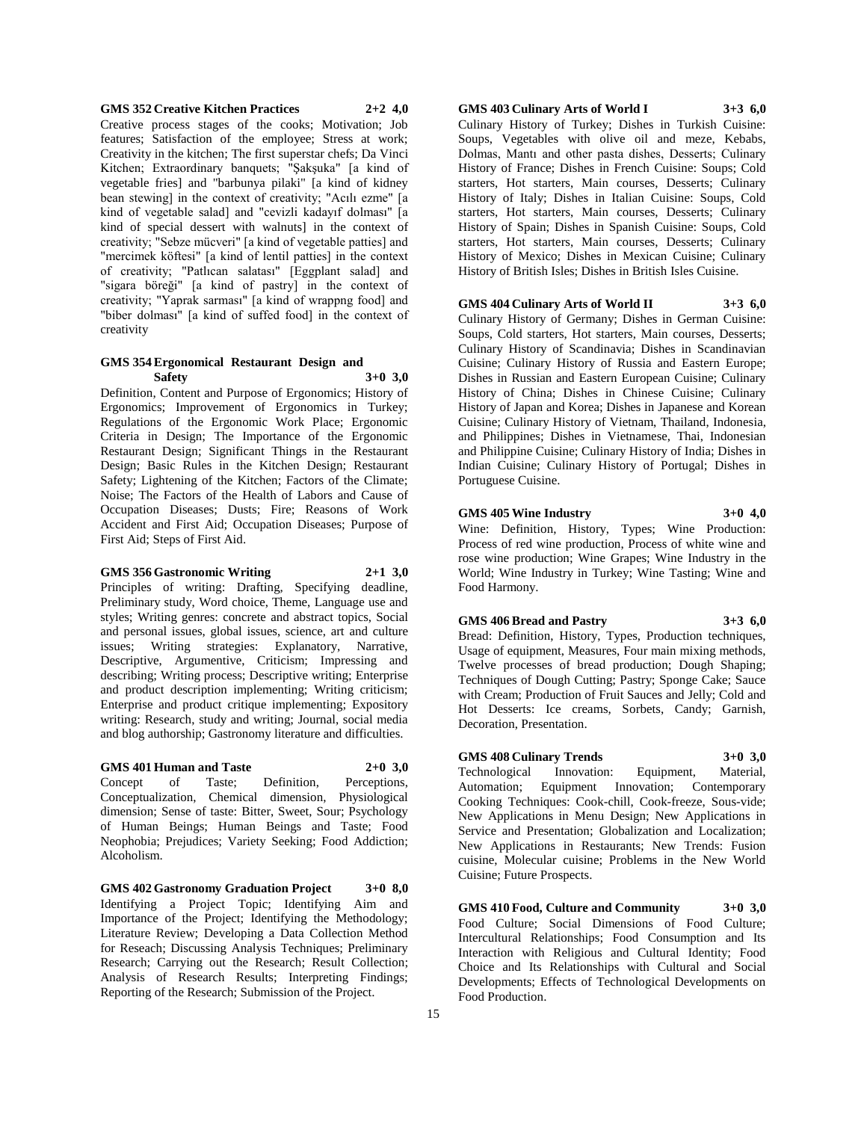#### **GMS 352 Creative Kitchen Practices 2+2 4,0**

Creative process stages of the cooks; Motivation; Job features; Satisfaction of the employee; Stress at work; Creativity in the kitchen; The first superstar chefs; Da Vinci Kitchen; Extraordinary banquets; "Şakşuka" [a kind of vegetable fries] and "barbunya pilaki" [a kind of kidney bean stewing] in the context of creativity; "Acılı ezme" [a kind of vegetable salad] and "cevizli kadayıf dolması" [a kind of special dessert with walnuts] in the context of creativity; "Sebze mücveri" [a kind of vegetable patties] and "mercimek köftesi" [a kind of lentil patties] in the context of creativity; "Patlıcan salatası" [Eggplant salad] and "sigara böreği" [a kind of pastry] in the context of creativity; "Yaprak sarması" [a kind of wrappng food] and "biber dolması" [a kind of suffed food] in the context of creativity

#### **GMS 354 Ergonomical Restaurant Design and Safety 3+0 3,0**

Definition, Content and Purpose of Ergonomics; History of Ergonomics; Improvement of Ergonomics in Turkey; Regulations of the Ergonomic Work Place; Ergonomic Criteria in Design; The Importance of the Ergonomic Restaurant Design; Significant Things in the Restaurant Design; Basic Rules in the Kitchen Design; Restaurant Safety; Lightening of the Kitchen; Factors of the Climate; Noise; The Factors of the Health of Labors and Cause of Occupation Diseases; Dusts; Fire; Reasons of Work Accident and First Aid; Occupation Diseases; Purpose of First Aid; Steps of First Aid.

#### **GMS 356 Gastronomic Writing 2+1 3,0**

Principles of writing: Drafting, Specifying deadline, Preliminary study, Word choice, Theme, Language use and styles; Writing genres: concrete and abstract topics, Social and personal issues, global issues, science, art and culture issues; Writing strategies: Explanatory, Narrative, Descriptive, Argumentive, Criticism; Impressing and describing; Writing process; Descriptive writing; Enterprise and product description implementing; Writing criticism; Enterprise and product critique implementing; Expository writing: Research, study and writing; Journal, social media and blog authorship; Gastronomy literature and difficulties.

# **GMS 401 Human and Taste 2+0 3,0**

Concept of Taste; Definition, Perceptions, Conceptualization, Chemical dimension, Physiological dimension; Sense of taste: Bitter, Sweet, Sour; Psychology of Human Beings; Human Beings and Taste; Food Neophobia; Prejudices; Variety Seeking; Food Addiction; Alcoholism.

**GMS 402 Gastronomy Graduation Project 3+0 8,0** Identifying a Project Topic; Identifying Aim and Importance of the Project; Identifying the Methodology; Literature Review; Developing a Data Collection Method for Reseach; Discussing Analysis Techniques; Preliminary Research; Carrying out the Research; Result Collection; Analysis of Research Results; Interpreting Findings; Reporting of the Research; Submission of the Project.

**GMS 403 Culinary Arts of World I 3+3 6,0** Culinary History of Turkey; Dishes in Turkish Cuisine: Soups, Vegetables with olive oil and meze, Kebabs, Dolmas, Mantı and other pasta dishes, Desserts; Culinary History of France; Dishes in French Cuisine: Soups; Cold starters, Hot starters, Main courses, Desserts; Culinary History of Italy; Dishes in Italian Cuisine: Soups, Cold starters, Hot starters, Main courses, Desserts; Culinary History of Spain; Dishes in Spanish Cuisine: Soups, Cold starters, Hot starters, Main courses, Desserts; Culinary History of Mexico; Dishes in Mexican Cuisine; Culinary History of British Isles; Dishes in British Isles Cuisine.

## **GMS 404 Culinary Arts of World II 3+3 6,0**

Culinary History of Germany; Dishes in German Cuisine: Soups, Cold starters, Hot starters, Main courses, Desserts; Culinary History of Scandinavia; Dishes in Scandinavian Cuisine; Culinary History of Russia and Eastern Europe; Dishes in Russian and Eastern European Cuisine; Culinary History of China; Dishes in Chinese Cuisine; Culinary History of Japan and Korea; Dishes in Japanese and Korean Cuisine; Culinary History of Vietnam, Thailand, Indonesia, and Philippines; Dishes in Vietnamese, Thai, Indonesian and Philippine Cuisine; Culinary History of India; Dishes in Indian Cuisine; Culinary History of Portugal; Dishes in Portuguese Cuisine.

### **GMS 405 Wine Industry 3+0 4,0**

Wine: Definition, History, Types; Wine Production: Process of red wine production, Process of white wine and rose wine production; Wine Grapes; Wine Industry in the World; Wine Industry in Turkey; Wine Tasting; Wine and Food Harmony.

#### **GMS 406 Bread and Pastry 3+3 6,0**

Bread: Definition, History, Types, Production techniques, Usage of equipment, Measures, Four main mixing methods, Twelve processes of bread production; Dough Shaping; Techniques of Dough Cutting; Pastry; Sponge Cake; Sauce with Cream; Production of Fruit Sauces and Jelly; Cold and Hot Desserts: Ice creams, Sorbets, Candy; Garnish, Decoration, Presentation.

## **GMS 408 Culinary Trends 3+0 3,0**

Technological Innovation: Equipment, Material, Automation; Equipment Innovation; Contemporary Cooking Techniques: Cook-chill, Cook-freeze, Sous-vide;

New Applications in Menu Design; New Applications in Service and Presentation; Globalization and Localization; New Applications in Restaurants; New Trends: Fusion cuisine, Molecular cuisine; Problems in the New World Cuisine; Future Prospects.

**GMS 410 Food, Culture and Community 3+0 3,0** Food Culture; Social Dimensions of Food Culture; Intercultural Relationships; Food Consumption and Its Interaction with Religious and Cultural Identity; Food Choice and Its Relationships with Cultural and Social Developments; Effects of Technological Developments on Food Production.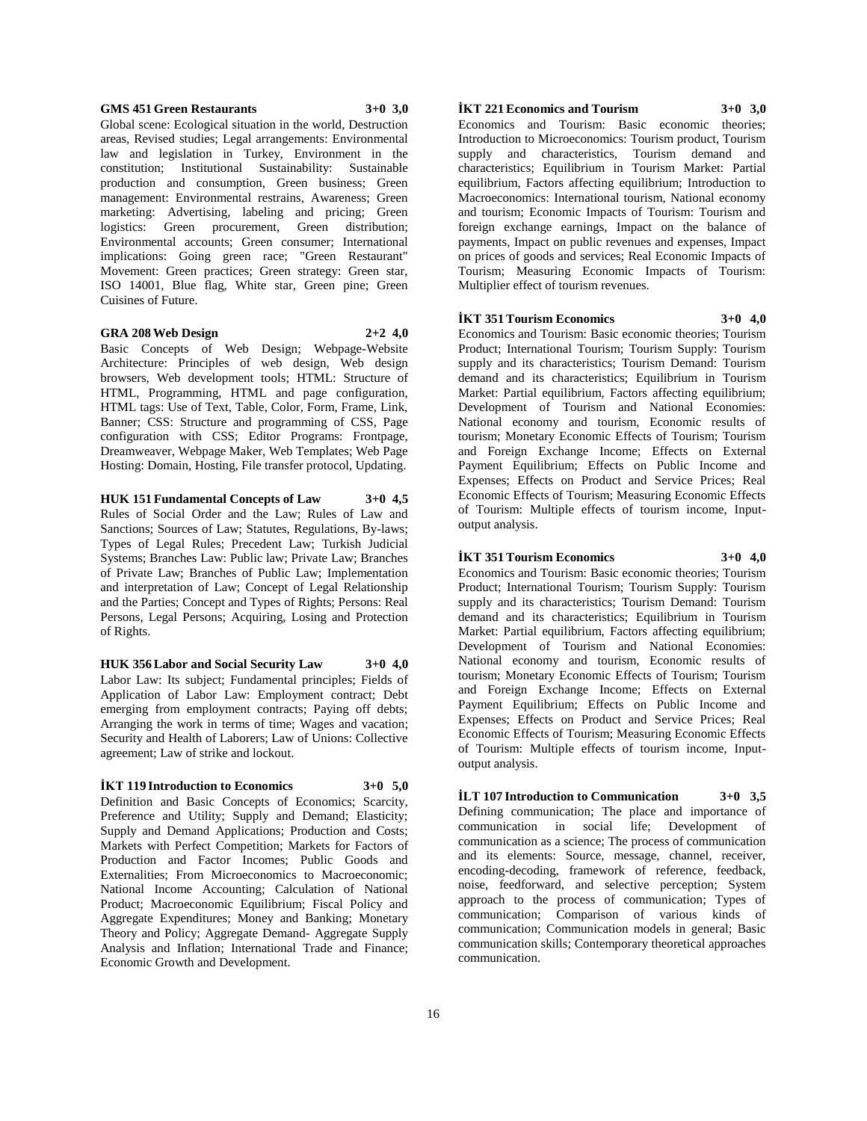#### **GMS 451 Green Restaurants 3+0 3,0**

Global scene: Ecological situation in the world, Destruction areas, Revised studies; Legal arrangements: Environmental law and legislation in Turkey, Environment in the constitution; Institutional Sustainability: Sustainable production and consumption, Green business; Green management: Environmental restrains, Awareness; Green marketing: Advertising, labeling and pricing; Green logistics: Green procurement, Green distribution; Environmental accounts; Green consumer; International implications: Going green race; "Green Restaurant" Movement: Green practices; Green strategy: Green star, ISO 14001, Blue flag, White star, Green pine; Green Cuisines of Future.

#### **GRA 208 Web Design 2+2 4,0**

Basic Concepts of Web Design; Webpage-Website Architecture: Principles of web design, Web design browsers, Web development tools; HTML: Structure of HTML, Programming, HTML and page configuration, HTML tags: Use of Text, Table, Color, Form, Frame, Link, Banner; CSS: Structure and programming of CSS, Page configuration with CSS; Editor Programs: Frontpage, Dreamweaver, Webpage Maker, Web Templates; Web Page Hosting: Domain, Hosting, File transfer protocol, Updating.

**HUK 151 Fundamental Concepts of Law 3+0 4,5** Rules of Social Order and the Law; Rules of Law and Sanctions; Sources of Law; Statutes, Regulations, By-laws; Types of Legal Rules; Precedent Law; Turkish Judicial Systems; Branches Law: Public law; Private Law; Branches of Private Law; Branches of Public Law; Implementation and interpretation of Law; Concept of Legal Relationship and the Parties; Concept and Types of Rights; Persons: Real Persons, Legal Persons; Acquiring, Losing and Protection of Rights.

**HUK 356 Labor and Social Security Law 3+0 4,0** Labor Law: Its subject; Fundamental principles; Fields of Application of Labor Law: Employment contract; Debt emerging from employment contracts; Paying off debts; Arranging the work in terms of time; Wages and vacation; Security and Health of Laborers; Law of Unions: Collective agreement; Law of strike and lockout.

# **İKT 119 Introduction to Economics 3+0 5,0**

Definition and Basic Concepts of Economics; Scarcity, Preference and Utility; Supply and Demand; Elasticity; Supply and Demand Applications; Production and Costs; Markets with Perfect Competition; Markets for Factors of Production and Factor Incomes; Public Goods and Externalities; From Microeconomics to Macroeconomic; National Income Accounting; Calculation of National Product; Macroeconomic Equilibrium; Fiscal Policy and Aggregate Expenditures; Money and Banking; Monetary Theory and Policy; Aggregate Demand- Aggregate Supply Analysis and Inflation; International Trade and Finance; Economic Growth and Development.

# **İKT 221 Economics and Tourism 3+0 3,0**

Economics and Tourism: Basic economic theories; Introduction to Microeconomics: Tourism product, Tourism supply and characteristics, Tourism demand and characteristics; Equilibrium in Tourism Market: Partial equilibrium, Factors affecting equilibrium; Introduction to Macroeconomics: International tourism, National economy and tourism; Economic Impacts of Tourism: Tourism and foreign exchange earnings, Impact on the balance of payments, Impact on public revenues and expenses, Impact on prices of goods and services; Real Economic Impacts of Tourism; Measuring Economic Impacts of Tourism: Multiplier effect of tourism revenues.

#### **İKT 351 Tourism Economics 3+0 4,0**

Economics and Tourism: Basic economic theories; Tourism Product; International Tourism; Tourism Supply: Tourism supply and its characteristics; Tourism Demand: Tourism demand and its characteristics; Equilibrium in Tourism Market: Partial equilibrium, Factors affecting equilibrium; Development of Tourism and National Economies: National economy and tourism, Economic results of tourism; Monetary Economic Effects of Tourism; Tourism and Foreign Exchange Income; Effects on External Payment Equilibrium; Effects on Public Income and Expenses; Effects on Product and Service Prices; Real Economic Effects of Tourism; Measuring Economic Effects of Tourism: Multiple effects of tourism income, Inputoutput analysis.

#### **İKT 351 Tourism Economics 3+0 4,0**

Economics and Tourism: Basic economic theories; Tourism Product; International Tourism; Tourism Supply: Tourism supply and its characteristics; Tourism Demand: Tourism demand and its characteristics; Equilibrium in Tourism Market: Partial equilibrium, Factors affecting equilibrium; Development of Tourism and National Economies: National economy and tourism, Economic results of tourism; Monetary Economic Effects of Tourism; Tourism and Foreign Exchange Income; Effects on External Payment Equilibrium; Effects on Public Income and Expenses; Effects on Product and Service Prices; Real Economic Effects of Tourism; Measuring Economic Effects of Tourism: Multiple effects of tourism income, Inputoutput analysis.

**İLT 107 Introduction to Communication 3+0 3,5** Defining communication; The place and importance of communication in social life; Development of communication as a science; The process of communication and its elements: Source, message, channel, receiver, encoding-decoding, framework of reference, feedback, noise, feedforward, and selective perception; System approach to the process of communication; Types of communication; Comparison of various kinds of communication; Communication models in general; Basic communication skills; Contemporary theoretical approaches communication.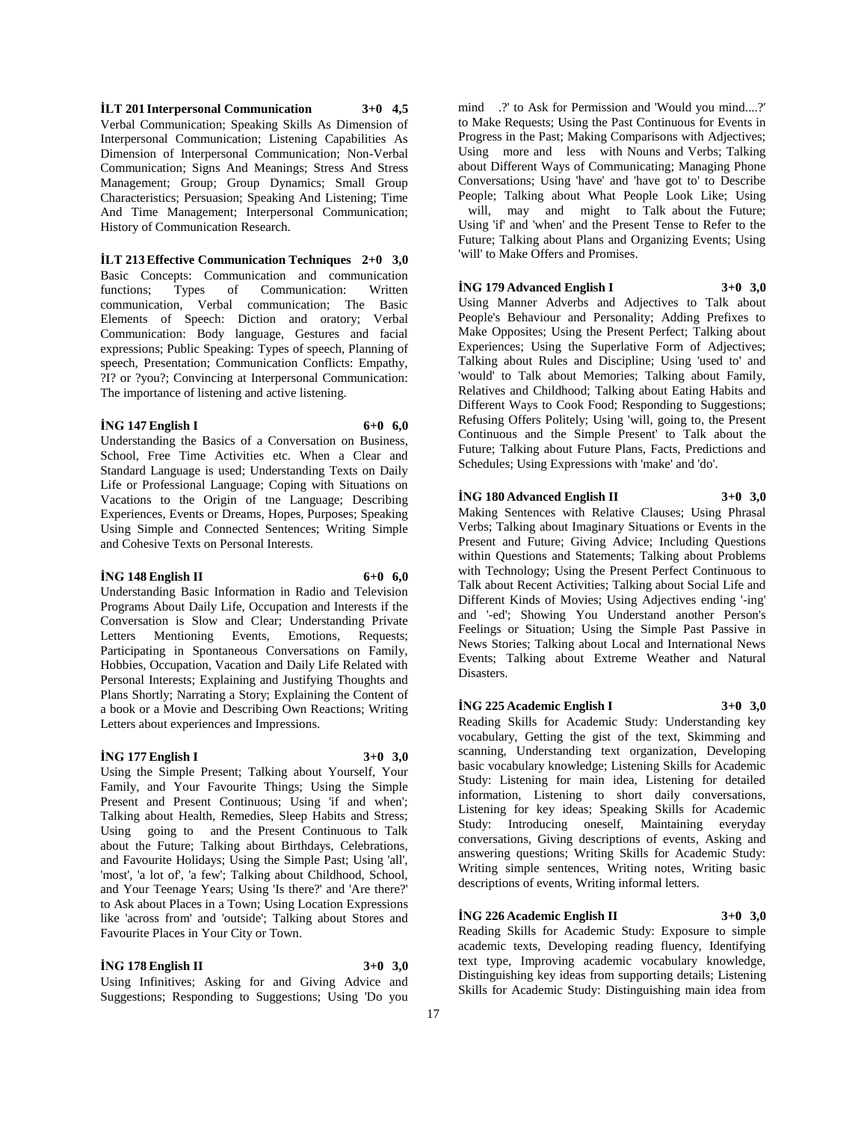**İLT 201 Interpersonal Communication 3+0 4,5** Verbal Communication; Speaking Skills As Dimension of Interpersonal Communication; Listening Capabilities As Dimension of Interpersonal Communication; Non-Verbal Communication; Signs And Meanings; Stress And Stress Management; Group; Group Dynamics; Small Group Characteristics; Persuasion; Speaking And Listening; Time And Time Management; Interpersonal Communication; History of Communication Research.

#### **İLT 213 Effective Communication Techniques 2+0 3,0**

Basic Concepts: Communication and communication functions; Types of Communication: Written communication, Verbal communication; The Basic Elements of Speech: Diction and oratory; Verbal Communication: Body language, Gestures and facial expressions; Public Speaking: Types of speech, Planning of speech, Presentation; Communication Conflicts: Empathy, ?I? or ?you?; Convincing at Interpersonal Communication: The importance of listening and active listening.

#### **İNG 147 English I 6+0 6,0**

Understanding the Basics of a Conversation on Business, School, Free Time Activities etc. When a Clear and Standard Language is used; Understanding Texts on Daily Life or Professional Language; Coping with Situations on Vacations to the Origin of tne Language; Describing Experiences, Events or Dreams, Hopes, Purposes; Speaking Using Simple and Connected Sentences; Writing Simple and Cohesive Texts on Personal Interests.

## **İNG 148 English II 6+0 6,0**

Understanding Basic Information in Radio and Television Programs About Daily Life, Occupation and Interests if the Conversation is Slow and Clear; Understanding Private Letters Mentioning Events, Emotions, Requests; Participating in Spontaneous Conversations on Family, Hobbies, Occupation, Vacation and Daily Life Related with Personal Interests; Explaining and Justifying Thoughts and Plans Shortly; Narrating a Story; Explaining the Content of a book or a Movie and Describing Own Reactions; Writing Letters about experiences and Impressions.

#### **İNG 177 English I 3+0 3,0**

Using the Simple Present; Talking about Yourself, Your Family, and Your Favourite Things; Using the Simple Present and Present Continuous; Using 'if and when'; Talking about Health, Remedies, Sleep Habits and Stress; Using going to and the Present Continuous to Talk about the Future; Talking about Birthdays, Celebrations, and Favourite Holidays; Using the Simple Past; Using 'all', 'most', 'a lot of', 'a few'; Talking about Childhood, School, and Your Teenage Years; Using 'Is there?' and 'Are there?' to Ask about Places in a Town; Using Location Expressions like 'across from' and 'outside'; Talking about Stores and Favourite Places in Your City or Town.

# **İNG 178 English II 3+0 3,0**

Using Infinitives; Asking for and Giving Advice and Suggestions; Responding to Suggestions; Using 'Do you

mind .?' to Ask for Permission and 'Would you mind....?' to Make Requests; Using the Past Continuous for Events in Progress in the Past; Making Comparisons with Adjectives; Using more and less with Nouns and Verbs; Talking about Different Ways of Communicating; Managing Phone Conversations; Using 'have' and 'have got to' to Describe People; Talking about What People Look Like; Using will, may and might to Talk about the Future; Using 'if' and 'when' and the Present Tense to Refer to the Future; Talking about Plans and Organizing Events; Using 'will' to Make Offers and Promises.

# **İNG 179 Advanced English I 3+0 3,0**

Using Manner Adverbs and Adjectives to Talk about People's Behaviour and Personality; Adding Prefixes to Make Opposites; Using the Present Perfect; Talking about Experiences; Using the Superlative Form of Adjectives; Talking about Rules and Discipline; Using 'used to' and 'would' to Talk about Memories; Talking about Family, Relatives and Childhood; Talking about Eating Habits and Different Ways to Cook Food; Responding to Suggestions; Refusing Offers Politely; Using 'will, going to, the Present Continuous and the Simple Present' to Talk about the Future; Talking about Future Plans, Facts, Predictions and Schedules; Using Expressions with 'make' and 'do'.

#### **İNG 180 Advanced English II 3+0 3,0**

Making Sentences with Relative Clauses; Using Phrasal Verbs; Talking about Imaginary Situations or Events in the Present and Future; Giving Advice; Including Questions within Questions and Statements; Talking about Problems with Technology; Using the Present Perfect Continuous to Talk about Recent Activities; Talking about Social Life and Different Kinds of Movies; Using Adjectives ending '-ing' and '-ed'; Showing You Understand another Person's Feelings or Situation; Using the Simple Past Passive in News Stories; Talking about Local and International News Events; Talking about Extreme Weather and Natural Disasters.

#### **İNG 225 Academic English I 3+0 3,0**

Reading Skills for Academic Study: Understanding key vocabulary, Getting the gist of the text, Skimming and scanning, Understanding text organization, Developing basic vocabulary knowledge; Listening Skills for Academic Study: Listening for main idea, Listening for detailed information, Listening to short daily conversations, Listening for key ideas; Speaking Skills for Academic Study: Introducing oneself, Maintaining everyday conversations, Giving descriptions of events, Asking and answering questions; Writing Skills for Academic Study: Writing simple sentences, Writing notes, Writing basic descriptions of events, Writing informal letters.

# **İNG 226 Academic English II 3+0 3,0**

Reading Skills for Academic Study: Exposure to simple academic texts, Developing reading fluency, Identifying text type, Improving academic vocabulary knowledge, Distinguishing key ideas from supporting details; Listening Skills for Academic Study: Distinguishing main idea from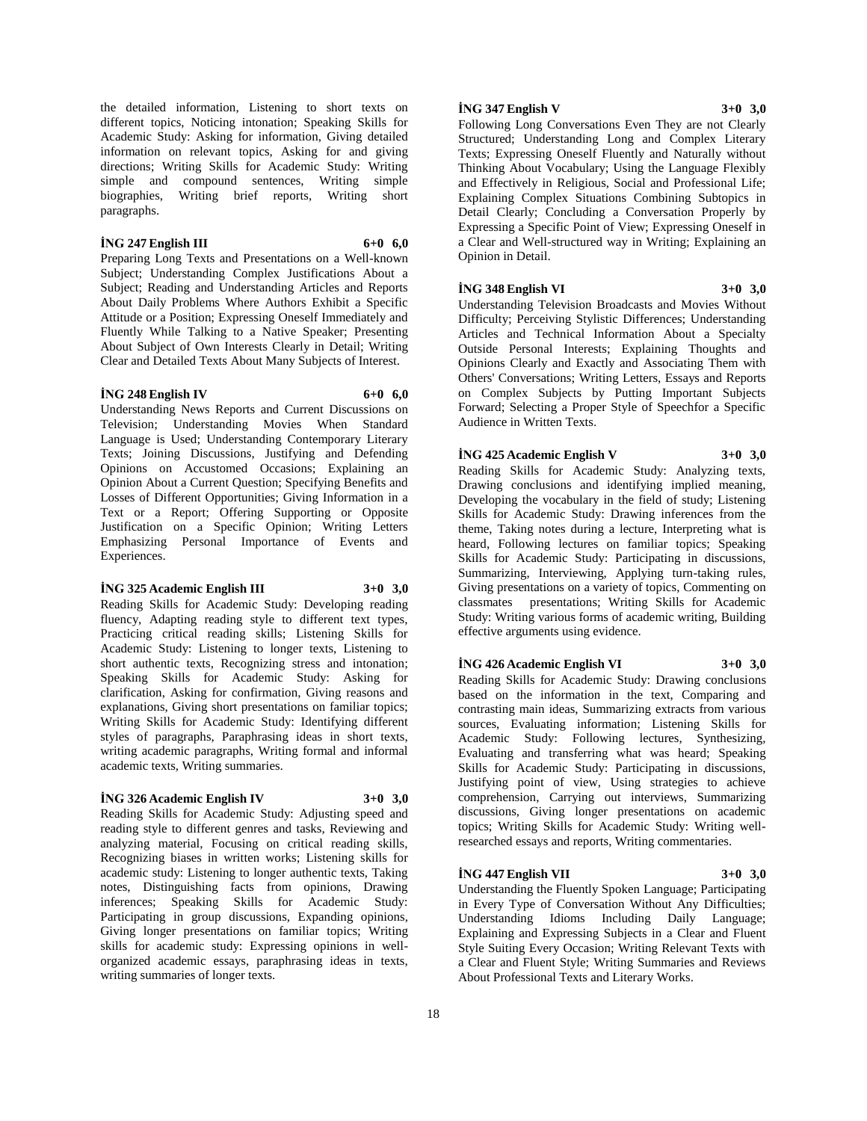the detailed information, Listening to short texts on different topics, Noticing intonation; Speaking Skills for Academic Study: Asking for information, Giving detailed information on relevant topics, Asking for and giving directions; Writing Skills for Academic Study: Writing simple and compound sentences, Writing simple biographies, Writing brief reports, Writing short paragraphs.

# **İNG 247 English III 6+0 6,0**

Preparing Long Texts and Presentations on a Well-known Subject; Understanding Complex Justifications About a Subject; Reading and Understanding Articles and Reports About Daily Problems Where Authors Exhibit a Specific Attitude or a Position; Expressing Oneself Immediately and Fluently While Talking to a Native Speaker; Presenting About Subject of Own Interests Clearly in Detail; Writing Clear and Detailed Texts About Many Subjects of Interest.

## **İNG 248 English IV 6+0 6,0**

Understanding News Reports and Current Discussions on Television; Understanding Movies When Standard Language is Used; Understanding Contemporary Literary Texts; Joining Discussions, Justifying and Defending Opinions on Accustomed Occasions; Explaining an Opinion About a Current Question; Specifying Benefits and Losses of Different Opportunities; Giving Information in a Text or a Report; Offering Supporting or Opposite Justification on a Specific Opinion; Writing Letters Emphasizing Personal Importance of Events and Experiences.

#### **İNG 325 Academic English III 3+0 3,0**

Reading Skills for Academic Study: Developing reading fluency, Adapting reading style to different text types, Practicing critical reading skills; Listening Skills for Academic Study: Listening to longer texts, Listening to short authentic texts, Recognizing stress and intonation; Speaking Skills for Academic Study: Asking for clarification, Asking for confirmation, Giving reasons and explanations, Giving short presentations on familiar topics; Writing Skills for Academic Study: Identifying different styles of paragraphs, Paraphrasing ideas in short texts, writing academic paragraphs, Writing formal and informal academic texts, Writing summaries.

# **İNG 326 Academic English IV 3+0 3,0**

Reading Skills for Academic Study: Adjusting speed and reading style to different genres and tasks, Reviewing and analyzing material, Focusing on critical reading skills, Recognizing biases in written works; Listening skills for academic study: Listening to longer authentic texts, Taking notes, Distinguishing facts from opinions, Drawing inferences; Speaking Skills for Academic Study: Participating in group discussions, Expanding opinions, Giving longer presentations on familiar topics; Writing skills for academic study: Expressing opinions in wellorganized academic essays, paraphrasing ideas in texts, writing summaries of longer texts.

# **İNG 347 English V 3+0 3,0**

Following Long Conversations Even They are not Clearly Structured; Understanding Long and Complex Literary Texts; Expressing Oneself Fluently and Naturally without Thinking About Vocabulary; Using the Language Flexibly and Effectively in Religious, Social and Professional Life; Explaining Complex Situations Combining Subtopics in Detail Clearly; Concluding a Conversation Properly by Expressing a Specific Point of View; Expressing Oneself in a Clear and Well-structured way in Writing; Explaining an Opinion in Detail.

# **İNG 348 English VI 3+0 3,0**

Understanding Television Broadcasts and Movies Without Difficulty; Perceiving Stylistic Differences; Understanding Articles and Technical Information About a Specialty Outside Personal Interests; Explaining Thoughts and Opinions Clearly and Exactly and Associating Them with Others' Conversations; Writing Letters, Essays and Reports on Complex Subjects by Putting Important Subjects Forward; Selecting a Proper Style of Speechfor a Specific Audience in Written Texts.

# **İNG 425 Academic English V 3+0 3,0**

Reading Skills for Academic Study: Analyzing texts, Drawing conclusions and identifying implied meaning, Developing the vocabulary in the field of study; Listening Skills for Academic Study: Drawing inferences from the theme, Taking notes during a lecture, Interpreting what is heard, Following lectures on familiar topics; Speaking Skills for Academic Study: Participating in discussions, Summarizing, Interviewing, Applying turn-taking rules, Giving presentations on a variety of topics, Commenting on classmates presentations; Writing Skills for Academic Study: Writing various forms of academic writing, Building effective arguments using evidence.

# **İNG 426 Academic English VI 3+0 3,0**

Reading Skills for Academic Study: Drawing conclusions based on the information in the text, Comparing and contrasting main ideas, Summarizing extracts from various sources, Evaluating information; Listening Skills for Academic Study: Following lectures, Synthesizing, Evaluating and transferring what was heard; Speaking Skills for Academic Study: Participating in discussions, Justifying point of view, Using strategies to achieve comprehension, Carrying out interviews, Summarizing discussions, Giving longer presentations on academic topics; Writing Skills for Academic Study: Writing wellresearched essays and reports, Writing commentaries.

#### **İNG 447 English VII 3+0 3,0**

Understanding the Fluently Spoken Language; Participating in Every Type of Conversation Without Any Difficulties; Understanding Idioms Including Daily Language; Explaining and Expressing Subjects in a Clear and Fluent Style Suiting Every Occasion; Writing Relevant Texts with a Clear and Fluent Style; Writing Summaries and Reviews About Professional Texts and Literary Works.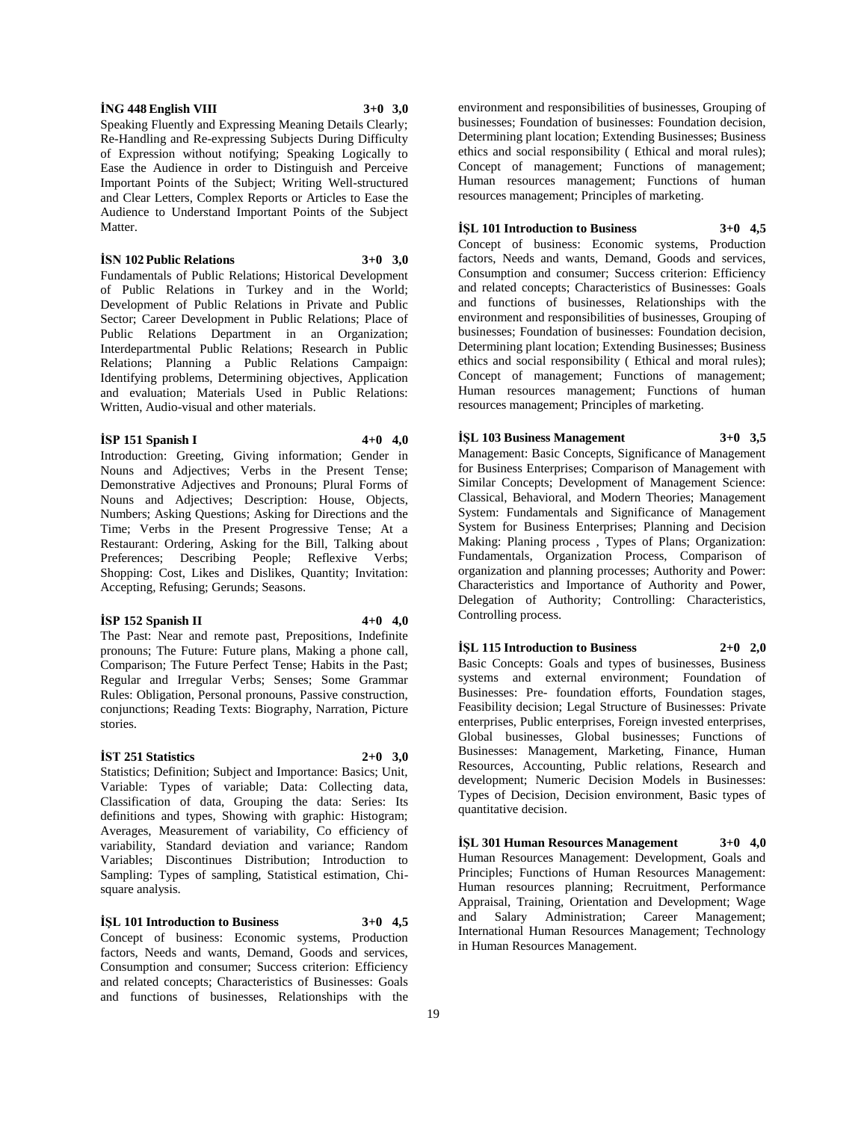# **İNG 448 English VIII 3+0 3,0**

Speaking Fluently and Expressing Meaning Details Clearly; Re-Handling and Re-expressing Subjects During Difficulty of Expression without notifying; Speaking Logically to Ease the Audience in order to Distinguish and Perceive Important Points of the Subject; Writing Well-structured and Clear Letters, Complex Reports or Articles to Ease the Audience to Understand Important Points of the Subject Matter.

# **İSN 102 Public Relations 3+0 3,0**

Fundamentals of Public Relations; Historical Development of Public Relations in Turkey and in the World; Development of Public Relations in Private and Public Sector; Career Development in Public Relations; Place of Public Relations Department in an Organization; Interdepartmental Public Relations; Research in Public Relations; Planning a Public Relations Campaign: Identifying problems, Determining objectives, Application and evaluation; Materials Used in Public Relations: Written, Audio-visual and other materials.

#### **İSP 151 Spanish I 4+0 4,0**

Introduction: Greeting, Giving information; Gender in Nouns and Adjectives; Verbs in the Present Tense; Demonstrative Adjectives and Pronouns; Plural Forms of Nouns and Adjectives; Description: House, Objects, Numbers; Asking Questions; Asking for Directions and the Time; Verbs in the Present Progressive Tense; At a Restaurant: Ordering, Asking for the Bill, Talking about Preferences; Describing People; Reflexive Verbs; Shopping: Cost, Likes and Dislikes, Quantity; Invitation: Accepting, Refusing; Gerunds; Seasons.

#### **İSP 152 Spanish II 4+0 4,0**

The Past: Near and remote past, Prepositions, Indefinite pronouns; The Future: Future plans, Making a phone call, Comparison; The Future Perfect Tense; Habits in the Past; Regular and Irregular Verbs; Senses; Some Grammar Rules: Obligation, Personal pronouns, Passive construction, conjunctions; Reading Texts: Biography, Narration, Picture stories.

#### **İST 251 Statistics 2+0 3,0**

Statistics; Definition; Subject and Importance: Basics; Unit, Variable: Types of variable; Data: Collecting data, Classification of data, Grouping the data: Series: Its definitions and types, Showing with graphic: Histogram; Averages, Measurement of variability, Co efficiency of variability, Standard deviation and variance; Random Variables; Discontinues Distribution; Introduction to Sampling: Types of sampling, Statistical estimation, Chisquare analysis.

### **İŞL 101 Introduction to Business 3+0 4,5**

Concept of business: Economic systems, Production factors, Needs and wants, Demand, Goods and services, Consumption and consumer; Success criterion: Efficiency and related concepts; Characteristics of Businesses: Goals and functions of businesses, Relationships with the

environment and responsibilities of businesses, Grouping of businesses; Foundation of businesses: Foundation decision, Determining plant location; Extending Businesses; Business ethics and social responsibility ( Ethical and moral rules); Concept of management; Functions of management; Human resources management; Functions of human resources management; Principles of marketing.

#### **İŞL 101 Introduction to Business 3+0 4,5**

Concept of business: Economic systems, Production factors, Needs and wants, Demand, Goods and services, Consumption and consumer; Success criterion: Efficiency and related concepts; Characteristics of Businesses: Goals and functions of businesses, Relationships with the environment and responsibilities of businesses, Grouping of businesses; Foundation of businesses: Foundation decision, Determining plant location; Extending Businesses; Business ethics and social responsibility ( Ethical and moral rules); Concept of management; Functions of management; Human resources management; Functions of human resources management; Principles of marketing.

# **İŞL 103 Business Management 3+0 3,5**

Management: Basic Concepts, Significance of Management for Business Enterprises; Comparison of Management with Similar Concepts; Development of Management Science: Classical, Behavioral, and Modern Theories; Management System: Fundamentals and Significance of Management System for Business Enterprises; Planning and Decision Making: Planing process , Types of Plans; Organization: Fundamentals, Organization Process, Comparison of organization and planning processes; Authority and Power: Characteristics and Importance of Authority and Power, Delegation of Authority; Controlling: Characteristics, Controlling process.

# **İŞL 115 Introduction to Business 2+0 2,0**

Basic Concepts: Goals and types of businesses, Business systems and external environment; Foundation of Businesses: Pre- foundation efforts, Foundation stages, Feasibility decision; Legal Structure of Businesses: Private enterprises, Public enterprises, Foreign invested enterprises, Global businesses, Global businesses; Functions of Businesses: Management, Marketing, Finance, Human Resources, Accounting, Public relations, Research and development; Numeric Decision Models in Businesses: Types of Decision, Decision environment, Basic types of quantitative decision.

**İŞL 301 Human Resources Management 3+0 4,0** Human Resources Management: Development, Goals and Principles; Functions of Human Resources Management: Human resources planning; Recruitment, Performance Appraisal, Training, Orientation and Development; Wage and Salary Administration; Career Management; International Human Resources Management; Technology in Human Resources Management.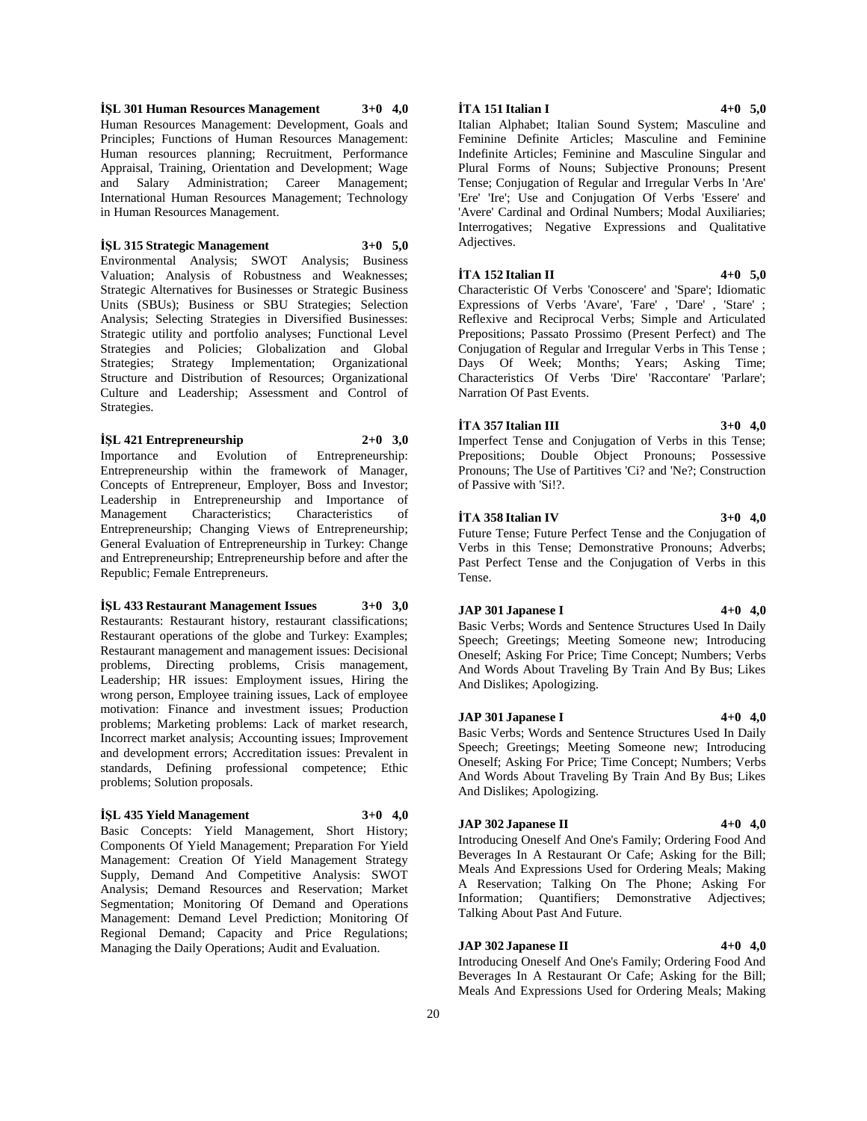**İŞL 301 Human Resources Management 3+0 4,0** Human Resources Management: Development, Goals and Principles; Functions of Human Resources Management: Human resources planning; Recruitment, Performance Appraisal, Training, Orientation and Development; Wage and Salary Administration; Career Management; International Human Resources Management; Technology in Human Resources Management.

#### **İŞL 315 Strategic Management 3+0 5,0**

Environmental Analysis; SWOT Analysis; Business Valuation; Analysis of Robustness and Weaknesses; Strategic Alternatives for Businesses or Strategic Business Units (SBUs); Business or SBU Strategies; Selection Analysis; Selecting Strategies in Diversified Businesses: Strategic utility and portfolio analyses; Functional Level Strategies and Policies; Globalization and Global Strategies; Strategy Implementation; Organizational Structure and Distribution of Resources; Organizational Culture and Leadership; Assessment and Control of Strategies.

**İŞL 421 Entrepreneurship 2+0 3,0** Importance and Evolution of Entrepreneurship: Entrepreneurship within the framework of Manager, Concepts of Entrepreneur, Employer, Boss and Investor; Leadership in Entrepreneurship and Importance of Management Characteristics; Characteristics of Entrepreneurship; Changing Views of Entrepreneurship; General Evaluation of Entrepreneurship in Turkey: Change and Entrepreneurship; Entrepreneurship before and after the Republic; Female Entrepreneurs.

#### **İŞL 433 Restaurant Management Issues 3+0 3,0**

Restaurants: Restaurant history, restaurant classifications; Restaurant operations of the globe and Turkey: Examples; Restaurant management and management issues: Decisional problems, Directing problems, Crisis management, Leadership; HR issues: Employment issues, Hiring the wrong person, Employee training issues, Lack of employee motivation: Finance and investment issues; Production problems; Marketing problems: Lack of market research, Incorrect market analysis; Accounting issues; Improvement and development errors; Accreditation issues: Prevalent in standards, Defining professional competence; Ethic problems; Solution proposals.

#### **İŞL 435 Yield Management 3+0 4,0**

Basic Concepts: Yield Management, Short History; Components Of Yield Management; Preparation For Yield Management: Creation Of Yield Management Strategy Supply, Demand And Competitive Analysis: SWOT Analysis; Demand Resources and Reservation; Market Segmentation; Monitoring Of Demand and Operations Management: Demand Level Prediction; Monitoring Of Regional Demand; Capacity and Price Regulations; Managing the Daily Operations; Audit and Evaluation.

#### **İTA 151 Italian I 4+0 5,0**

Italian Alphabet; Italian Sound System; Masculine and Feminine Definite Articles; Masculine and Feminine Indefinite Articles; Feminine and Masculine Singular and Plural Forms of Nouns; Subjective Pronouns; Present Tense; Conjugation of Regular and Irregular Verbs In 'Are' 'Ere' 'Ire'; Use and Conjugation Of Verbs 'Essere' and 'Avere' Cardinal and Ordinal Numbers; Modal Auxiliaries; Interrogatives; Negative Expressions and Qualitative Adjectives.

# **İTA 152 Italian II 4+0 5,0**

Characteristic Of Verbs 'Conoscere' and 'Spare'; Idiomatic Expressions of Verbs 'Avare', 'Fare' , 'Dare' , 'Stare' ; Reflexive and Reciprocal Verbs; Simple and Articulated Prepositions; Passato Prossimo (Present Perfect) and The Conjugation of Regular and Irregular Verbs in This Tense ; Days Of Week; Months; Years; Asking Time; Characteristics Of Verbs 'Dire' 'Raccontare' 'Parlare'; Narration Of Past Events.

## **İTA 357 Italian III 3+0 4,0**

Imperfect Tense and Conjugation of Verbs in this Tense; Prepositions; Double Object Pronouns; Possessive Pronouns; The Use of Partitives 'Ci? and 'Ne?; Construction of Passive with 'Si!?.

#### **İTA 358 Italian IV 3+0 4,0**

Future Tense; Future Perfect Tense and the Conjugation of Verbs in this Tense; Demonstrative Pronouns; Adverbs; Past Perfect Tense and the Conjugation of Verbs in this Tense.

#### **JAP 301 Japanese I 4+0 4,0**

Basic Verbs; Words and Sentence Structures Used In Daily Speech; Greetings; Meeting Someone new; Introducing Oneself; Asking For Price; Time Concept; Numbers; Verbs And Words About Traveling By Train And By Bus; Likes And Dislikes; Apologizing.

## **JAP 301 Japanese I 4+0 4,0**

Basic Verbs; Words and Sentence Structures Used In Daily Speech; Greetings; Meeting Someone new; Introducing Oneself; Asking For Price; Time Concept; Numbers; Verbs And Words About Traveling By Train And By Bus; Likes And Dislikes; Apologizing.

## **JAP 302 Japanese II 4+0 4,0**

Introducing Oneself And One's Family; Ordering Food And Beverages In A Restaurant Or Cafe; Asking for the Bill; Meals And Expressions Used for Ordering Meals; Making A Reservation; Talking On The Phone; Asking For Information; Quantifiers; Demonstrative Adjectives; Talking About Past And Future.

# **JAP 302 Japanese II 4+0 4,0**

Introducing Oneself And One's Family; Ordering Food And Beverages In A Restaurant Or Cafe; Asking for the Bill; Meals And Expressions Used for Ordering Meals; Making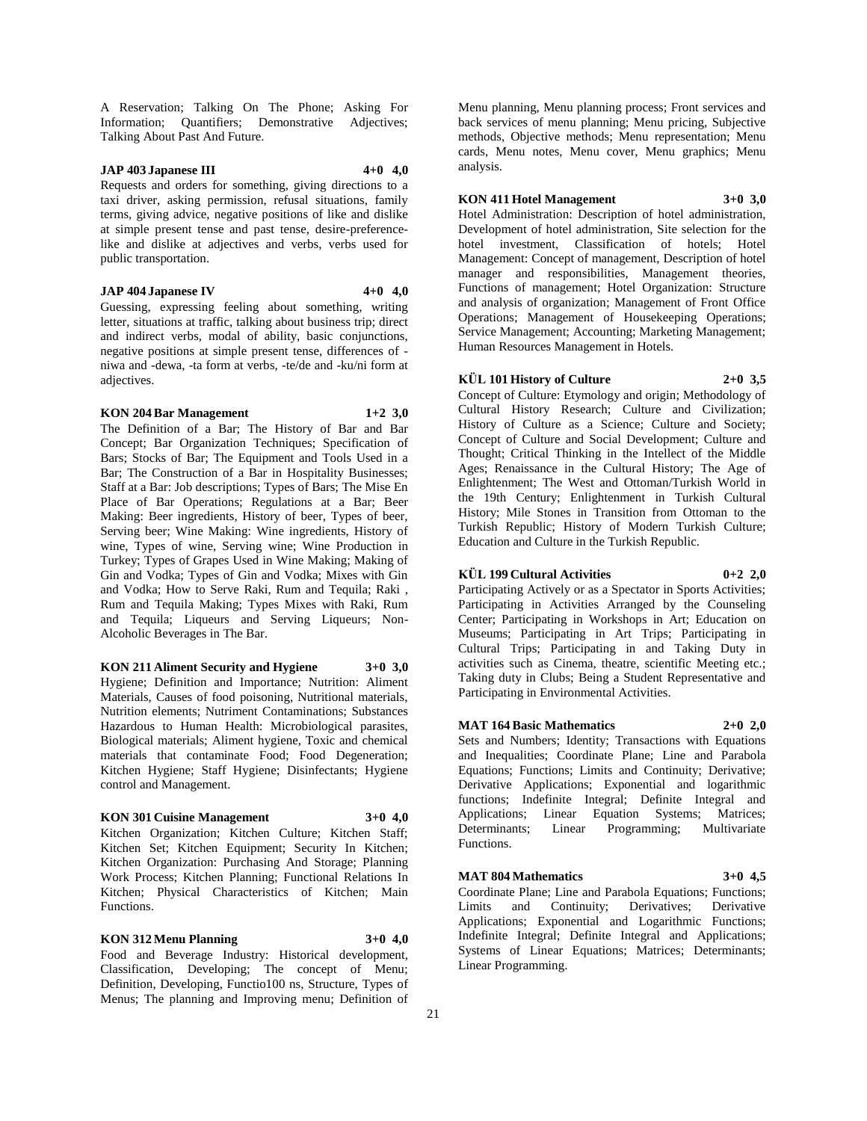A Reservation; Talking On The Phone; Asking For Information; Quantifiers; Demonstrative Adjectives; Talking About Past And Future.

# **JAP 403 Japanese III 4+0 4,0**

Requests and orders for something, giving directions to a taxi driver, asking permission, refusal situations, family terms, giving advice, negative positions of like and dislike at simple present tense and past tense, desire-preferencelike and dislike at adjectives and verbs, verbs used for public transportation.

#### **JAP 404 Japanese IV 4+0 4,0**

Guessing, expressing feeling about something, writing letter, situations at traffic, talking about business trip; direct and indirect verbs, modal of ability, basic conjunctions, negative positions at simple present tense, differences of niwa and -dewa, -ta form at verbs, -te/de and -ku/ni form at adjectives.

#### **KON 204 Bar Management 1+2 3,0**

The Definition of a Bar; The History of Bar and Bar Concept; Bar Organization Techniques; Specification of Bars; Stocks of Bar; The Equipment and Tools Used in a Bar; The Construction of a Bar in Hospitality Businesses; Staff at a Bar: Job descriptions; Types of Bars; The Mise En Place of Bar Operations; Regulations at a Bar; Beer Making: Beer ingredients, History of beer, Types of beer, Serving beer; Wine Making: Wine ingredients, History of wine, Types of wine, Serving wine; Wine Production in Turkey; Types of Grapes Used in Wine Making; Making of Gin and Vodka; Types of Gin and Vodka; Mixes with Gin and Vodka; How to Serve Raki, Rum and Tequila; Raki , Rum and Tequila Making; Types Mixes with Raki, Rum and Tequila; Liqueurs and Serving Liqueurs; Non-Alcoholic Beverages in The Bar.

## **KON 211 Aliment Security and Hygiene 3+0 3,0**

Hygiene; Definition and Importance; Nutrition: Aliment Materials, Causes of food poisoning, Nutritional materials, Nutrition elements; Nutriment Contaminations; Substances Hazardous to Human Health: Microbiological parasites, Biological materials; Aliment hygiene, Toxic and chemical materials that contaminate Food; Food Degeneration; Kitchen Hygiene; Staff Hygiene; Disinfectants; Hygiene control and Management.

#### **KON 301 Cuisine Management 3+0 4,0**

Kitchen Organization; Kitchen Culture; Kitchen Staff; Kitchen Set; Kitchen Equipment; Security In Kitchen; Kitchen Organization: Purchasing And Storage; Planning Work Process; Kitchen Planning; Functional Relations In Kitchen; Physical Characteristics of Kitchen; Main Functions.

# **KON 312 Menu Planning 3+0 4,0**

Food and Beverage Industry: Historical development, Classification, Developing; The concept of Menu; Definition, Developing, Functio100 ns, Structure, Types of Menus; The planning and Improving menu; Definition of

Menu planning, Menu planning process; Front services and back services of menu planning; Menu pricing, Subjective methods, Objective methods; Menu representation; Menu cards, Menu notes, Menu cover, Menu graphics; Menu analysis.

## **KON 411 Hotel Management 3+0 3,0**

Hotel Administration: Description of hotel administration, Development of hotel administration, Site selection for the hotel investment, Classification of hotels; Hotel Management: Concept of management, Description of hotel manager and responsibilities, Management theories, Functions of management; Hotel Organization: Structure and analysis of organization; Management of Front Office Operations; Management of Housekeeping Operations; Service Management; Accounting; Marketing Management; Human Resources Management in Hotels.

#### **KÜL 101 History of Culture 2+0 3,5**

Concept of Culture: Etymology and origin; Methodology of Cultural History Research; Culture and Civilization; History of Culture as a Science; Culture and Society; Concept of Culture and Social Development; Culture and Thought; Critical Thinking in the Intellect of the Middle Ages; Renaissance in the Cultural History; The Age of Enlightenment; The West and Ottoman/Turkish World in the 19th Century; Enlightenment in Turkish Cultural History; Mile Stones in Transition from Ottoman to the Turkish Republic; History of Modern Turkish Culture; Education and Culture in the Turkish Republic.

# **KÜL 199 Cultural Activities 0+2 2,0**

Participating Actively or as a Spectator in Sports Activities; Participating in Activities Arranged by the Counseling Center; Participating in Workshops in Art; Education on Museums; Participating in Art Trips; Participating in Cultural Trips; Participating in and Taking Duty in activities such as Cinema, theatre, scientific Meeting etc.; Taking duty in Clubs; Being a Student Representative and Participating in Environmental Activities.

# **MAT 164 Basic Mathematics 2+0 2,0**

Sets and Numbers; Identity; Transactions with Equations and Inequalities; Coordinate Plane; Line and Parabola Equations; Functions; Limits and Continuity; Derivative; Derivative Applications; Exponential and logarithmic functions; Indefinite Integral; Definite Integral and Applications; Linear Equation Systems; Matrices; Determinants; Linear Programming; Multivariate Functions.

#### **MAT 804 Mathematics 3+0 4,5**

Coordinate Plane; Line and Parabola Equations; Functions; Limits and Continuity; Derivatives; Derivative Applications; Exponential and Logarithmic Functions; Indefinite Integral; Definite Integral and Applications; Systems of Linear Equations; Matrices; Determinants; Linear Programming.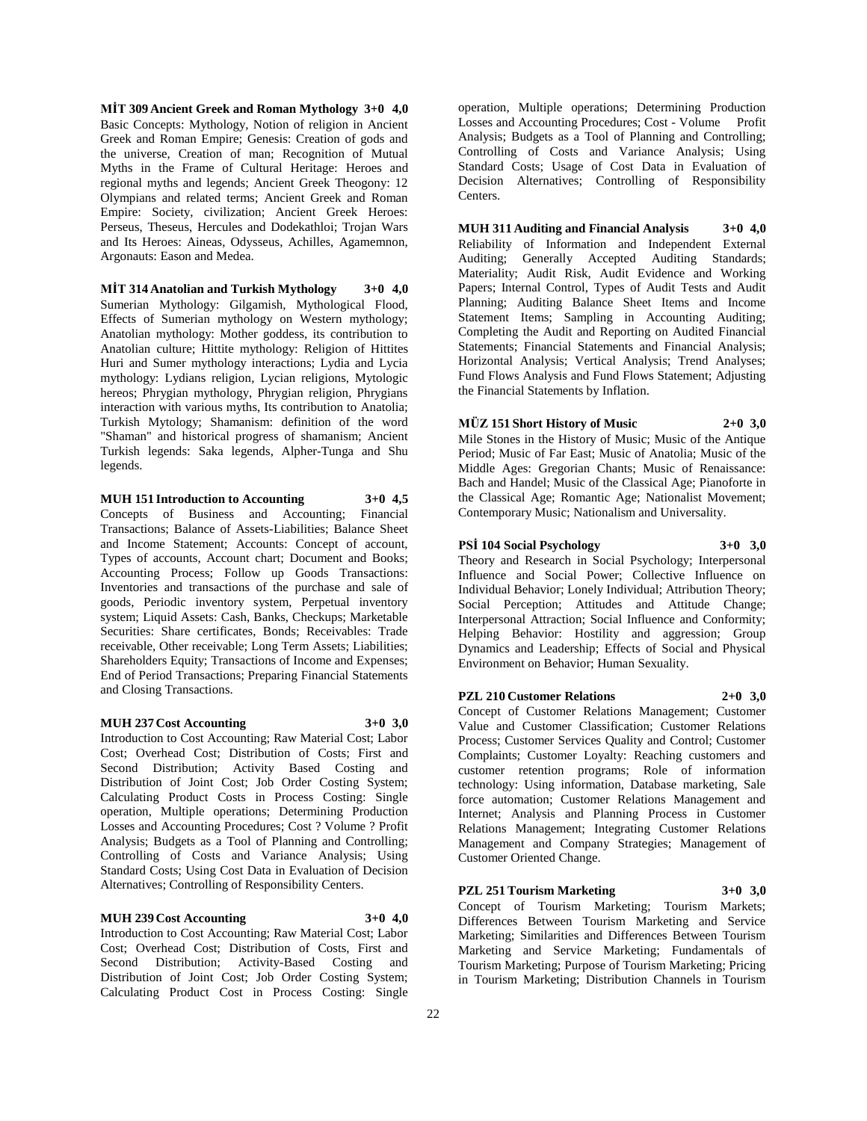**MİT 309 Ancient Greek and Roman Mythology 3+0 4,0** Basic Concepts: Mythology, Notion of religion in Ancient Greek and Roman Empire; Genesis: Creation of gods and the universe, Creation of man; Recognition of Mutual Myths in the Frame of Cultural Heritage: Heroes and regional myths and legends; Ancient Greek Theogony: 12 Olympians and related terms; Ancient Greek and Roman Empire: Society, civilization; Ancient Greek Heroes: Perseus, Theseus, Hercules and Dodekathloi; Trojan Wars and Its Heroes: Aineas, Odysseus, Achilles, Agamemnon, Argonauts: Eason and Medea.

**MİT 314 Anatolian and Turkish Mythology 3+0 4,0** Sumerian Mythology: Gilgamish, Mythological Flood, Effects of Sumerian mythology on Western mythology; Anatolian mythology: Mother goddess, its contribution to Anatolian culture; Hittite mythology: Religion of Hittites Huri and Sumer mythology interactions; Lydia and Lycia mythology: Lydians religion, Lycian religions, Mytologic hereos; Phrygian mythology, Phrygian religion, Phrygians interaction with various myths, Its contribution to Anatolia; Turkish Mytology; Shamanism: definition of the word "Shaman" and historical progress of shamanism; Ancient Turkish legends: Saka legends, Alpher-Tunga and Shu legends.

# **MUH 151 Introduction to Accounting 3+0 4,5**

Concepts of Business and Accounting; Financial Transactions; Balance of Assets-Liabilities; Balance Sheet and Income Statement; Accounts: Concept of account, Types of accounts, Account chart; Document and Books; Accounting Process; Follow up Goods Transactions: Inventories and transactions of the purchase and sale of goods, Periodic inventory system, Perpetual inventory system; Liquid Assets: Cash, Banks, Checkups; Marketable Securities: Share certificates, Bonds; Receivables: Trade receivable, Other receivable; Long Term Assets; Liabilities; Shareholders Equity; Transactions of Income and Expenses; End of Period Transactions; Preparing Financial Statements and Closing Transactions.

# **MUH 237 Cost Accounting 3+0 3,0**

Introduction to Cost Accounting; Raw Material Cost; Labor Cost; Overhead Cost; Distribution of Costs; First and Second Distribution; Activity Based Costing and Distribution of Joint Cost; Job Order Costing System; Calculating Product Costs in Process Costing: Single operation, Multiple operations; Determining Production Losses and Accounting Procedures; Cost ? Volume ? Profit Analysis; Budgets as a Tool of Planning and Controlling; Controlling of Costs and Variance Analysis; Using Standard Costs; Using Cost Data in Evaluation of Decision Alternatives; Controlling of Responsibility Centers.

#### **MUH 239 Cost Accounting 3+0 4,0**

Introduction to Cost Accounting; Raw Material Cost; Labor Cost; Overhead Cost; Distribution of Costs, First and Second Distribution; Activity-Based Costing and Distribution of Joint Cost; Job Order Costing System; Calculating Product Cost in Process Costing: Single

operation, Multiple operations; Determining Production Losses and Accounting Procedures; Cost - Volume Profit Analysis; Budgets as a Tool of Planning and Controlling; Controlling of Costs and Variance Analysis; Using Standard Costs; Usage of Cost Data in Evaluation of Decision Alternatives; Controlling of Responsibility Centers.

**MUH 311 Auditing and Financial Analysis 3+0 4,0** Reliability of Information and Independent External Auditing; Generally Accepted Auditing Standards; Materiality; Audit Risk, Audit Evidence and Working Papers; Internal Control, Types of Audit Tests and Audit Planning; Auditing Balance Sheet Items and Income Statement Items; Sampling in Accounting Auditing; Completing the Audit and Reporting on Audited Financial Statements; Financial Statements and Financial Analysis; Horizontal Analysis; Vertical Analysis; Trend Analyses; Fund Flows Analysis and Fund Flows Statement; Adjusting the Financial Statements by Inflation.

# **MÜZ 151 Short History of Music 2+0 3,0**

Mile Stones in the History of Music; Music of the Antique Period; Music of Far East; Music of Anatolia; Music of the Middle Ages: Gregorian Chants; Music of Renaissance: Bach and Handel; Music of the Classical Age; Pianoforte in the Classical Age; Romantic Age; Nationalist Movement; Contemporary Music; Nationalism and Universality.

#### **PSİ 104 Social Psychology 3+0 3,0**

Theory and Research in Social Psychology; Interpersonal Influence and Social Power; Collective Influence on Individual Behavior; Lonely Individual; Attribution Theory; Social Perception; Attitudes and Attitude Change; Interpersonal Attraction; Social Influence and Conformity; Helping Behavior: Hostility and aggression; Group Dynamics and Leadership; Effects of Social and Physical Environment on Behavior; Human Sexuality.

**PZL 210 Customer Relations 2+0 3,0**

Concept of Customer Relations Management; Customer Value and Customer Classification; Customer Relations Process; Customer Services Quality and Control; Customer Complaints; Customer Loyalty: Reaching customers and customer retention programs; Role of information technology: Using information, Database marketing, Sale force automation; Customer Relations Management and Internet; Analysis and Planning Process in Customer Relations Management; Integrating Customer Relations Management and Company Strategies; Management of Customer Oriented Change.

#### **PZL 251 Tourism Marketing 3+0 3,0**

Concept of Tourism Marketing; Tourism Markets; Differences Between Tourism Marketing and Service Marketing; Similarities and Differences Between Tourism Marketing and Service Marketing; Fundamentals of Tourism Marketing; Purpose of Tourism Marketing; Pricing in Tourism Marketing; Distribution Channels in Tourism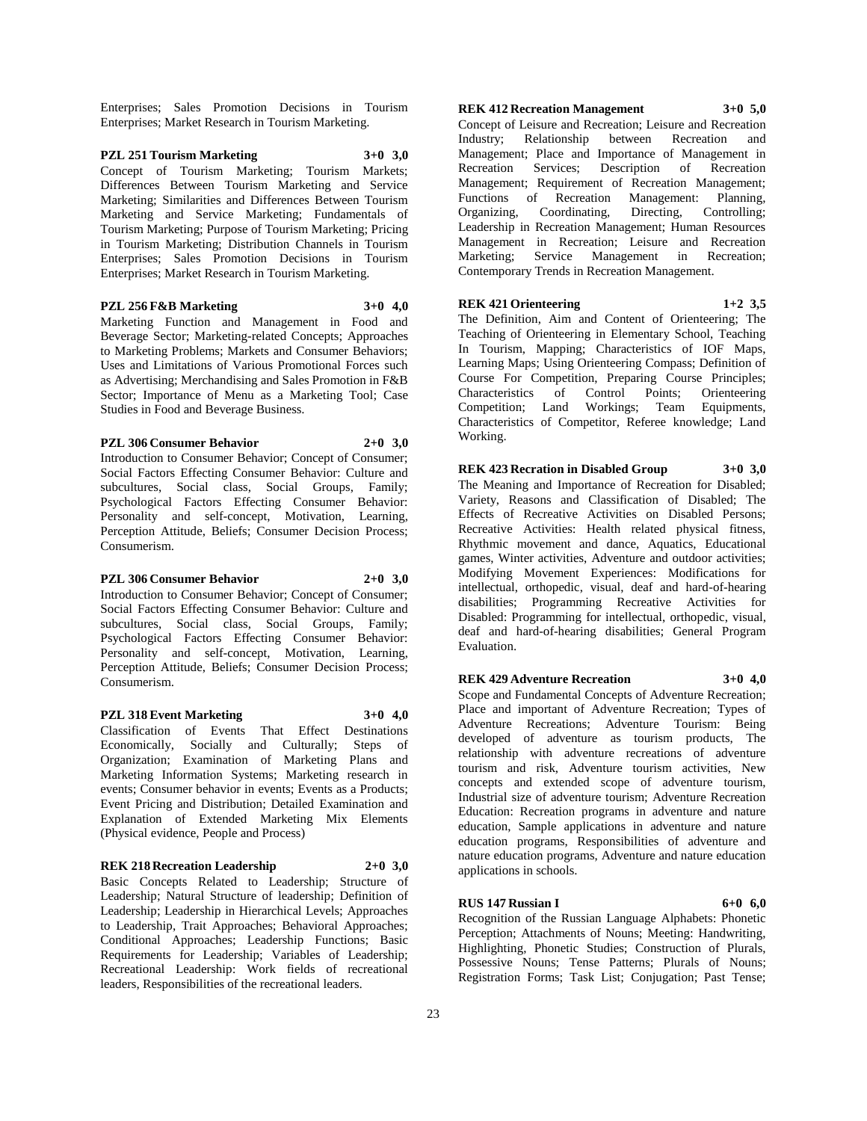Enterprises; Sales Promotion Decisions in Tourism Enterprises; Market Research in Tourism Marketing.

**PZL 251 Tourism Marketing 3+0 3,0** Concept of Tourism Marketing; Tourism Markets; Differences Between Tourism Marketing and Service Marketing; Similarities and Differences Between Tourism Marketing and Service Marketing; Fundamentals of Tourism Marketing; Purpose of Tourism Marketing; Pricing in Tourism Marketing; Distribution Channels in Tourism Enterprises; Sales Promotion Decisions in Tourism Enterprises; Market Research in Tourism Marketing.

# **PZL 256 F&B Marketing 3+0 4,0**

Marketing Function and Management in Food and Beverage Sector; Marketing-related Concepts; Approaches to Marketing Problems; Markets and Consumer Behaviors; Uses and Limitations of Various Promotional Forces such as Advertising; Merchandising and Sales Promotion in F&B Sector; Importance of Menu as a Marketing Tool; Case Studies in Food and Beverage Business.

# **PZL 306 Consumer Behavior 2+0 3,0**

Introduction to Consumer Behavior; Concept of Consumer; Social Factors Effecting Consumer Behavior: Culture and subcultures, Social class, Social Groups, Family; Psychological Factors Effecting Consumer Behavior: Personality and self-concept, Motivation, Learning, Perception Attitude, Beliefs; Consumer Decision Process; Consumerism.

#### **PZL 306 Consumer Behavior 2+0 3,0**

Introduction to Consumer Behavior; Concept of Consumer; Social Factors Effecting Consumer Behavior: Culture and subcultures, Social class, Social Groups, Family; Psychological Factors Effecting Consumer Behavior: Personality and self-concept, Motivation, Learning, Perception Attitude, Beliefs; Consumer Decision Process; Consumerism.

#### **PZL 318 Event Marketing 3+0 4,0**

Classification of Events That Effect Destinations Economically, Socially and Culturally; Steps of Organization; Examination of Marketing Plans and Marketing Information Systems; Marketing research in events; Consumer behavior in events; Events as a Products; Event Pricing and Distribution; Detailed Examination and Explanation of Extended Marketing Mix Elements (Physical evidence, People and Process)

#### **REK 218 Recreation Leadership 2+0 3,0**

Basic Concepts Related to Leadership; Structure of Leadership; Natural Structure of leadership; Definition of Leadership; Leadership in Hierarchical Levels; Approaches to Leadership, Trait Approaches; Behavioral Approaches; Conditional Approaches; Leadership Functions; Basic Requirements for Leadership; Variables of Leadership; Recreational Leadership: Work fields of recreational leaders, Responsibilities of the recreational leaders.

**REK 412 Recreation Management 3+0 5,0** Concept of Leisure and Recreation; Leisure and Recreation

Industry; Relationship between Recreation and Management; Place and Importance of Management in Recreation Services; Description of Recreation Management; Requirement of Recreation Management; Functions of Recreation Management: Planning, Organizing, Coordinating, Directing, Controlling; Organizing, Coordinating, Directing, Controlling; Leadership in Recreation Management; Human Resources Management in Recreation; Leisure and Recreation Marketing; Service Management in Recreation; Contemporary Trends in Recreation Management.

#### **REK 421 Orienteering 1+2 3,5**

The Definition, Aim and Content of Orienteering; The Teaching of Orienteering in Elementary School, Teaching In Tourism, Mapping; Characteristics of IOF Maps, Learning Maps; Using Orienteering Compass; Definition of Course For Competition, Preparing Course Principles; Characteristics of Control Points; Orienteering Competition; Land Workings; Team Equipments, Characteristics of Competitor, Referee knowledge; Land Working.

#### **REK 423 Recration in Disabled Group 3+0 3,0**

The Meaning and Importance of Recreation for Disabled; Variety, Reasons and Classification of Disabled; The Effects of Recreative Activities on Disabled Persons; Recreative Activities: Health related physical fitness, Rhythmic movement and dance, Aquatics, Educational games, Winter activities, Adventure and outdoor activities; Modifying Movement Experiences: Modifications for intellectual, orthopedic, visual, deaf and hard-of-hearing disabilities; Programming Recreative Activities for Disabled: Programming for intellectual, orthopedic, visual, deaf and hard-of-hearing disabilities; General Program Evaluation.

# **REK 429 Adventure Recreation 3+0 4,0**

Scope and Fundamental Concepts of Adventure Recreation; Place and important of Adventure Recreation; Types of Adventure Recreations; Adventure Tourism: Being developed of adventure as tourism products, The relationship with adventure recreations of adventure tourism and risk, Adventure tourism activities, New concepts and extended scope of adventure tourism, Industrial size of adventure tourism; Adventure Recreation Education: Recreation programs in adventure and nature education, Sample applications in adventure and nature education programs, Responsibilities of adventure and nature education programs, Adventure and nature education applications in schools.

#### **RUS 147 Russian I 6+0 6,0**

Recognition of the Russian Language Alphabets: Phonetic Perception; Attachments of Nouns; Meeting: Handwriting, Highlighting, Phonetic Studies; Construction of Plurals, Possessive Nouns; Tense Patterns; Plurals of Nouns; Registration Forms; Task List; Conjugation; Past Tense;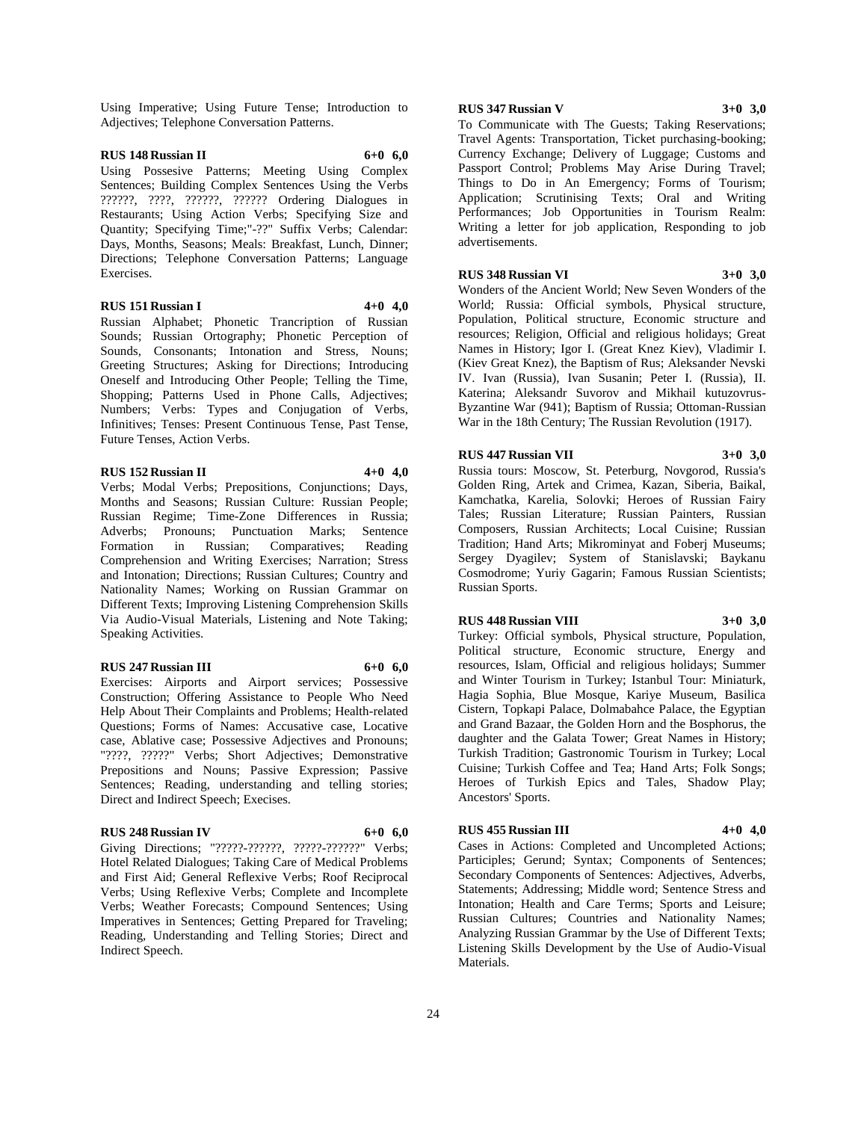Using Imperative; Using Future Tense; Introduction to Adjectives; Telephone Conversation Patterns.

#### **RUS 148 Russian II 6+0 6,0**

Using Possesive Patterns; Meeting Using Complex Sentences; Building Complex Sentences Using the Verbs ??????, ????, ??????, ?????? Ordering Dialogues in Restaurants; Using Action Verbs; Specifying Size and Quantity; Specifying Time;"-??" Suffix Verbs; Calendar: Days, Months, Seasons; Meals: Breakfast, Lunch, Dinner; Directions; Telephone Conversation Patterns; Language Exercises.

# **RUS 151 Russian I 4+0 4,0**

Russian Alphabet; Phonetic Trancription of Russian Sounds; Russian Ortography; Phonetic Perception of Sounds, Consonants; Intonation and Stress, Nouns; Greeting Structures; Asking for Directions; Introducing Oneself and Introducing Other People; Telling the Time, Shopping; Patterns Used in Phone Calls, Adjectives; Numbers; Verbs: Types and Conjugation of Verbs, Infinitives; Tenses: Present Continuous Tense, Past Tense, Future Tenses, Action Verbs.

#### **RUS 152 Russian II 4+0 4,0**

Verbs; Modal Verbs; Prepositions, Conjunctions; Days, Months and Seasons; Russian Culture: Russian People; Russian Regime; Time-Zone Differences in Russia; Adverbs; Pronouns; Punctuation Marks; Sentence Formation in Russian; Comparatives; Reading Comprehension and Writing Exercises; Narration; Stress and Intonation; Directions; Russian Cultures; Country and Nationality Names; Working on Russian Grammar on Different Texts; Improving Listening Comprehension Skills Via Audio-Visual Materials, Listening and Note Taking; Speaking Activities.

#### **RUS 247 Russian III 6+0 6,0**

Exercises: Airports and Airport services; Possessive Construction; Offering Assistance to People Who Need Help About Their Complaints and Problems; Health-related Questions; Forms of Names: Accusative case, Locative case, Ablative case; Possessive Adjectives and Pronouns; "????, ?????" Verbs; Short Adjectives; Demonstrative Prepositions and Nouns; Passive Expression; Passive Sentences; Reading, understanding and telling stories; Direct and Indirect Speech; Execises.

#### **RUS 248 Russian IV 6+0 6,0**

Giving Directions; "?????-??????, ?????-??????" Verbs; Hotel Related Dialogues; Taking Care of Medical Problems and First Aid; General Reflexive Verbs; Roof Reciprocal Verbs; Using Reflexive Verbs; Complete and Incomplete Verbs; Weather Forecasts; Compound Sentences; Using Imperatives in Sentences; Getting Prepared for Traveling; Reading, Understanding and Telling Stories; Direct and Indirect Speech.

# **RUS 347 Russian V 3+0 3,0**

To Communicate with The Guests; Taking Reservations; Travel Agents: Transportation, Ticket purchasing-booking; Currency Exchange; Delivery of Luggage; Customs and Passport Control; Problems May Arise During Travel; Things to Do in An Emergency; Forms of Tourism; Application; Scrutinising Texts; Oral and Writing Performances; Job Opportunities in Tourism Realm: Writing a letter for job application, Responding to job advertisements.

#### **RUS 348 Russian VI 3+0 3,0**

Wonders of the Ancient World; New Seven Wonders of the World; Russia: Official symbols, Physical structure, Population, Political structure, Economic structure and resources; Religion, Official and religious holidays; Great Names in History; Igor I. (Great Knez Kiev), Vladimir I. (Kiev Great Knez), the Baptism of Rus; Aleksander Nevski IV. Ivan (Russia), Ivan Susanin; Peter I. (Russia), II. Katerina; Aleksandr Suvorov and Mikhail kutuzovrus-Byzantine War (941); Baptism of Russia; Ottoman-Russian War in the 18th Century; The Russian Revolution (1917).

#### **RUS 447 Russian VII 3+0 3,0**

Russia tours: Moscow, St. Peterburg, Novgorod, Russia's Golden Ring, Artek and Crimea, Kazan, Siberia, Baikal, Kamchatka, Karelia, Solovki; Heroes of Russian Fairy Tales; Russian Literature; Russian Painters, Russian Composers, Russian Architects; Local Cuisine; Russian Tradition; Hand Arts; Mikrominyat and Foberj Museums; Sergey Dyagilev; System of Stanislavski; Baykanu Cosmodrome; Yuriy Gagarin; Famous Russian Scientists; Russian Sports.

#### **RUS 448 Russian VIII 3+0 3,0**

Turkey: Official symbols, Physical structure, Population, Political structure, Economic structure, Energy and resources, Islam, Official and religious holidays; Summer and Winter Tourism in Turkey; Istanbul Tour: Miniaturk, Hagia Sophia, Blue Mosque, Kariye Museum, Basilica Cistern, Topkapi Palace, Dolmabahce Palace, the Egyptian and Grand Bazaar, the Golden Horn and the Bosphorus, the daughter and the Galata Tower; Great Names in History; Turkish Tradition; Gastronomic Tourism in Turkey; Local Cuisine; Turkish Coffee and Tea; Hand Arts; Folk Songs; Heroes of Turkish Epics and Tales, Shadow Play; Ancestors' Sports.

#### **RUS 455 Russian III 4+0 4,0**

Cases in Actions: Completed and Uncompleted Actions; Participles; Gerund; Syntax; Components of Sentences; Secondary Components of Sentences: Adjectives, Adverbs, Statements; Addressing; Middle word; Sentence Stress and Intonation; Health and Care Terms; Sports and Leisure; Russian Cultures; Countries and Nationality Names; Analyzing Russian Grammar by the Use of Different Texts; Listening Skills Development by the Use of Audio-Visual Materials.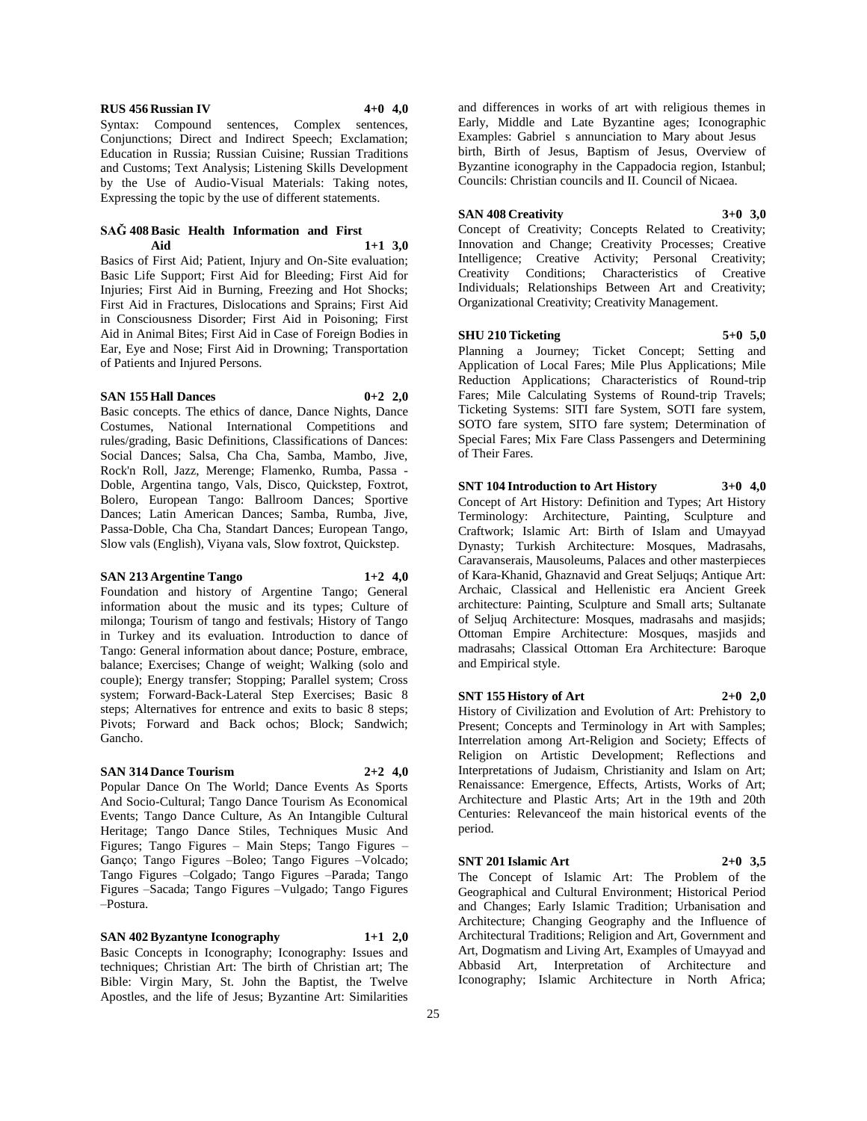### **RUS 456 Russian IV 4+0 4,0**

Syntax: Compound sentences, Complex sentences, Conjunctions; Direct and Indirect Speech; Exclamation; Education in Russia; Russian Cuisine; Russian Traditions and Customs; Text Analysis; Listening Skills Development by the Use of Audio-Visual Materials: Taking notes, Expressing the topic by the use of different statements.

#### **SAĞ 408 Basic Health Information and First Aid 1+1 3,0**

Basics of First Aid; Patient, Injury and On-Site evaluation; Basic Life Support; First Aid for Bleeding; First Aid for Injuries; First Aid in Burning, Freezing and Hot Shocks; First Aid in Fractures, Dislocations and Sprains; First Aid in Consciousness Disorder; First Aid in Poisoning; First Aid in Animal Bites; First Aid in Case of Foreign Bodies in Ear, Eye and Nose; First Aid in Drowning; Transportation of Patients and Injured Persons.

#### **SAN 155 Hall Dances 0+2 2,0**

Basic concepts. The ethics of dance, Dance Nights, Dance Costumes, National International Competitions and rules/grading, Basic Definitions, Classifications of Dances: Social Dances; Salsa, Cha Cha, Samba, Mambo, Jive, Rock'n Roll, Jazz, Merenge; Flamenko, Rumba, Passa - Doble, Argentina tango, Vals, Disco, Quickstep, Foxtrot, Bolero, European Tango: Ballroom Dances; Sportive Dances; Latin American Dances; Samba, Rumba, Jive, Passa-Doble, Cha Cha, Standart Dances; European Tango, Slow vals (English), Viyana vals, Slow foxtrot, Quickstep.

## **SAN 213 Argentine Tango 1+2 4,0**

Foundation and history of Argentine Tango; General information about the music and its types; Culture of milonga; Tourism of tango and festivals; History of Tango in Turkey and its evaluation. Introduction to dance of Tango: General information about dance; Posture, embrace, balance; Exercises; Change of weight; Walking (solo and couple); Energy transfer; Stopping; Parallel system; Cross system; Forward-Back-Lateral Step Exercises; Basic 8 steps; Alternatives for entrence and exits to basic 8 steps; Pivots; Forward and Back ochos; Block; Sandwich; Gancho.

# **SAN 314 Dance Tourism 2+2 4,0**

Popular Dance On The World; Dance Events As Sports And Socio-Cultural; Tango Dance Tourism As Economical Events; Tango Dance Culture, As An Intangible Cultural Heritage; Tango Dance Stiles, Techniques Music And Figures; Tango Figures – Main Steps; Tango Figures – Ganço; Tango Figures –Boleo; Tango Figures –Volcado; Tango Figures –Colgado; Tango Figures –Parada; Tango Figures –Sacada; Tango Figures –Vulgado; Tango Figures –Postura.

**SAN 402 Byzantyne Iconography 1+1 2,0** Basic Concepts in Iconography; Iconography: Issues and techniques; Christian Art: The birth of Christian art; The Bible: Virgin Mary, St. John the Baptist, the Twelve Apostles, and the life of Jesus; Byzantine Art: Similarities

and differences in works of art with religious themes in Early, Middle and Late Byzantine ages; Iconographic Examples: Gabriel s annunciation to Mary about Jesus birth, Birth of Jesus, Baptism of Jesus, Overview of Byzantine iconography in the Cappadocia region, Istanbul; Councils: Christian councils and II. Council of Nicaea.

# **SAN 408 Creativity 3+0 3,0**

Concept of Creativity; Concepts Related to Creativity; Innovation and Change; Creativity Processes; Creative Intelligence; Creative Activity; Personal Creativity; Creativity Conditions; Characteristics of Creative Individuals; Relationships Between Art and Creativity; Organizational Creativity; Creativity Management.

#### **SHU 210 Ticketing 5+0 5,0**

Planning a Journey; Ticket Concept; Setting and Application of Local Fares; Mile Plus Applications; Mile Reduction Applications; Characteristics of Round-trip Fares; Mile Calculating Systems of Round-trip Travels; Ticketing Systems: SITI fare System, SOTI fare system, SOTO fare system, SITO fare system; Determination of Special Fares; Mix Fare Class Passengers and Determining of Their Fares.

**SNT 104 Introduction to Art History 3+0 4,0** Concept of Art History: Definition and Types; Art History Terminology: Architecture, Painting, Sculpture and Craftwork; Islamic Art: Birth of Islam and Umayyad Dynasty; Turkish Architecture: Mosques, Madrasahs, Caravanserais, Mausoleums, Palaces and other masterpieces of Kara-Khanid, Ghaznavid and Great Seljuqs; Antique Art: Archaic, Classical and Hellenistic era Ancient Greek architecture: Painting, Sculpture and Small arts; Sultanate of Seljuq Architecture: Mosques, madrasahs and masjids; Ottoman Empire Architecture: Mosques, masjids and madrasahs; Classical Ottoman Era Architecture: Baroque and Empirical style.

# **SNT 155 History of Art 2+0 2,0**

History of Civilization and Evolution of Art: Prehistory to Present; Concepts and Terminology in Art with Samples; Interrelation among Art-Religion and Society; Effects of Religion on Artistic Development; Reflections and Interpretations of Judaism, Christianity and Islam on Art; Renaissance: Emergence, Effects, Artists, Works of Art; Architecture and Plastic Arts; Art in the 19th and 20th Centuries: Relevanceof the main historical events of the period.

**SNT 201 Islamic Art 2+0 3,5**

The Concept of Islamic Art: The Problem of the Geographical and Cultural Environment; Historical Period and Changes; Early Islamic Tradition; Urbanisation and Architecture; Changing Geography and the Influence of Architectural Traditions; Religion and Art, Government and Art, Dogmatism and Living Art, Examples of Umayyad and Abbasid Art, Interpretation of Architecture and Iconography; Islamic Architecture in North Africa;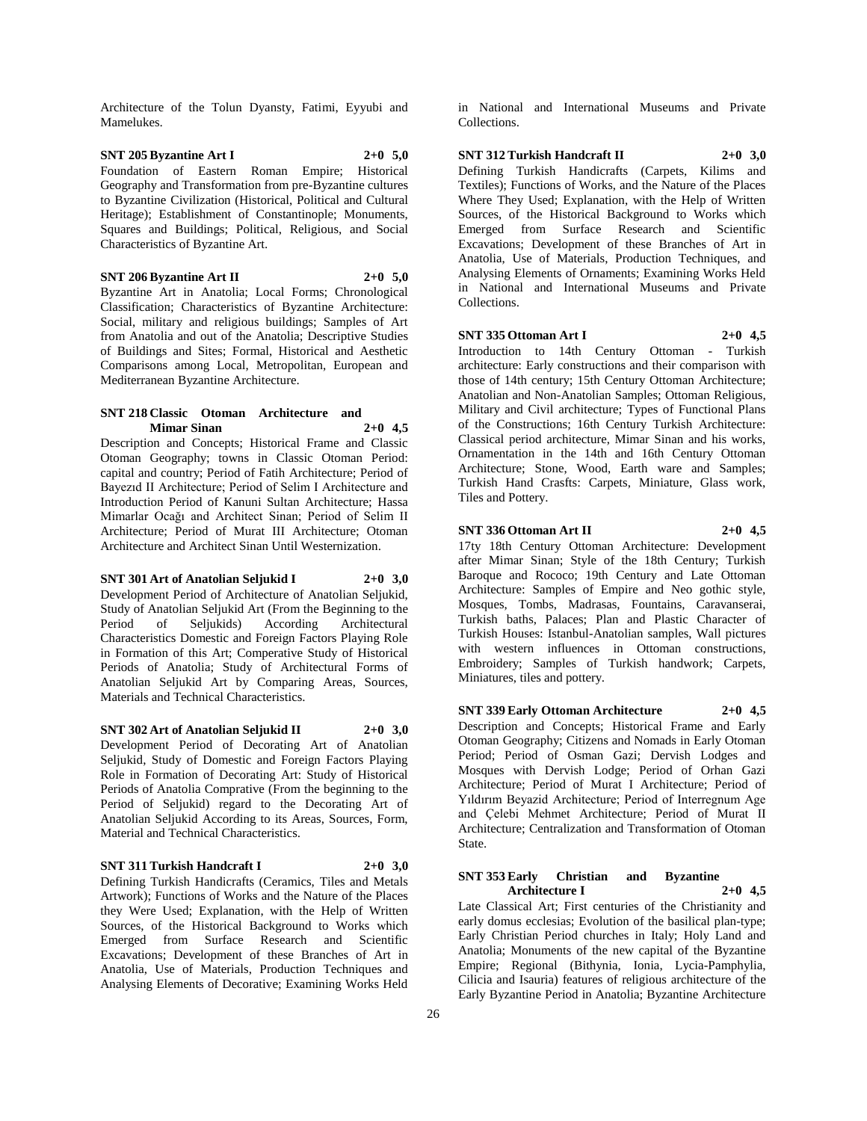Architecture of the Tolun Dyansty, Fatimi, Eyyubi and Mamelukes.

### **SNT 205 Byzantine Art I 2+0 5,0** Foundation of Eastern Roman Empire; Historical Geography and Transformation from pre-Byzantine cultures to Byzantine Civilization (Historical, Political and Cultural Heritage); Establishment of Constantinople; Monuments, Squares and Buildings; Political, Religious, and Social Characteristics of Byzantine Art.

#### **SNT 206 Byzantine Art II 2+0 5,0**

Byzantine Art in Anatolia; Local Forms; Chronological Classification; Characteristics of Byzantine Architecture: Social, military and religious buildings; Samples of Art from Anatolia and out of the Anatolia; Descriptive Studies of Buildings and Sites; Formal, Historical and Aesthetic Comparisons among Local, Metropolitan, European and Mediterranean Byzantine Architecture.

### **SNT 218 Classic Otoman Architecture and Mimar Sinan 2+0 4,5**

Description and Concepts; Historical Frame and Classic Otoman Geography; towns in Classic Otoman Period: capital and country; Period of Fatih Architecture; Period of Bayezıd II Architecture; Period of Selim I Architecture and Introduction Period of Kanuni Sultan Architecture; Hassa Mimarlar Ocağı and Architect Sinan; Period of Selim II Architecture; Period of Murat III Architecture; Otoman Architecture and Architect Sinan Until Westernization.

**SNT 301 Art of Anatolian Seljukid I 2+0 3,0** Development Period of Architecture of Anatolian Seljukid, Study of Anatolian Seljukid Art (From the Beginning to the Period of Seljukids) According Architectural Characteristics Domestic and Foreign Factors Playing Role in Formation of this Art; Comperative Study of Historical Periods of Anatolia; Study of Architectural Forms of Anatolian Seljukid Art by Comparing Areas, Sources, Materials and Technical Characteristics.

**SNT 302 Art of Anatolian Seljukid II 2+0 3,0** Development Period of Decorating Art of Anatolian Seljukid, Study of Domestic and Foreign Factors Playing Role in Formation of Decorating Art: Study of Historical Periods of Anatolia Comprative (From the beginning to the Period of Seljukid) regard to the Decorating Art of Anatolian Seljukid According to its Areas, Sources, Form, Material and Technical Characteristics.

#### **SNT 311 Turkish Handcraft I 2+0 3,0**

Defining Turkish Handicrafts (Ceramics, Tiles and Metals Artwork); Functions of Works and the Nature of the Places they Were Used; Explanation, with the Help of Written Sources, of the Historical Background to Works which Emerged from Surface Research and Scientific Excavations; Development of these Branches of Art in Anatolia, Use of Materials, Production Techniques and Analysing Elements of Decorative; Examining Works Held

in National and International Museums and Private Collections.

# **SNT 312 Turkish Handcraft II 2+0 3,0**

Defining Turkish Handicrafts (Carpets, Kilims and Textiles); Functions of Works, and the Nature of the Places Where They Used; Explanation, with the Help of Written Sources, of the Historical Background to Works which Emerged from Surface Research and Scientific Excavations; Development of these Branches of Art in Anatolia, Use of Materials, Production Techniques, and Analysing Elements of Ornaments; Examining Works Held in National and International Museums and Private Collections.

# **SNT 335 Ottoman Art I 2+0 4,5** Introduction to 14th Century Ottoman - Turkish

architecture: Early constructions and their comparison with those of 14th century; 15th Century Ottoman Architecture; Anatolian and Non-Anatolian Samples; Ottoman Religious, Military and Civil architecture; Types of Functional Plans of the Constructions; 16th Century Turkish Architecture: Classical period architecture, Mimar Sinan and his works, Ornamentation in the 14th and 16th Century Ottoman Architecture; Stone, Wood, Earth ware and Samples; Turkish Hand Crasfts: Carpets, Miniature, Glass work, Tiles and Pottery.

**SNT 336 Ottoman Art II 2+0 4,5** 17ty 18th Century Ottoman Architecture: Development after Mimar Sinan; Style of the 18th Century; Turkish Baroque and Rococo; 19th Century and Late Ottoman Architecture: Samples of Empire and Neo gothic style, Mosques, Tombs, Madrasas, Fountains, Caravanserai, Turkish baths, Palaces; Plan and Plastic Character of Turkish Houses: Istanbul-Anatolian samples, Wall pictures with western influences in Ottoman constructions, Embroidery; Samples of Turkish handwork; Carpets, Miniatures, tiles and pottery.

**SNT 339 Early Ottoman Architecture 2+0 4,5** Description and Concepts; Historical Frame and Early Otoman Geography; Citizens and Nomads in Early Otoman Period; Period of Osman Gazi; Dervish Lodges and Mosques with Dervish Lodge; Period of Orhan Gazi Architecture; Period of Murat I Architecture; Period of Yıldırım Beyazid Architecture; Period of Interregnum Age and Çelebi Mehmet Architecture; Period of Murat II Architecture; Centralization and Transformation of Otoman State.

#### **SNT 353 Early Christian and Byzantine Architecture I 2+0 4,5**

Late Classical Art; First centuries of the Christianity and early domus ecclesias; Evolution of the basilical plan-type; Early Christian Period churches in Italy; Holy Land and Anatolia; Monuments of the new capital of the Byzantine Empire; Regional (Bithynia, Ionia, Lycia-Pamphylia, Cilicia and Isauria) features of religious architecture of the Early Byzantine Period in Anatolia; Byzantine Architecture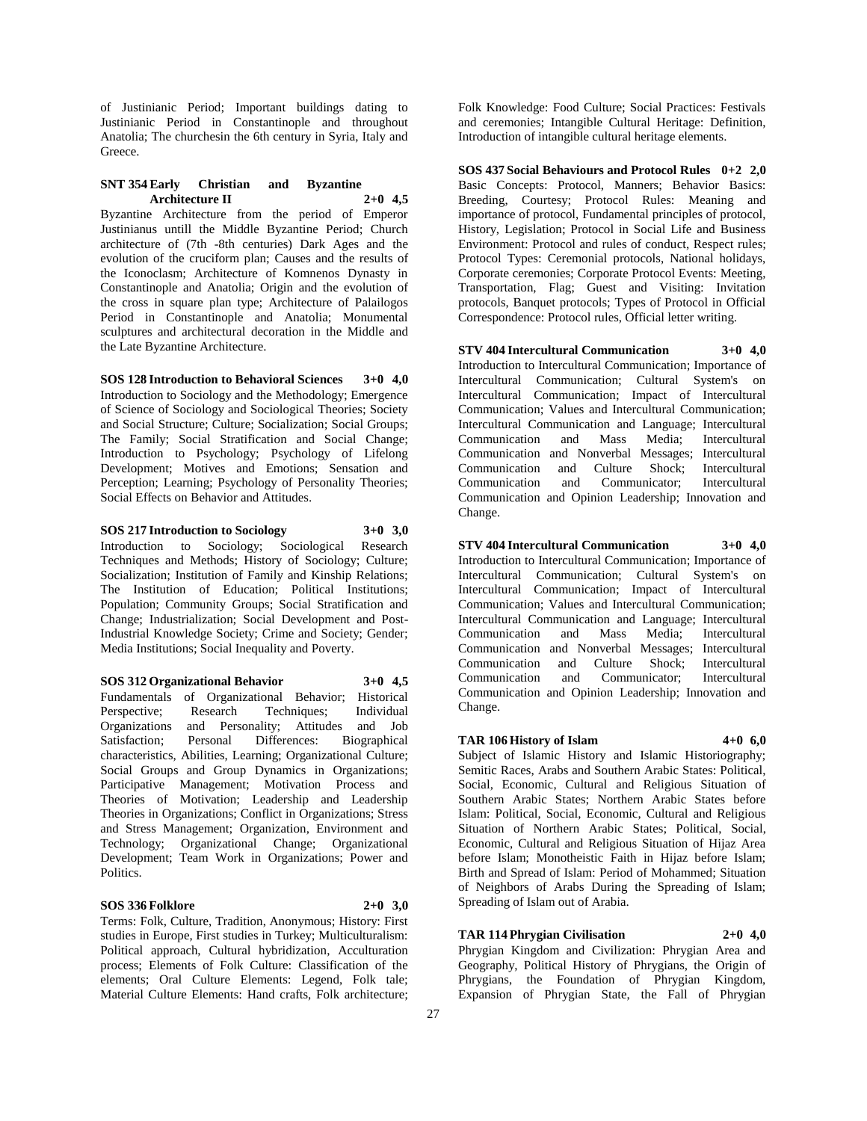of Justinianic Period; Important buildings dating to Justinianic Period in Constantinople and throughout Anatolia; The churchesin the 6th century in Syria, Italy and Greece.

## **SNT 354 Early Christian and Byzantine Architecture II 2+0 4,5**

Byzantine Architecture from the period of Emperor Justinianus untill the Middle Byzantine Period; Church architecture of (7th -8th centuries) Dark Ages and the evolution of the cruciform plan; Causes and the results of the Iconoclasm; Architecture of Komnenos Dynasty in Constantinople and Anatolia; Origin and the evolution of the cross in square plan type; Architecture of Palailogos Period in Constantinople and Anatolia; Monumental sculptures and architectural decoration in the Middle and the Late Byzantine Architecture.

**SOS 128 Introduction to Behavioral Sciences 3+0 4,0** Introduction to Sociology and the Methodology; Emergence of Science of Sociology and Sociological Theories; Society and Social Structure; Culture; Socialization; Social Groups; The Family; Social Stratification and Social Change; Introduction to Psychology; Psychology of Lifelong Development; Motives and Emotions; Sensation and Perception; Learning; Psychology of Personality Theories; Social Effects on Behavior and Attitudes.

**SOS 217 Introduction to Sociology 3+0 3,0** Introduction to Sociology; Sociological Research Techniques and Methods; History of Sociology; Culture; Socialization; Institution of Family and Kinship Relations; The Institution of Education; Political Institutions; Population; Community Groups; Social Stratification and Change; Industrialization; Social Development and Post-Industrial Knowledge Society; Crime and Society; Gender; Media Institutions; Social Inequality and Poverty.

**SOS 312 Organizational Behavior 3+0 4,5** Fundamentals of Organizational Behavior; Historical Perspective: Research Techniques: Individual Organizations and Personality; Attitudes and Job Satisfaction; Personal Differences: Biographical characteristics, Abilities, Learning; Organizational Culture; Social Groups and Group Dynamics in Organizations; Participative Management; Motivation Process and Theories of Motivation; Leadership and Leadership Theories in Organizations; Conflict in Organizations; Stress and Stress Management; Organization, Environment and Technology; Organizational Change; Organizational Development; Team Work in Organizations; Power and Politics.

#### **SOS 336 Folklore 2+0 3,0**

Terms: Folk, Culture, Tradition, Anonymous; History: First studies in Europe, First studies in Turkey; Multiculturalism: Political approach, Cultural hybridization, Acculturation process; Elements of Folk Culture: Classification of the elements; Oral Culture Elements: Legend, Folk tale; Material Culture Elements: Hand crafts, Folk architecture;

Folk Knowledge: Food Culture; Social Practices: Festivals and ceremonies; Intangible Cultural Heritage: Definition, Introduction of intangible cultural heritage elements.

**SOS 437 Social Behaviours and Protocol Rules 0+2 2,0** Basic Concepts: Protocol, Manners; Behavior Basics: Breeding, Courtesy; Protocol Rules: Meaning and importance of protocol, Fundamental principles of protocol, History, Legislation; Protocol in Social Life and Business Environment: Protocol and rules of conduct, Respect rules; Protocol Types: Ceremonial protocols, National holidays, Corporate ceremonies; Corporate Protocol Events: Meeting, Transportation, Flag; Guest and Visiting: Invitation protocols, Banquet protocols; Types of Protocol in Official Correspondence: Protocol rules, Official letter writing.

**STV 404 Intercultural Communication 3+0 4,0** Introduction to Intercultural Communication; Importance of Intercultural Communication; Cultural System's on Intercultural Communication; Impact of Intercultural Communication; Values and Intercultural Communication; Intercultural Communication and Language; Intercultural Communication and Mass Media; Intercultural Communication and Nonverbal Messages; Intercultural Communication and Culture Shock; Intercultural Communication and Communicator; Intercultural Communication and Opinion Leadership; Innovation and Change.

**STV 404 Intercultural Communication 3+0 4,0** Introduction to Intercultural Communication; Importance of Intercultural Communication; Cultural System's on Intercultural Communication; Impact of Intercultural Communication; Values and Intercultural Communication; Intercultural Communication and Language; Intercultural Communication and Mass Media; Intercultural Communication and Nonverbal Messages; Intercultural Communication and Culture Shock; Intercultural Communicator: Communication and Opinion Leadership; Innovation and Change.

#### **TAR 106 History of Islam 4+0 6,0**

Subject of Islamic History and Islamic Historiography; Semitic Races, Arabs and Southern Arabic States: Political, Social, Economic, Cultural and Religious Situation of Southern Arabic States; Northern Arabic States before Islam: Political, Social, Economic, Cultural and Religious Situation of Northern Arabic States; Political, Social, Economic, Cultural and Religious Situation of Hijaz Area before Islam; Monotheistic Faith in Hijaz before Islam; Birth and Spread of Islam: Period of Mohammed; Situation of Neighbors of Arabs During the Spreading of Islam; Spreading of Islam out of Arabia.

# **TAR 114 Phrygian Civilisation 2+0 4,0**

Phrygian Kingdom and Civilization: Phrygian Area and Geography, Political History of Phrygians, the Origin of Phrygians, the Foundation of Phrygian Kingdom, Expansion of Phrygian State, the Fall of Phrygian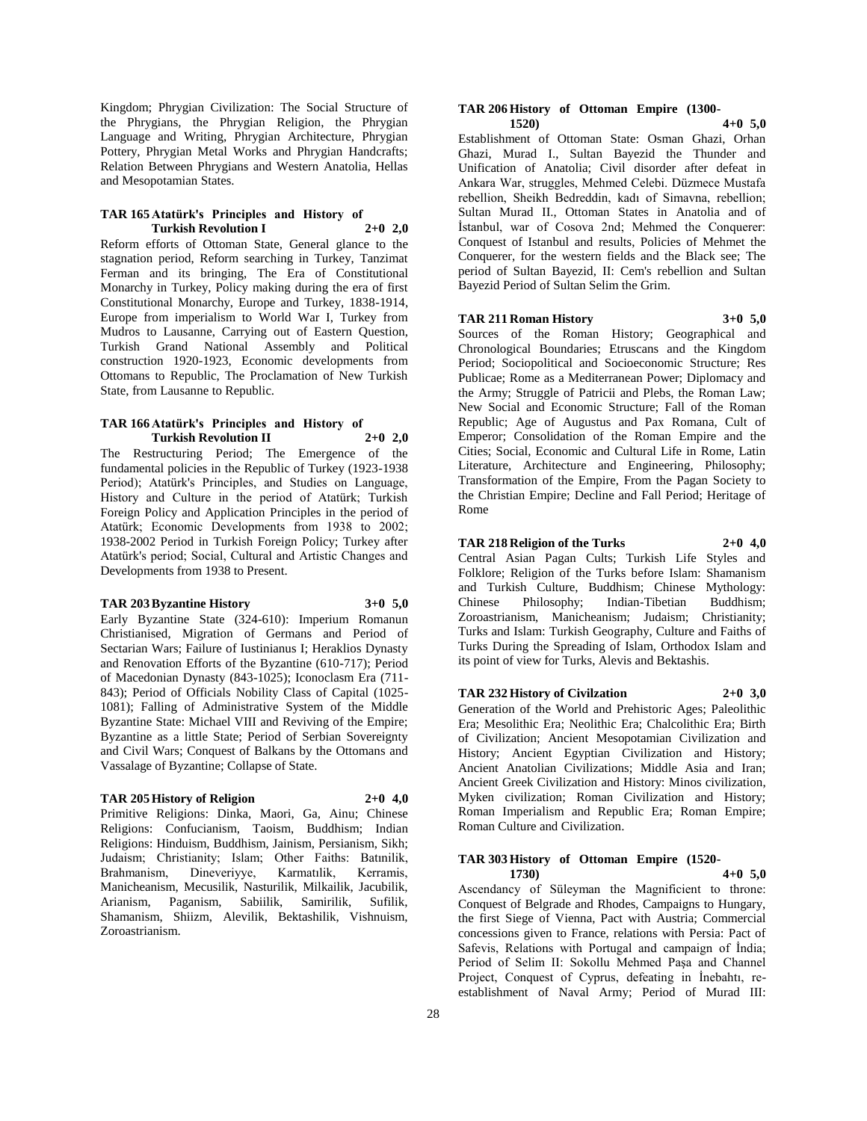Kingdom; Phrygian Civilization: The Social Structure of the Phrygians, the Phrygian Religion, the Phrygian Language and Writing, Phrygian Architecture, Phrygian Pottery, Phrygian Metal Works and Phrygian Handcrafts; Relation Between Phrygians and Western Anatolia, Hellas and Mesopotamian States.

#### **TAR 165 Atatürk's Principles and History of Turkish Revolution I 2+0 2,0**

Reform efforts of Ottoman State, General glance to the stagnation period, Reform searching in Turkey, Tanzimat Ferman and its bringing, The Era of Constitutional Monarchy in Turkey, Policy making during the era of first Constitutional Monarchy, Europe and Turkey, 1838-1914, Europe from imperialism to World War I, Turkey from Mudros to Lausanne, Carrying out of Eastern Question, Turkish Grand National Assembly and Political construction 1920-1923, Economic developments from Ottomans to Republic, The Proclamation of New Turkish State, from Lausanne to Republic.

#### **TAR 166 Atatürk's Principles and History of Turkish Revolution II 2+0 2,0**

The Restructuring Period; The Emergence of the fundamental policies in the Republic of Turkey (1923-1938 Period); Atatürk's Principles, and Studies on Language, History and Culture in the period of Atatürk; Turkish Foreign Policy and Application Principles in the period of Atatürk; Economic Developments from 1938 to 2002; 1938-2002 Period in Turkish Foreign Policy; Turkey after Atatürk's period; Social, Cultural and Artistic Changes and Developments from 1938 to Present.

#### **TAR 203 Byzantine History 3+0 5,0**

Early Byzantine State (324-610): Imperium Romanun Christianised, Migration of Germans and Period of Sectarian Wars; Failure of Iustinianus I; Heraklios Dynasty and Renovation Efforts of the Byzantine (610-717); Period of Macedonian Dynasty (843-1025); Iconoclasm Era (711- 843); Period of Officials Nobility Class of Capital (1025- 1081); Falling of Administrative System of the Middle Byzantine State: Michael VIII and Reviving of the Empire; Byzantine as a little State; Period of Serbian Sovereignty and Civil Wars; Conquest of Balkans by the Ottomans and Vassalage of Byzantine; Collapse of State.

#### **TAR 205 History of Religion 2+0 4,0**

Primitive Religions: Dinka, Maori, Ga, Ainu; Chinese Religions: Confucianism, Taoism, Buddhism; Indian Religions: Hinduism, Buddhism, Jainism, Persianism, Sikh; Judaism; Christianity; Islam; Other Faiths: Batınilik, Brahmanism, Dineveriyye, Karmatılik, Kerramis, Manicheanism, Mecusilik, Nasturilik, Milkailik, Jacubilik, Arianism, Paganism, Sabiilik, Samirilik, Sufilik, Shamanism, Shiizm, Alevilik, Bektashilik, Vishnuism, Zoroastrianism.

#### **TAR 206 History of Ottoman Empire (1300- 1520) 4+0 5,0**

Establishment of Ottoman State: Osman Ghazi, Orhan Ghazi, Murad I., Sultan Bayezid the Thunder and Unification of Anatolia; Civil disorder after defeat in Ankara War, struggles, Mehmed Celebi. Düzmece Mustafa rebellion, Sheikh Bedreddin, kadı of Simavna, rebellion; Sultan Murad II., Ottoman States in Anatolia and of İstanbul, war of Cosova 2nd; Mehmed the Conquerer: Conquest of Istanbul and results, Policies of Mehmet the Conquerer, for the western fields and the Black see; The period of Sultan Bayezid, II: Cem's rebellion and Sultan Bayezid Period of Sultan Selim the Grim.

#### **TAR 211 Roman History 3+0 5,0**

Sources of the Roman History; Geographical and Chronological Boundaries; Etruscans and the Kingdom Period; Sociopolitical and Socioeconomic Structure; Res Publicae; Rome as a Mediterranean Power; Diplomacy and the Army; Struggle of Patricii and Plebs, the Roman Law; New Social and Economic Structure; Fall of the Roman Republic; Age of Augustus and Pax Romana, Cult of Emperor; Consolidation of the Roman Empire and the Cities; Social, Economic and Cultural Life in Rome, Latin Literature, Architecture and Engineering, Philosophy; Transformation of the Empire, From the Pagan Society to the Christian Empire; Decline and Fall Period; Heritage of Rome

# **TAR 218 Religion of the Turks 2+0 4,0**

Central Asian Pagan Cults; Turkish Life Styles and Folklore; Religion of the Turks before Islam: Shamanism and Turkish Culture, Buddhism; Chinese Mythology: Chinese Philosophy; Indian-Tibetian Buddhism; Zoroastrianism, Manicheanism; Judaism; Christianity; Turks and Islam: Turkish Geography, Culture and Faiths of Turks During the Spreading of Islam, Orthodox Islam and its point of view for Turks, Alevis and Bektashis.

**TAR 232 History of Civilzation 2+0 3,0**

Generation of the World and Prehistoric Ages; Paleolithic Era; Mesolithic Era; Neolithic Era; Chalcolithic Era; Birth of Civilization; Ancient Mesopotamian Civilization and History; Ancient Egyptian Civilization and History; Ancient Anatolian Civilizations; Middle Asia and Iran; Ancient Greek Civilization and History: Minos civilization, Myken civilization; Roman Civilization and History; Roman Imperialism and Republic Era; Roman Empire; Roman Culture and Civilization.

#### **TAR 303 History of Ottoman Empire (1520- 1730) 4+0 5,0**

Ascendancy of Süleyman the Magnificient to throne: Conquest of Belgrade and Rhodes, Campaigns to Hungary, the first Siege of Vienna, Pact with Austria; Commercial concessions given to France, relations with Persia: Pact of Safevis, Relations with Portugal and campaign of İndia; Period of Selim II: Sokollu Mehmed Paşa and Channel Project, Conquest of Cyprus, defeating in İnebahtı, reestablishment of Naval Army; Period of Murad III: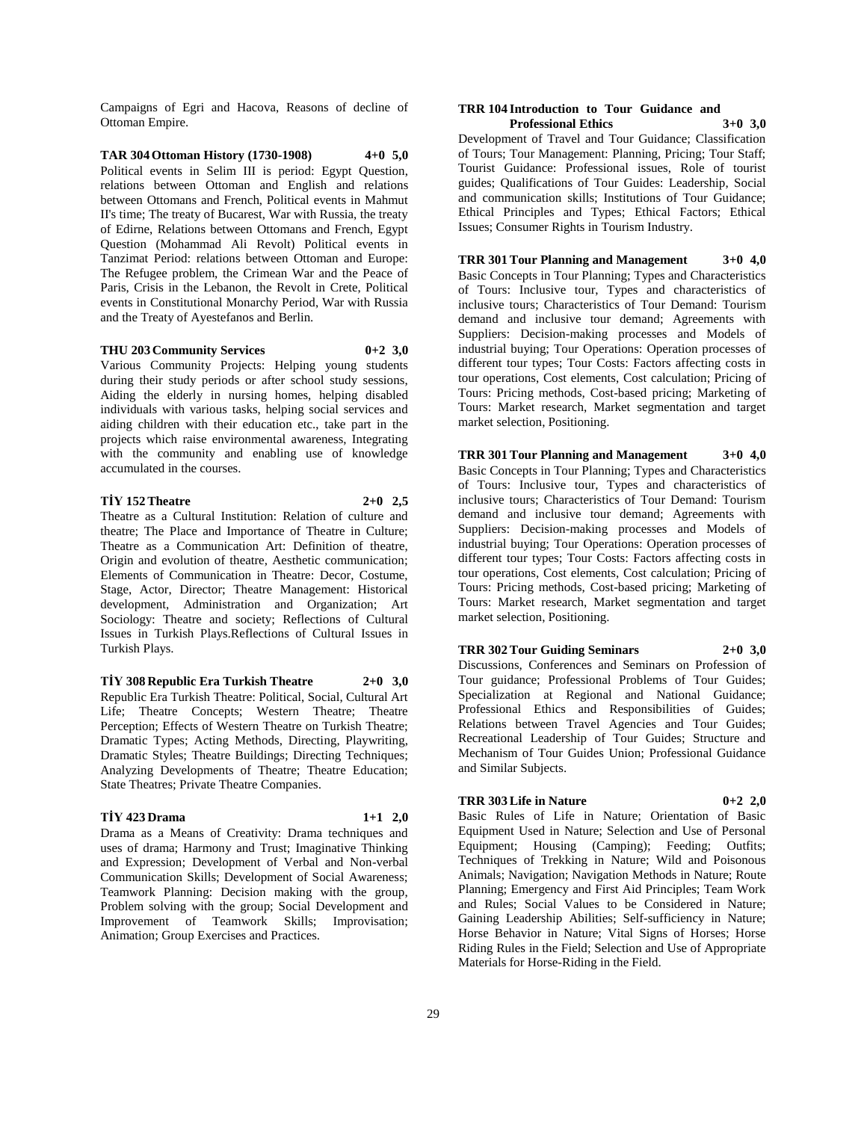Campaigns of Egri and Hacova, Reasons of decline of Ottoman Empire.

**TAR 304 Ottoman History (1730-1908) 4+0 5,0** Political events in Selim III is period: Egypt Question, relations between Ottoman and English and relations between Ottomans and French, Political events in Mahmut II's time; The treaty of Bucarest, War with Russia, the treaty of Edirne, Relations between Ottomans and French, Egypt Question (Mohammad Ali Revolt) Political events in Tanzimat Period: relations between Ottoman and Europe: The Refugee problem, the Crimean War and the Peace of Paris, Crisis in the Lebanon, the Revolt in Crete, Political events in Constitutional Monarchy Period, War with Russia and the Treaty of Ayestefanos and Berlin.

**THU 203 Community Services 0+2 3,0** Various Community Projects: Helping young students during their study periods or after school study sessions, Aiding the elderly in nursing homes, helping disabled individuals with various tasks, helping social services and aiding children with their education etc., take part in the projects which raise environmental awareness, Integrating with the community and enabling use of knowledge accumulated in the courses.

# **TİY 152 Theatre 2+0 2,5**

Theatre as a Cultural Institution: Relation of culture and theatre; The Place and Importance of Theatre in Culture; Theatre as a Communication Art: Definition of theatre, Origin and evolution of theatre, Aesthetic communication; Elements of Communication in Theatre: Decor, Costume, Stage, Actor, Director; Theatre Management: Historical development, Administration and Organization; Art Sociology: Theatre and society; Reflections of Cultural Issues in Turkish Plays.Reflections of Cultural Issues in Turkish Plays.

**TİY 308 Republic Era Turkish Theatre 2+0 3,0** Republic Era Turkish Theatre: Political, Social, Cultural Art Life; Theatre Concepts; Western Theatre; Theatre Perception; Effects of Western Theatre on Turkish Theatre; Dramatic Types; Acting Methods, Directing, Playwriting, Dramatic Styles; Theatre Buildings; Directing Techniques; Analyzing Developments of Theatre; Theatre Education; State Theatres; Private Theatre Companies.

# **TİY 423 Drama 1+1 2,0**

Drama as a Means of Creativity: Drama techniques and uses of drama; Harmony and Trust; Imaginative Thinking and Expression; Development of Verbal and Non-verbal Communication Skills; Development of Social Awareness; Teamwork Planning: Decision making with the group, Problem solving with the group; Social Development and Improvement of Teamwork Skills; Improvisation; Animation; Group Exercises and Practices.

#### **TRR 104 Introduction to Tour Guidance and Professional Ethics 3+0 3,0**

Development of Travel and Tour Guidance; Classification of Tours; Tour Management: Planning, Pricing; Tour Staff; Tourist Guidance: Professional issues, Role of tourist guides; Qualifications of Tour Guides: Leadership, Social and communication skills; Institutions of Tour Guidance; Ethical Principles and Types; Ethical Factors; Ethical Issues; Consumer Rights in Tourism Industry.

**TRR 301 Tour Planning and Management 3+0 4,0** Basic Concepts in Tour Planning; Types and Characteristics of Tours: Inclusive tour, Types and characteristics of inclusive tours; Characteristics of Tour Demand: Tourism demand and inclusive tour demand; Agreements with Suppliers: Decision-making processes and Models of industrial buying; Tour Operations: Operation processes of different tour types; Tour Costs: Factors affecting costs in tour operations, Cost elements, Cost calculation; Pricing of Tours: Pricing methods, Cost-based pricing; Marketing of Tours: Market research, Market segmentation and target market selection, Positioning.

**TRR 301 Tour Planning and Management 3+0 4,0** Basic Concepts in Tour Planning; Types and Characteristics of Tours: Inclusive tour, Types and characteristics of inclusive tours; Characteristics of Tour Demand: Tourism demand and inclusive tour demand; Agreements with Suppliers: Decision-making processes and Models of industrial buying; Tour Operations: Operation processes of different tour types; Tour Costs: Factors affecting costs in tour operations, Cost elements, Cost calculation; Pricing of Tours: Pricing methods, Cost-based pricing; Marketing of Tours: Market research, Market segmentation and target market selection, Positioning.

**TRR 302 Tour Guiding Seminars 2+0 3,0**

Discussions, Conferences and Seminars on Profession of Tour guidance; Professional Problems of Tour Guides; Specialization at Regional and National Guidance; Professional Ethics and Responsibilities of Guides; Relations between Travel Agencies and Tour Guides; Recreational Leadership of Tour Guides; Structure and Mechanism of Tour Guides Union; Professional Guidance and Similar Subjects.

#### **TRR 303 Life in Nature 0+2 2,0**

Basic Rules of Life in Nature; Orientation of Basic Equipment Used in Nature; Selection and Use of Personal Equipment; Housing (Camping); Feeding; Outfits; Techniques of Trekking in Nature; Wild and Poisonous Animals; Navigation; Navigation Methods in Nature; Route Planning; Emergency and First Aid Principles; Team Work and Rules; Social Values to be Considered in Nature; Gaining Leadership Abilities; Self-sufficiency in Nature; Horse Behavior in Nature; Vital Signs of Horses; Horse Riding Rules in the Field; Selection and Use of Appropriate Materials for Horse-Riding in the Field.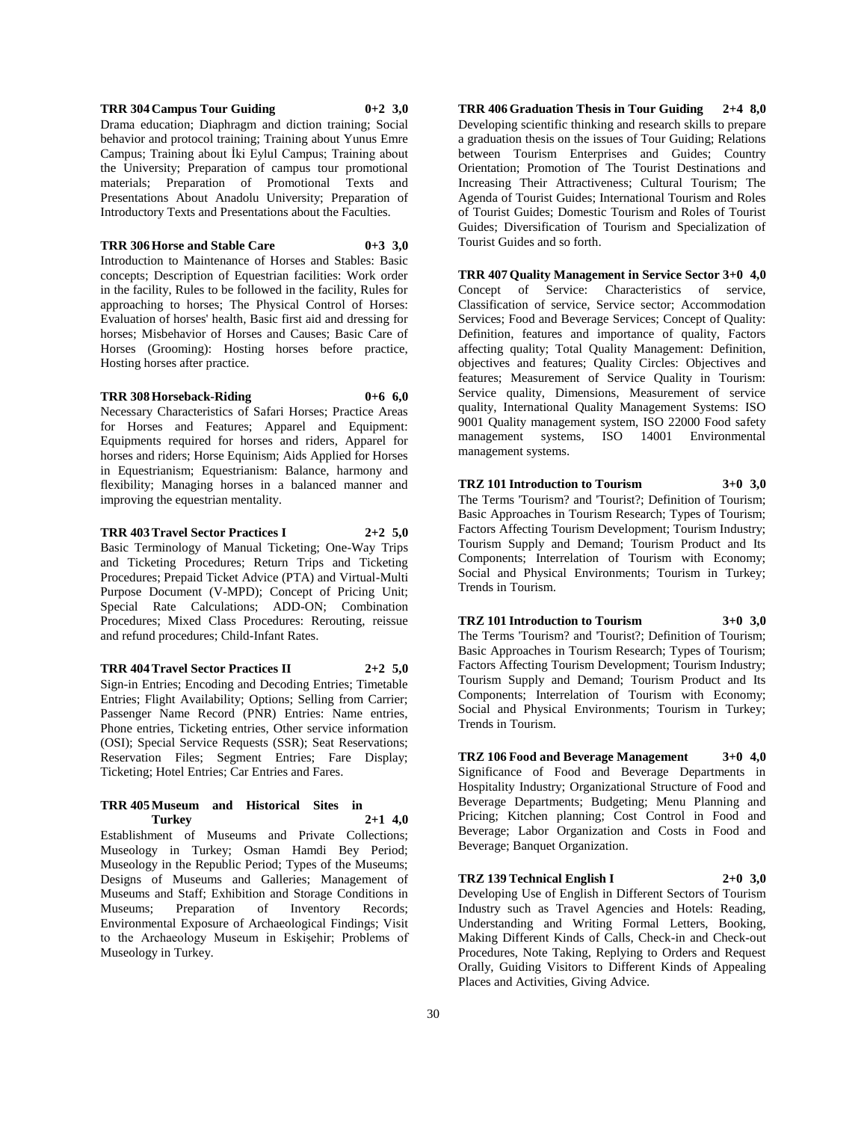# **TRR 304 Campus Tour Guiding 0+2 3,0**

Drama education; Diaphragm and diction training; Social behavior and protocol training; Training about Yunus Emre Campus; Training about İki Eylul Campus; Training about the University; Preparation of campus tour promotional materials; Preparation of Promotional Texts and Presentations About Anadolu University; Preparation of Introductory Texts and Presentations about the Faculties.

#### **TRR 306 Horse and Stable Care 0+3 3,0**

Introduction to Maintenance of Horses and Stables: Basic concepts; Description of Equestrian facilities: Work order in the facility, Rules to be followed in the facility, Rules for approaching to horses; The Physical Control of Horses: Evaluation of horses' health, Basic first aid and dressing for horses; Misbehavior of Horses and Causes; Basic Care of Horses (Grooming): Hosting horses before practice, Hosting horses after practice.

# **TRR 308 Horseback-Riding 0+6 6,0**

Necessary Characteristics of Safari Horses; Practice Areas for Horses and Features; Apparel and Equipment: Equipments required for horses and riders, Apparel for horses and riders; Horse Equinism; Aids Applied for Horses in Equestrianism; Equestrianism: Balance, harmony and flexibility; Managing horses in a balanced manner and improving the equestrian mentality.

**TRR 403 Travel Sector Practices I 2+2 5,0** Basic Terminology of Manual Ticketing; One-Way Trips

and Ticketing Procedures; Return Trips and Ticketing Procedures; Prepaid Ticket Advice (PTA) and Virtual-Multi Purpose Document (V-MPD); Concept of Pricing Unit; Special Rate Calculations; ADD-ON; Combination Procedures; Mixed Class Procedures: Rerouting, reissue and refund procedures; Child-Infant Rates.

**TRR 404 Travel Sector Practices II 2+2 5,0**

Sign-in Entries; Encoding and Decoding Entries; Timetable Entries; Flight Availability; Options; Selling from Carrier; Passenger Name Record (PNR) Entries: Name entries, Phone entries, Ticketing entries, Other service information (OSI); Special Service Requests (SSR); Seat Reservations; Reservation Files; Segment Entries; Fare Display; Ticketing; Hotel Entries; Car Entries and Fares.

#### **TRR 405 Museum and Historical Sites in Turkey 2+1 4,0**

Establishment of Museums and Private Collections; Museology in Turkey; Osman Hamdi Bey Period; Museology in the Republic Period; Types of the Museums; Designs of Museums and Galleries; Management of Museums and Staff; Exhibition and Storage Conditions in Museums; Preparation of Inventory Records; Environmental Exposure of Archaeological Findings; Visit to the Archaeology Museum in Eskişehir; Problems of Museology in Turkey.

**TRR 406 Graduation Thesis in Tour Guiding 2+4 8,0** Developing scientific thinking and research skills to prepare a graduation thesis on the issues of Tour Guiding; Relations between Tourism Enterprises and Guides; Country Orientation; Promotion of The Tourist Destinations and Increasing Their Attractiveness; Cultural Tourism; The Agenda of Tourist Guides; International Tourism and Roles of Tourist Guides; Domestic Tourism and Roles of Tourist Guides; Diversification of Tourism and Specialization of Tourist Guides and so forth.

**TRR 407 Quality Management in Service Sector 3+0 4,0** Concept of Service: Characteristics of service, Classification of service, Service sector; Accommodation Services; Food and Beverage Services; Concept of Quality: Definition, features and importance of quality, Factors affecting quality; Total Quality Management: Definition, objectives and features; Quality Circles: Objectives and features; Measurement of Service Quality in Tourism: Service quality, Dimensions, Measurement of service quality, International Quality Management Systems: ISO 9001 Quality management system, ISO 22000 Food safety management systems, ISO 14001 Environmental management systems.

# **TRZ 101 Introduction to Tourism 3+0 3,0**

The Terms 'Tourism? and 'Tourist?; Definition of Tourism; Basic Approaches in Tourism Research; Types of Tourism; Factors Affecting Tourism Development; Tourism Industry; Tourism Supply and Demand; Tourism Product and Its Components; Interrelation of Tourism with Economy; Social and Physical Environments; Tourism in Turkey; Trends in Tourism.

**TRZ 101 Introduction to Tourism 3+0 3,0**

The Terms 'Tourism? and 'Tourist?; Definition of Tourism; Basic Approaches in Tourism Research; Types of Tourism; Factors Affecting Tourism Development; Tourism Industry; Tourism Supply and Demand; Tourism Product and Its Components; Interrelation of Tourism with Economy; Social and Physical Environments; Tourism in Turkey; Trends in Tourism.

**TRZ 106 Food and Beverage Management 3+0 4,0** Significance of Food and Beverage Departments in Hospitality Industry; Organizational Structure of Food and Beverage Departments; Budgeting; Menu Planning and Pricing; Kitchen planning; Cost Control in Food and Beverage; Labor Organization and Costs in Food and Beverage; Banquet Organization.

**TRZ 139 Technical English I 2+0 3,0**

Developing Use of English in Different Sectors of Tourism Industry such as Travel Agencies and Hotels: Reading, Understanding and Writing Formal Letters, Booking, Making Different Kinds of Calls, Check-in and Check-out Procedures, Note Taking, Replying to Orders and Request Orally, Guiding Visitors to Different Kinds of Appealing Places and Activities, Giving Advice.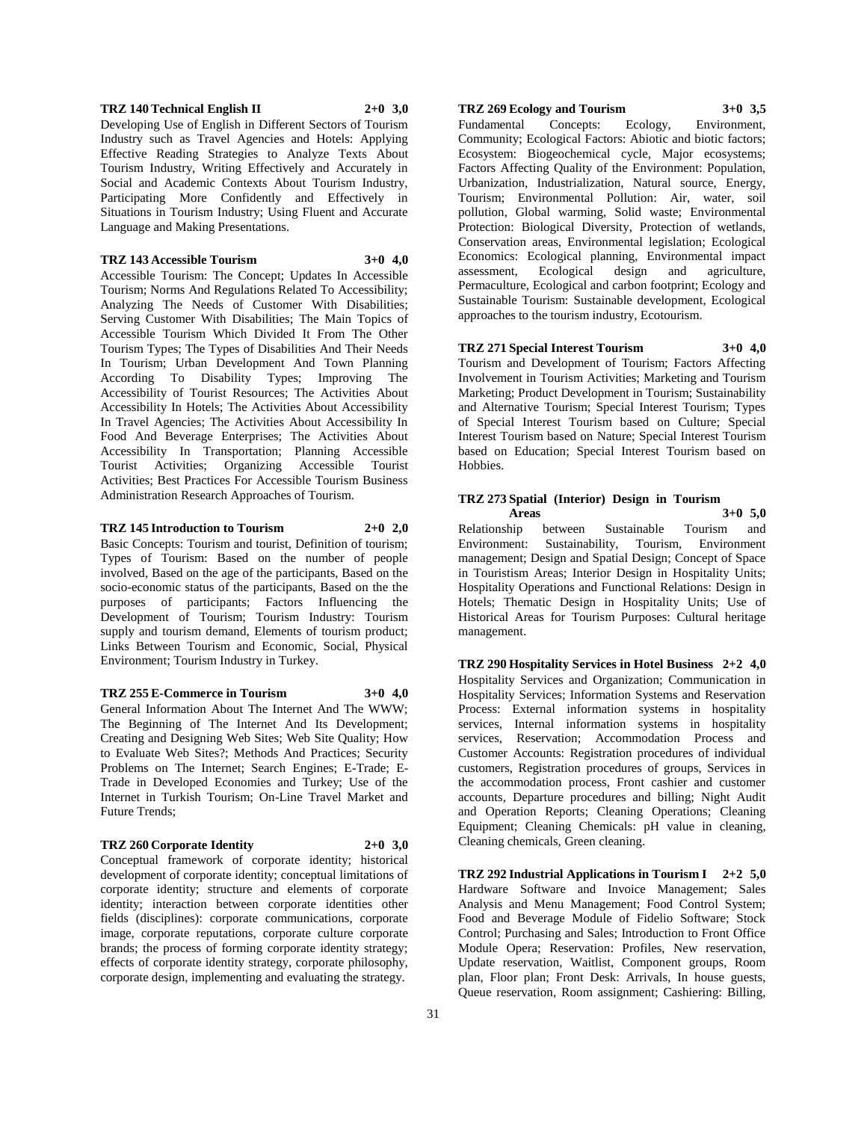#### **TRZ 140 Technical English II 2+0 3,0**

Developing Use of English in Different Sectors of Tourism Industry such as Travel Agencies and Hotels: Applying Effective Reading Strategies to Analyze Texts About Tourism Industry, Writing Effectively and Accurately in Social and Academic Contexts About Tourism Industry, Participating More Confidently and Effectively in Situations in Tourism Industry; Using Fluent and Accurate Language and Making Presentations.

#### **TRZ 143 Accessible Tourism 3+0 4,0**

Accessible Tourism: The Concept; Updates In Accessible Tourism; Norms And Regulations Related To Accessibility; Analyzing The Needs of Customer With Disabilities; Serving Customer With Disabilities; The Main Topics of Accessible Tourism Which Divided It From The Other Tourism Types; The Types of Disabilities And Their Needs In Tourism; Urban Development And Town Planning According To Disability Types; Improving The Accessibility of Tourist Resources; The Activities About Accessibility In Hotels; The Activities About Accessibility In Travel Agencies; The Activities About Accessibility In Food And Beverage Enterprises; The Activities About Accessibility In Transportation; Planning Accessible Tourist Activities; Organizing Accessible Tourist Activities; Best Practices For Accessible Tourism Business Administration Research Approaches of Tourism.

#### **TRZ 145 Introduction to Tourism 2+0 2,0**

Basic Concepts: Tourism and tourist, Definition of tourism; Types of Tourism: Based on the number of people involved, Based on the age of the participants, Based on the socio-economic status of the participants, Based on the the purposes of participants; Factors Influencing the Development of Tourism; Tourism Industry: Tourism supply and tourism demand, Elements of tourism product; Links Between Tourism and Economic, Social, Physical Environment; Tourism Industry in Turkey.

#### **TRZ 255 E-Commerce in Tourism 3+0 4,0**

General Information About The Internet And The WWW; The Beginning of The Internet And Its Development; Creating and Designing Web Sites; Web Site Quality; How to Evaluate Web Sites?; Methods And Practices; Security Problems on The Internet; Search Engines; E-Trade; E-Trade in Developed Economies and Turkey; Use of the Internet in Turkish Tourism; On-Line Travel Market and Future Trends;

## **TRZ 260 Corporate Identity 2+0 3,0**

Conceptual framework of corporate identity; historical development of corporate identity; conceptual limitations of corporate identity; structure and elements of corporate identity; interaction between corporate identities other fields (disciplines): corporate communications, corporate image, corporate reputations, corporate culture corporate brands; the process of forming corporate identity strategy; effects of corporate identity strategy, corporate philosophy, corporate design, implementing and evaluating the strategy.

# **TRZ 269 Ecology and Tourism 3+0 3,5**

Fundamental Concepts: Ecology, Environment, Community; Ecological Factors: Abiotic and biotic factors; Ecosystem: Biogeochemical cycle, Major ecosystems; Factors Affecting Quality of the Environment: Population, Urbanization, Industrialization, Natural source, Energy, Tourism; Environmental Pollution: Air, water, soil pollution, Global warming, Solid waste; Environmental Protection: Biological Diversity, Protection of wetlands, Conservation areas, Environmental legislation; Ecological Economics: Ecological planning, Environmental impact assessment, Ecological design and agriculture, Permaculture, Ecological and carbon footprint; Ecology and Sustainable Tourism: Sustainable development, Ecological approaches to the tourism industry, Ecotourism.

# **TRZ 271 Special Interest Tourism 3+0 4,0**

Tourism and Development of Tourism; Factors Affecting Involvement in Tourism Activities; Marketing and Tourism Marketing; Product Development in Tourism; Sustainability and Alternative Tourism; Special Interest Tourism; Types of Special Interest Tourism based on Culture; Special Interest Tourism based on Nature; Special Interest Tourism based on Education; Special Interest Tourism based on Hobbies.

#### **TRZ 273 Spatial (Interior) Design in Tourism Areas 3+0 5,0**

Relationship between Sustainable Tourism and Environment: Sustainability, Tourism, Environment management; Design and Spatial Design; Concept of Space in Touristism Areas; Interior Design in Hospitality Units; Hospitality Operations and Functional Relations: Design in Hotels; Thematic Design in Hospitality Units; Use of Historical Areas for Tourism Purposes: Cultural heritage management.

**TRZ 290 Hospitality Services in Hotel Business 2+2 4,0** Hospitality Services and Organization; Communication in Hospitality Services; Information Systems and Reservation Process: External information systems in hospitality services, Internal information systems in hospitality services, Reservation; Accommodation Process and Customer Accounts: Registration procedures of individual customers, Registration procedures of groups, Services in the accommodation process, Front cashier and customer accounts, Departure procedures and billing; Night Audit and Operation Reports; Cleaning Operations; Cleaning Equipment; Cleaning Chemicals: pH value in cleaning, Cleaning chemicals, Green cleaning.

**TRZ 292 Industrial Applications in Tourism I 2+2 5,0** Hardware Software and Invoice Management; Sales Analysis and Menu Management; Food Control System; Food and Beverage Module of Fidelio Software; Stock Control; Purchasing and Sales; Introduction to Front Office Module Opera; Reservation: Profiles, New reservation, Update reservation, Waitlist, Component groups, Room plan, Floor plan; Front Desk: Arrivals, In house guests, Queue reservation, Room assignment; Cashiering: Billing,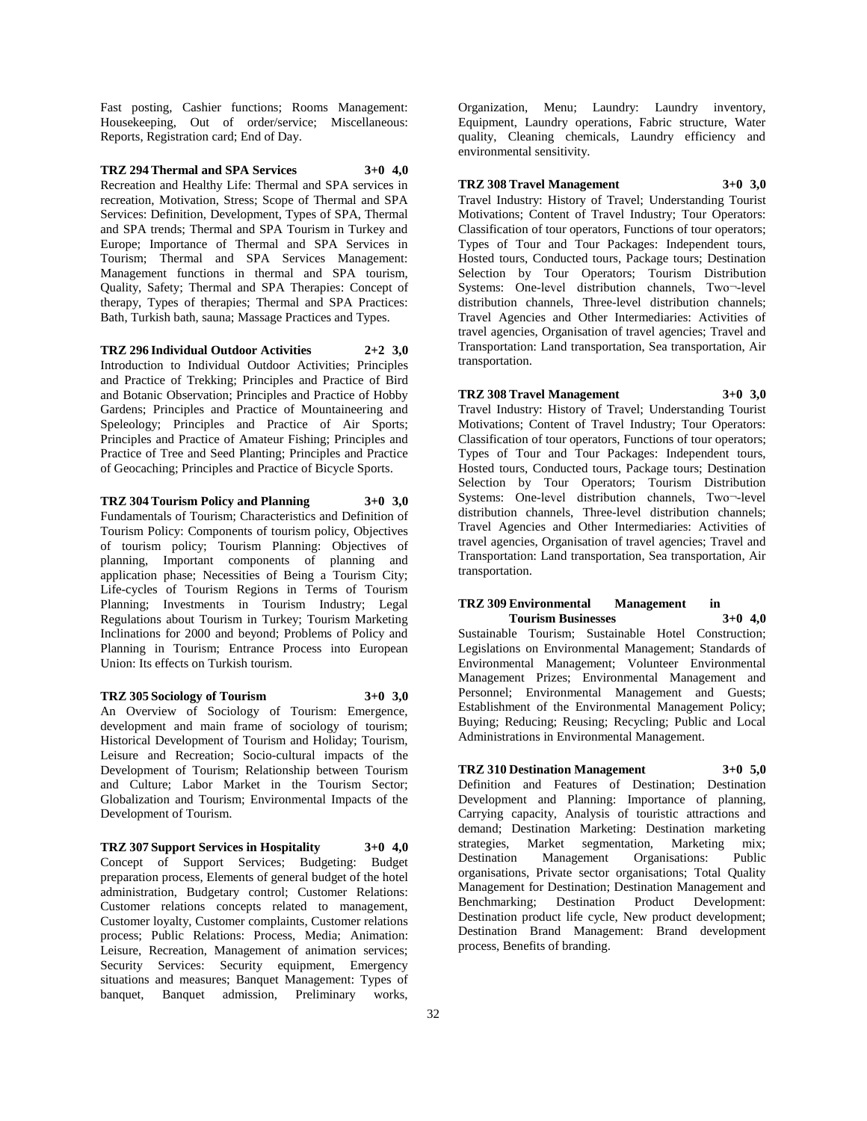Fast posting, Cashier functions; Rooms Management: Housekeeping, Out of order/service; Miscellaneous: Reports, Registration card; End of Day.

# **TRZ 294 Thermal and SPA Services 3+0 4,0**

Recreation and Healthy Life: Thermal and SPA services in recreation, Motivation, Stress; Scope of Thermal and SPA Services: Definition, Development, Types of SPA, Thermal and SPA trends; Thermal and SPA Tourism in Turkey and Europe; Importance of Thermal and SPA Services in Tourism; Thermal and SPA Services Management: Management functions in thermal and SPA tourism, Quality, Safety; Thermal and SPA Therapies: Concept of therapy, Types of therapies; Thermal and SPA Practices: Bath, Turkish bath, sauna; Massage Practices and Types.

**TRZ 296 Individual Outdoor Activities 2+2 3,0** Introduction to Individual Outdoor Activities; Principles and Practice of Trekking; Principles and Practice of Bird and Botanic Observation; Principles and Practice of Hobby Gardens; Principles and Practice of Mountaineering and Speleology; Principles and Practice of Air Sports; Principles and Practice of Amateur Fishing; Principles and Practice of Tree and Seed Planting; Principles and Practice of Geocaching; Principles and Practice of Bicycle Sports.

# **TRZ 304 Tourism Policy and Planning 3+0 3,0**

Fundamentals of Tourism; Characteristics and Definition of Tourism Policy: Components of tourism policy, Objectives of tourism policy; Tourism Planning: Objectives of planning, Important components of planning and application phase; Necessities of Being a Tourism City; Life-cycles of Tourism Regions in Terms of Tourism Planning; Investments in Tourism Industry; Legal Regulations about Tourism in Turkey; Tourism Marketing Inclinations for 2000 and beyond; Problems of Policy and Planning in Tourism; Entrance Process into European Union: Its effects on Turkish tourism.

# **TRZ 305 Sociology of Tourism 3+0 3,0**

An Overview of Sociology of Tourism: Emergence, development and main frame of sociology of tourism; Historical Development of Tourism and Holiday; Tourism, Leisure and Recreation; Socio-cultural impacts of the Development of Tourism; Relationship between Tourism and Culture; Labor Market in the Tourism Sector; Globalization and Tourism; Environmental Impacts of the Development of Tourism.

**TRZ 307 Support Services in Hospitality 3+0 4,0** Concept of Support Services; Budgeting: Budget preparation process, Elements of general budget of the hotel administration, Budgetary control; Customer Relations: Customer relations concepts related to management, Customer loyalty, Customer complaints, Customer relations process; Public Relations: Process, Media; Animation: Leisure, Recreation, Management of animation services; Security Services: Security equipment, Emergency situations and measures; Banquet Management: Types of banquet, Banquet admission, Preliminary works,

Organization, Menu; Laundry: Laundry inventory, Equipment, Laundry operations, Fabric structure, Water quality, Cleaning chemicals, Laundry efficiency and environmental sensitivity.

#### **TRZ 308 Travel Management 3+0 3,0**

Travel Industry: History of Travel; Understanding Tourist Motivations; Content of Travel Industry; Tour Operators: Classification of tour operators, Functions of tour operators; Types of Tour and Tour Packages: Independent tours, Hosted tours, Conducted tours, Package tours; Destination Selection by Tour Operators; Tourism Distribution Systems: One-level distribution channels, Two¬-level distribution channels, Three-level distribution channels; Travel Agencies and Other Intermediaries: Activities of travel agencies, Organisation of travel agencies; Travel and Transportation: Land transportation, Sea transportation, Air transportation.

# **TRZ 308 Travel Management 3+0 3,0**

Travel Industry: History of Travel; Understanding Tourist Motivations; Content of Travel Industry; Tour Operators: Classification of tour operators, Functions of tour operators; Types of Tour and Tour Packages: Independent tours, Hosted tours, Conducted tours, Package tours; Destination Selection by Tour Operators; Tourism Distribution Systems: One-level distribution channels, Two¬-level distribution channels, Three-level distribution channels; Travel Agencies and Other Intermediaries: Activities of travel agencies, Organisation of travel agencies; Travel and Transportation: Land transportation, Sea transportation, Air transportation.

# **TRZ 309 Environmental Management in Tourism Businesses 3+0 4,0**

Sustainable Tourism; Sustainable Hotel Construction; Legislations on Environmental Management; Standards of Environmental Management; Volunteer Environmental Management Prizes; Environmental Management and Personnel; Environmental Management and Guests; Establishment of the Environmental Management Policy; Buying; Reducing; Reusing; Recycling; Public and Local Administrations in Environmental Management.

# **TRZ 310 Destination Management 3+0 5,0**

Definition and Features of Destination; Destination Development and Planning: Importance of planning, Carrying capacity, Analysis of touristic attractions and demand; Destination Marketing: Destination marketing strategies, Market segmentation, Marketing mix;<br>Destination Management Organisations: Public Destination Management Organisations: organisations, Private sector organisations; Total Quality Management for Destination; Destination Management and Benchmarking; Destination Product Development: Destination product life cycle, New product development; Destination Brand Management: Brand development process, Benefits of branding.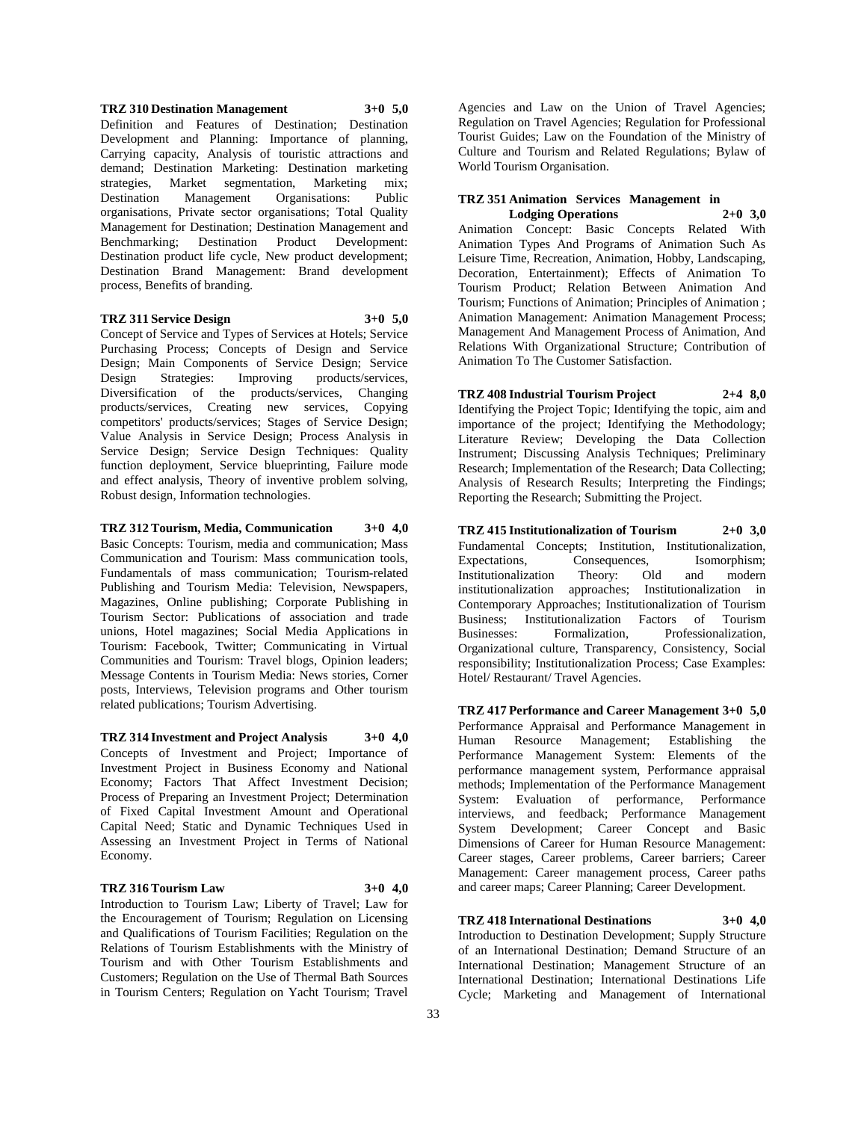## **TRZ 310 Destination Management 3+0 5,0** Definition and Features of Destination; Destination Development and Planning: Importance of planning, Carrying capacity, Analysis of touristic attractions and demand; Destination Marketing: Destination marketing strategies, Market segmentation, Marketing mix; Destination Management Organisations: Public organisations, Private sector organisations; Total Quality Management for Destination; Destination Management and Benchmarking; Destination Product Development: Destination product life cycle, New product development; Destination Brand Management: Brand development process, Benefits of branding.

#### **TRZ 311 Service Design 3+0 5,0**

Concept of Service and Types of Services at Hotels; Service Purchasing Process; Concepts of Design and Service Design; Main Components of Service Design; Service Design Strategies: Improving products/services, Diversification of the products/services, Changing products/services, Creating new services, Copying competitors' products/services; Stages of Service Design; Value Analysis in Service Design; Process Analysis in Service Design; Service Design Techniques: Quality function deployment, Service blueprinting, Failure mode and effect analysis, Theory of inventive problem solving, Robust design, Information technologies.

**TRZ 312 Tourism, Media, Communication 3+0 4,0** Basic Concepts: Tourism, media and communication; Mass Communication and Tourism: Mass communication tools, Fundamentals of mass communication; Tourism-related Publishing and Tourism Media: Television, Newspapers, Magazines, Online publishing; Corporate Publishing in Tourism Sector: Publications of association and trade unions, Hotel magazines; Social Media Applications in Tourism: Facebook, Twitter; Communicating in Virtual Communities and Tourism: Travel blogs, Opinion leaders; Message Contents in Tourism Media: News stories, Corner posts, Interviews, Television programs and Other tourism related publications; Tourism Advertising.

**TRZ 314 Investment and Project Analysis 3+0 4,0** Concepts of Investment and Project; Importance of Investment Project in Business Economy and National Economy; Factors That Affect Investment Decision; Process of Preparing an Investment Project; Determination of Fixed Capital Investment Amount and Operational Capital Need; Static and Dynamic Techniques Used in Assessing an Investment Project in Terms of National Economy.

#### **TRZ 316 Tourism Law 3+0 4,0**

Introduction to Tourism Law; Liberty of Travel; Law for the Encouragement of Tourism; Regulation on Licensing and Qualifications of Tourism Facilities; Regulation on the Relations of Tourism Establishments with the Ministry of Tourism and with Other Tourism Establishments and Customers; Regulation on the Use of Thermal Bath Sources in Tourism Centers; Regulation on Yacht Tourism; Travel

Agencies and Law on the Union of Travel Agencies; Regulation on Travel Agencies; Regulation for Professional Tourist Guides; Law on the Foundation of the Ministry of Culture and Tourism and Related Regulations; Bylaw of World Tourism Organisation.

#### **TRZ 351 Animation Services Management in Lodging Operations 2+0 3,0**

Animation Concept: Basic Concepts Related With Animation Types And Programs of Animation Such As Leisure Time, Recreation, Animation, Hobby, Landscaping, Decoration, Entertainment); Effects of Animation To Tourism Product; Relation Between Animation And Tourism; Functions of Animation; Principles of Animation ; Animation Management: Animation Management Process; Management And Management Process of Animation, And Relations With Organizational Structure; Contribution of Animation To The Customer Satisfaction.

**TRZ 408 Industrial Tourism Project 2+4 8,0** Identifying the Project Topic; Identifying the topic, aim and importance of the project; Identifying the Methodology; Literature Review; Developing the Data Collection Instrument; Discussing Analysis Techniques; Preliminary Research; Implementation of the Research; Data Collecting; Analysis of Research Results; Interpreting the Findings; Reporting the Research; Submitting the Project.

**TRZ 415 Institutionalization of Tourism 2+0 3,0** Fundamental Concepts; Institution, Institutionalization, Expectations, Consequences, Isomorphism; Institutionalization Theory: Old and modern institutionalization approaches; Institutionalization in Contemporary Approaches; Institutionalization of Tourism Business; Institutionalization Factors of Tourism Businesses: Formalization, Professionalization, Organizational culture, Transparency, Consistency, Social responsibility; Institutionalization Process; Case Examples: Hotel/ Restaurant/ Travel Agencies.

**TRZ 417 Performance and Career Management 3+0 5,0** Performance Appraisal and Performance Management in Human Resource Management; Establishing the Performance Management System: Elements of the performance management system, Performance appraisal methods; Implementation of the Performance Management System: Evaluation of performance, Performance interviews, and feedback; Performance Management System Development; Career Concept and Basic Dimensions of Career for Human Resource Management: Career stages, Career problems, Career barriers; Career Management: Career management process, Career paths and career maps; Career Planning; Career Development.

#### **TRZ 418 International Destinations 3+0 4,0**

Introduction to Destination Development; Supply Structure of an International Destination; Demand Structure of an International Destination; Management Structure of an International Destination; International Destinations Life Cycle; Marketing and Management of International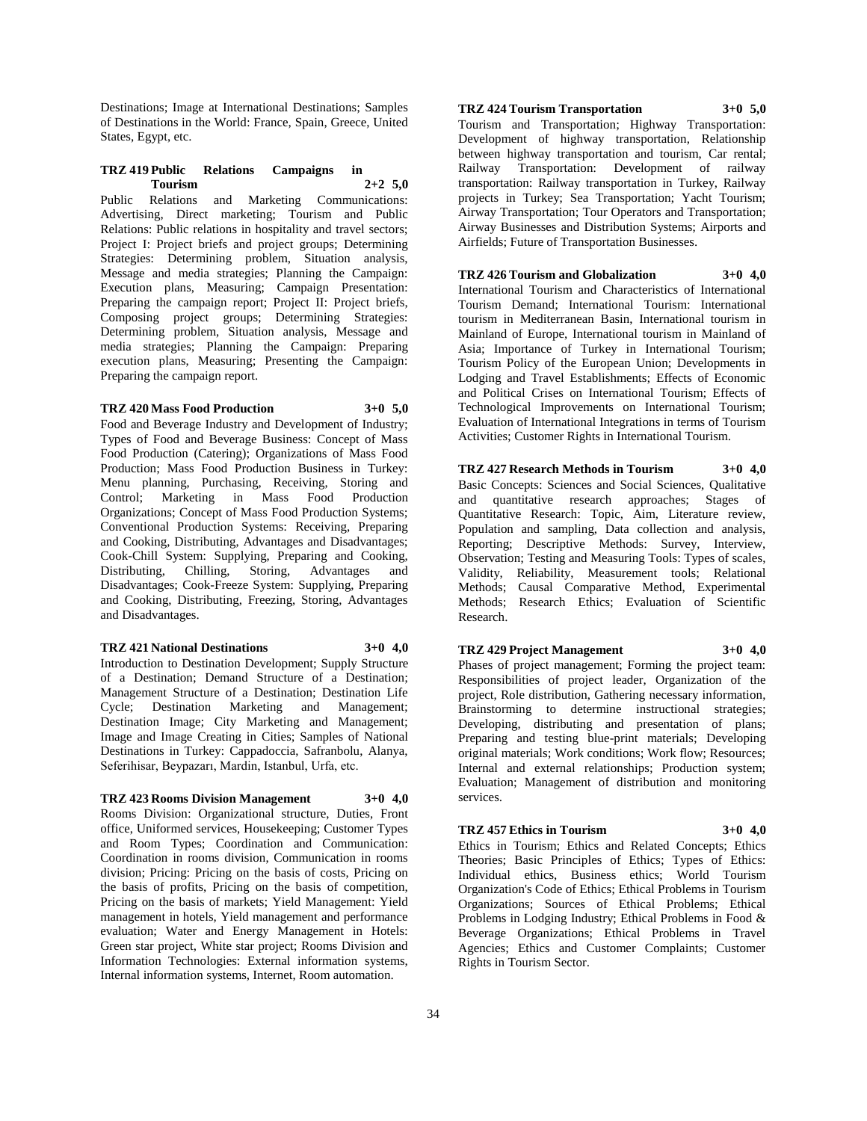Destinations; Image at International Destinations; Samples of Destinations in the World: France, Spain, Greece, United States, Egypt, etc.

# **TRZ 419 Public Relations Campaigns in Tourism 2+2 5,0**

Public Relations and Marketing Communications: Advertising, Direct marketing; Tourism and Public Relations: Public relations in hospitality and travel sectors; Project I: Project briefs and project groups; Determining Strategies: Determining problem, Situation analysis, Message and media strategies; Planning the Campaign: Execution plans, Measuring; Campaign Presentation: Preparing the campaign report; Project II: Project briefs, Composing project groups; Determining Strategies: Determining problem, Situation analysis, Message and media strategies; Planning the Campaign: Preparing execution plans, Measuring; Presenting the Campaign: Preparing the campaign report.

# **TRZ 420 Mass Food Production 3+0 5,0**

Food and Beverage Industry and Development of Industry; Types of Food and Beverage Business: Concept of Mass Food Production (Catering); Organizations of Mass Food Production; Mass Food Production Business in Turkey: Menu planning, Purchasing, Receiving, Storing and Control; Marketing in Mass Food Production Organizations; Concept of Mass Food Production Systems; Conventional Production Systems: Receiving, Preparing and Cooking, Distributing, Advantages and Disadvantages; Cook-Chill System: Supplying, Preparing and Cooking, Distributing, Chilling, Storing, Advantages and Disadvantages; Cook-Freeze System: Supplying, Preparing and Cooking, Distributing, Freezing, Storing, Advantages and Disadvantages.

#### **TRZ 421 National Destinations 3+0 4,0**

Introduction to Destination Development; Supply Structure of a Destination; Demand Structure of a Destination; Management Structure of a Destination; Destination Life Cycle; Destination Marketing and Management; Destination Image; City Marketing and Management; Image and Image Creating in Cities; Samples of National Destinations in Turkey: Cappadoccia, Safranbolu, Alanya, Seferihisar, Beypazarı, Mardin, Istanbul, Urfa, etc.

#### **TRZ 423 Rooms Division Management 3+0 4,0**

Rooms Division: Organizational structure, Duties, Front office, Uniformed services, Housekeeping; Customer Types and Room Types; Coordination and Communication: Coordination in rooms division, Communication in rooms division; Pricing: Pricing on the basis of costs, Pricing on the basis of profits, Pricing on the basis of competition, Pricing on the basis of markets; Yield Management: Yield management in hotels, Yield management and performance evaluation; Water and Energy Management in Hotels: Green star project, White star project; Rooms Division and Information Technologies: External information systems, Internal information systems, Internet, Room automation.

# **TRZ 424 Tourism Transportation 3+0 5,0**

Tourism and Transportation; Highway Transportation: Development of highway transportation, Relationship between highway transportation and tourism, Car rental; Railway Transportation: Development of railway transportation: Railway transportation in Turkey, Railway projects in Turkey; Sea Transportation; Yacht Tourism; Airway Transportation; Tour Operators and Transportation; Airway Businesses and Distribution Systems; Airports and Airfields; Future of Transportation Businesses.

#### **TRZ 426 Tourism and Globalization 3+0 4,0**

International Tourism and Characteristics of International Tourism Demand; International Tourism: International tourism in Mediterranean Basin, International tourism in Mainland of Europe, International tourism in Mainland of Asia; Importance of Turkey in International Tourism; Tourism Policy of the European Union; Developments in Lodging and Travel Establishments; Effects of Economic and Political Crises on International Tourism; Effects of Technological Improvements on International Tourism; Evaluation of International Integrations in terms of Tourism Activities; Customer Rights in International Tourism.

#### **TRZ 427 Research Methods in Tourism 3+0 4,0**

Basic Concepts: Sciences and Social Sciences, Qualitative and quantitative research approaches; Stages of Quantitative Research: Topic, Aim, Literature review, Population and sampling, Data collection and analysis, Reporting; Descriptive Methods: Survey, Interview, Observation; Testing and Measuring Tools: Types of scales, Validity, Reliability, Measurement tools; Relational Methods; Causal Comparative Method, Experimental Methods; Research Ethics; Evaluation of Scientific Research.

#### **TRZ 429 Project Management 3+0 4,0**

Phases of project management; Forming the project team: Responsibilities of project leader, Organization of the project, Role distribution, Gathering necessary information, Brainstorming to determine instructional strategies; Developing, distributing and presentation of plans; Preparing and testing blue-print materials; Developing original materials; Work conditions; Work flow; Resources; Internal and external relationships; Production system; Evaluation; Management of distribution and monitoring services.

## **TRZ 457 Ethics in Tourism 3+0 4,0**

Ethics in Tourism; Ethics and Related Concepts; Ethics Theories; Basic Principles of Ethics; Types of Ethics: Individual ethics, Business ethics; World Tourism Organization's Code of Ethics; Ethical Problems in Tourism Organizations; Sources of Ethical Problems; Ethical Problems in Lodging Industry; Ethical Problems in Food & Beverage Organizations; Ethical Problems in Travel Agencies; Ethics and Customer Complaints; Customer Rights in Tourism Sector.